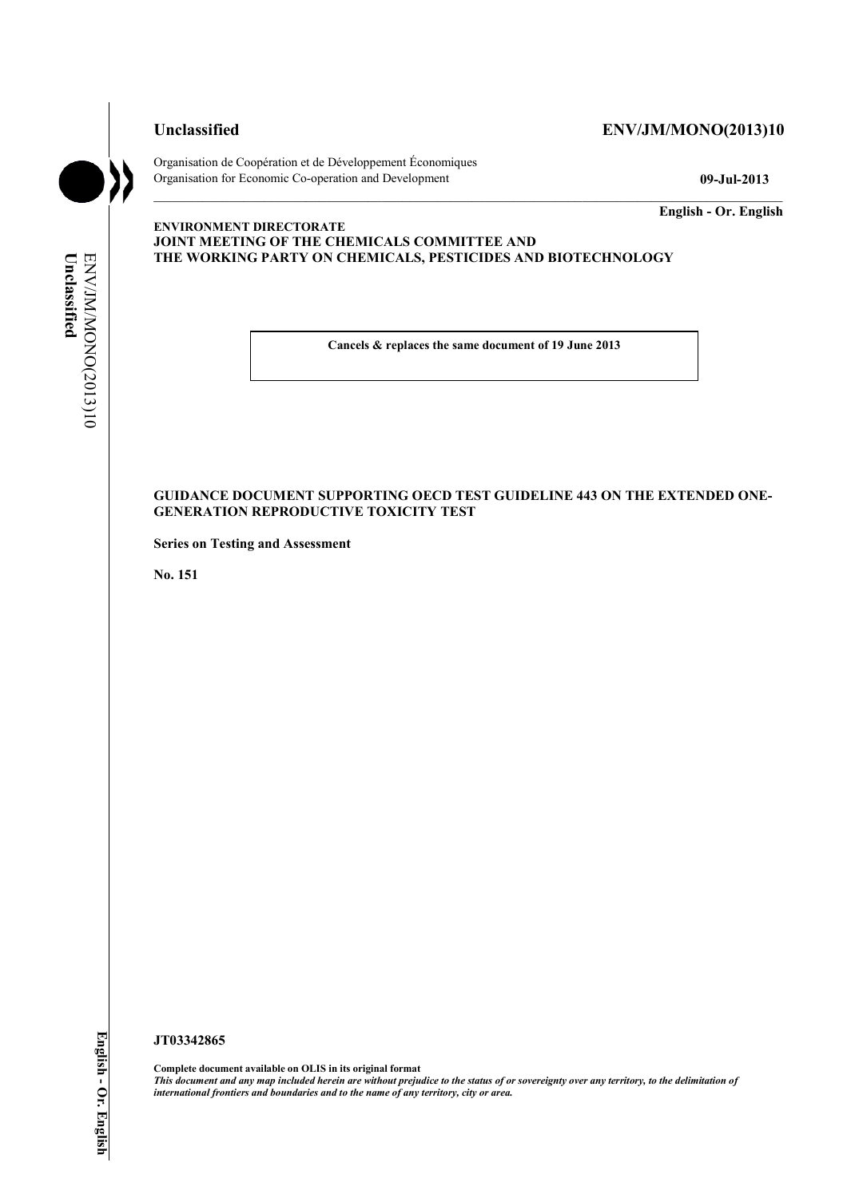Organisation de Coopération et de Développement Économiques Organisation for Economic Co-operation and Development **09-Jul-2013** 

# **Unclassified ENV/JM/MONO(2013)10**

 $\mathcal{L}_\mathcal{L} = \{ \mathcal{L}_\mathcal{L} = \{ \mathcal{L}_\mathcal{L} = \{ \mathcal{L}_\mathcal{L} = \{ \mathcal{L}_\mathcal{L} = \{ \mathcal{L}_\mathcal{L} = \{ \mathcal{L}_\mathcal{L} = \{ \mathcal{L}_\mathcal{L} = \{ \mathcal{L}_\mathcal{L} = \{ \mathcal{L}_\mathcal{L} = \{ \mathcal{L}_\mathcal{L} = \{ \mathcal{L}_\mathcal{L} = \{ \mathcal{L}_\mathcal{L} = \{ \mathcal{L}_\mathcal{L} = \{ \mathcal{L}_\mathcal{$ 

**English - Or. English** 

#### **ENVIRONMENT DIRECTORATE JOINT MEETING OF THE CHEMICALS COMMITTEE AND THE WORKING PARTY ON CHEMICALS, PESTICIDES AND BIOTECHNOLOGY**

**Cancels & replaces the same document of 19 June 2013** 

### **GUIDANCE DOCUMENT SUPPORTING OECD TEST GUIDELINE 443 ON THE EXTENDED ONE-GENERATION REPRODUCTIVE TOXICITY TEST**

**Series on Testing and Assessment** 

**No. 151** 

**JT03342865** 

**Complete document available on OLIS in its original format** *This document and any map included herein are without prejudice to the status of or sovereignty over any territory, to the delimitation of international frontiers and boundaries and to the name of any territory, city or area.*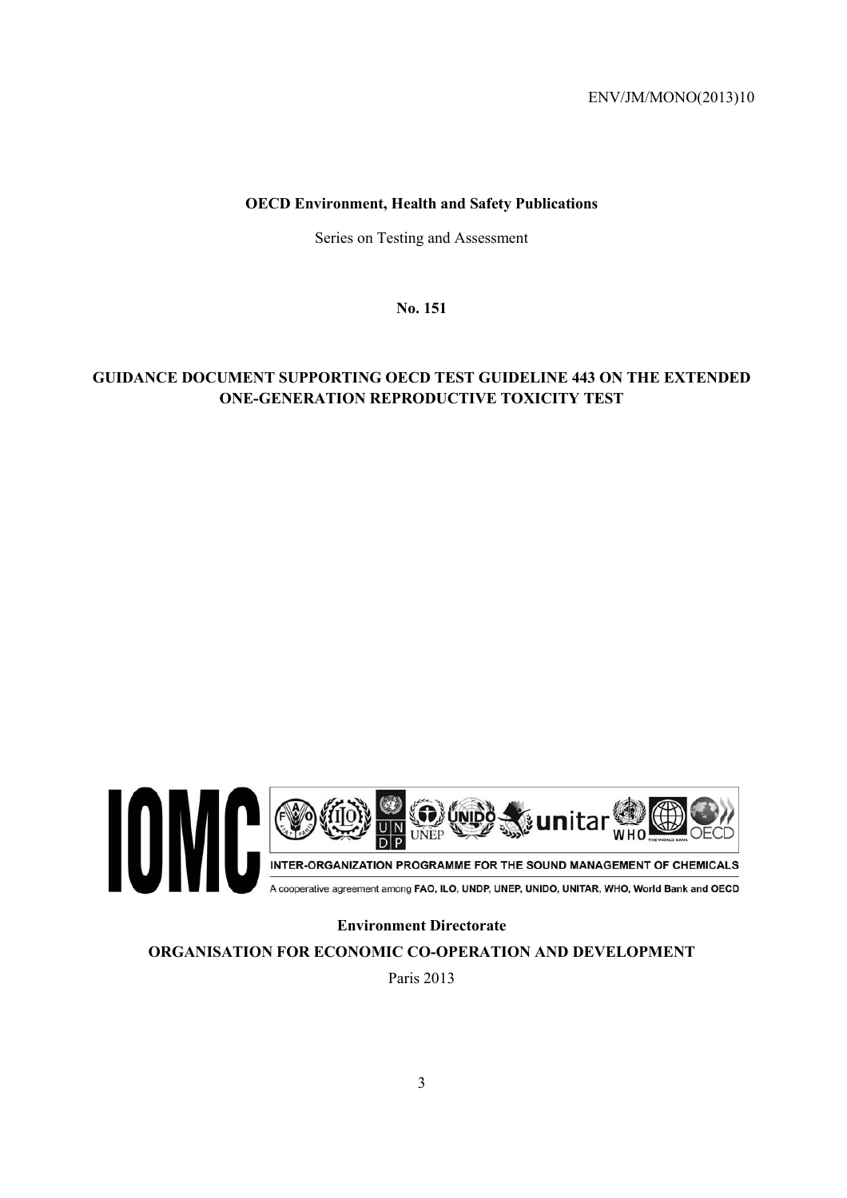# **OECD Environment, Health and Safety Publications**

Series on Testing and Assessment

**No. 151** 

# **GUIDANCE DOCUMENT SUPPORTING OECD TEST GUIDELINE 443 ON THE EXTENDED ONE-GENERATION REPRODUCTIVE TOXICITY TEST**



**Environment Directorate ORGANISATION FOR ECONOMIC CO-OPERATION AND DEVELOPMENT** 

Paris 2013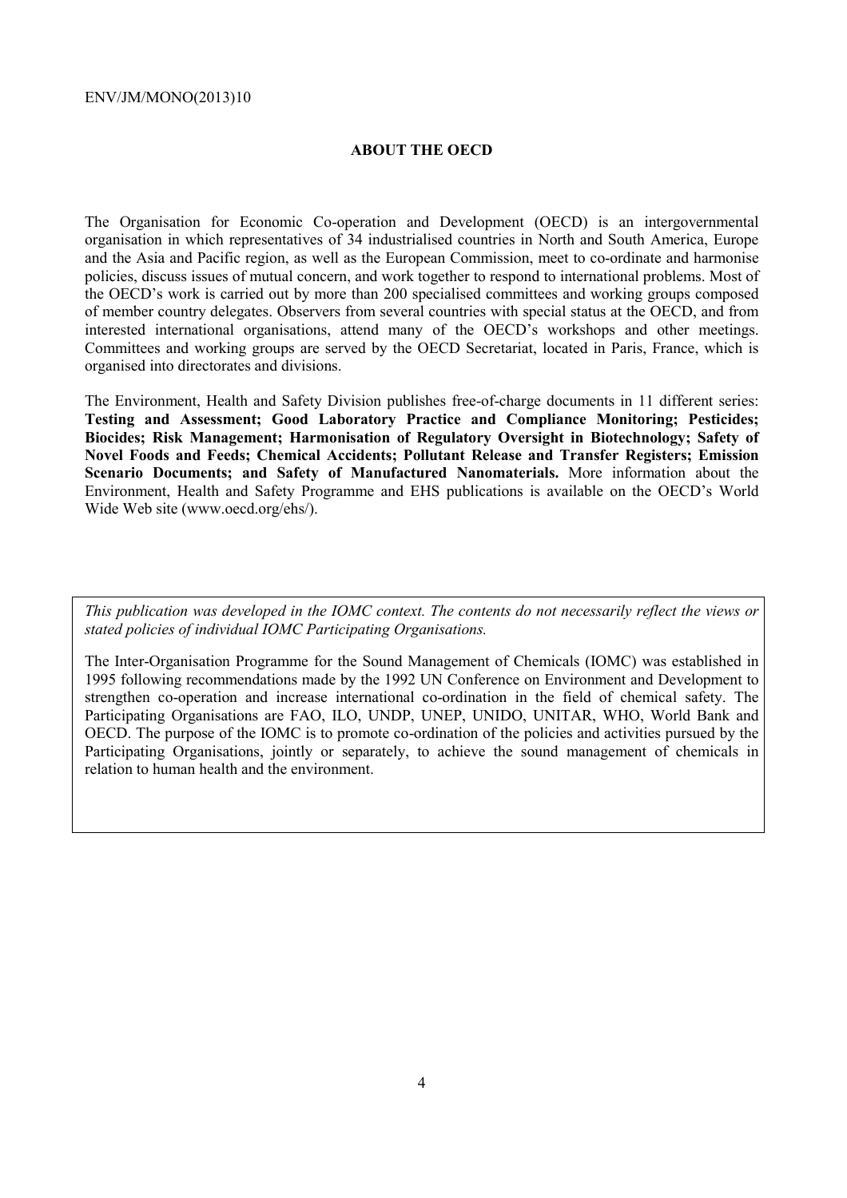# **ABOUT THE OECD**

The Organisation for Economic Co-operation and Development (OECD) is an intergovernmental organisation in which representatives of 34 industrialised countries in North and South America, Europe and the Asia and Pacific region, as well as the European Commission, meet to co-ordinate and harmonise policies, discuss issues of mutual concern, and work together to respond to international problems. Most of the OECD's work is carried out by more than 200 specialised committees and working groups composed of member country delegates. Observers from several countries with special status at the OECD, and from interested international organisations, attend many of the OECD's workshops and other meetings. Committees and working groups are served by the OECD Secretariat, located in Paris, France, which is organised into directorates and divisions.

The Environment, Health and Safety Division publishes free-of-charge documents in 11 different series: **Testing and Assessment; Good Laboratory Practice and Compliance Monitoring; Pesticides; Biocides; Risk Management; Harmonisation of Regulatory Oversight in Biotechnology; Safety of Novel Foods and Feeds; Chemical Accidents; Pollutant Release and Transfer Registers; Emission Scenario Documents; and Safety of Manufactured Nanomaterials.** More information about the Environment, Health and Safety Programme and EHS publications is available on the OECD's World Wide Web site (www.oecd.org/ehs/).

*This publication was developed in the IOMC context. The contents do not necessarily reflect the views or stated policies of individual IOMC Participating Organisations.* 

The Inter-Organisation Programme for the Sound Management of Chemicals (IOMC) was established in 1995 following recommendations made by the 1992 UN Conference on Environment and Development to strengthen co-operation and increase international co-ordination in the field of chemical safety. The Participating Organisations are FAO, ILO, UNDP, UNEP, UNIDO, UNITAR, WHO, World Bank and OECD. The purpose of the IOMC is to promote co-ordination of the policies and activities pursued by the Participating Organisations, jointly or separately, to achieve the sound management of chemicals in relation to human health and the environment.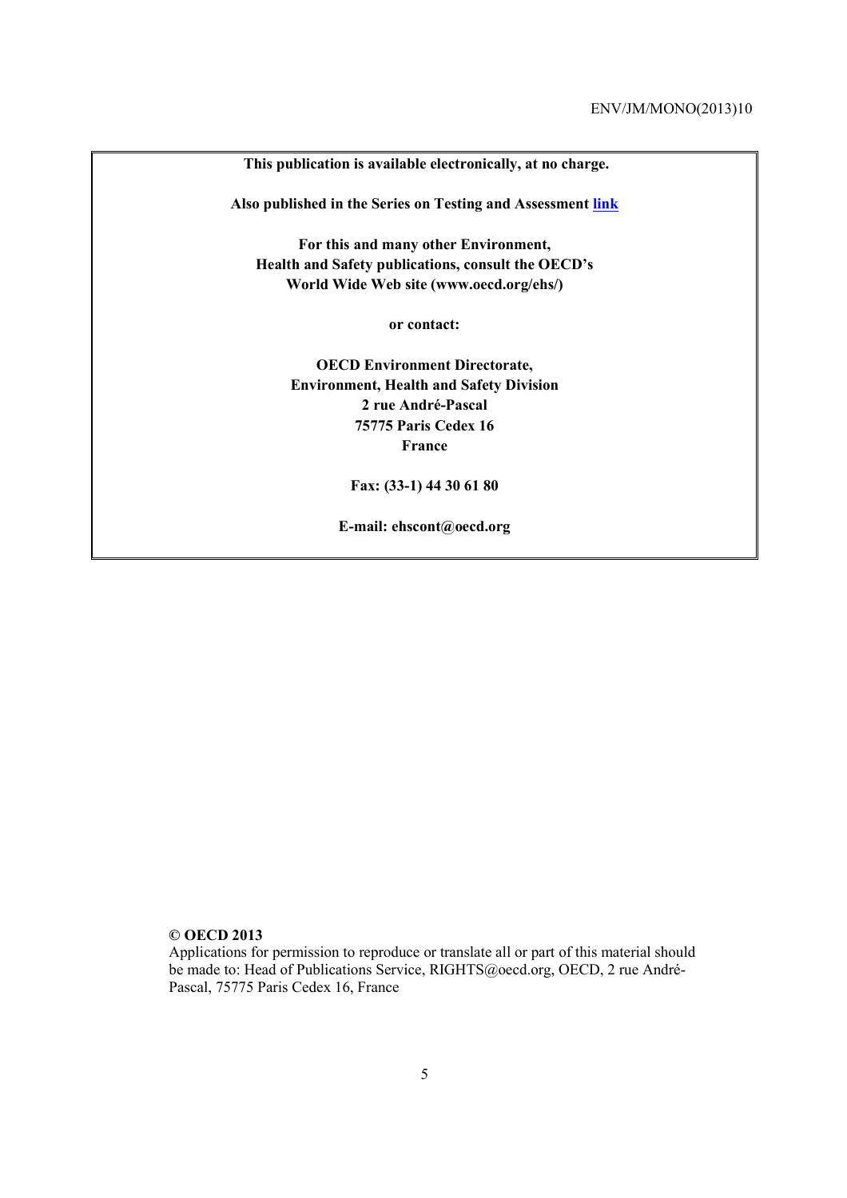**This publication is available electronically, at no charge.** 

**Also published in the Series on Testing and Assessment link**

**For this and many other Environment, Health and Safety publications, consult the OECD's World Wide Web site (www.oecd.org/ehs/)** 

**or contact:** 

**OECD Environment Directorate, Environment, Health and Safety Division 2 rue André-Pascal 75775 Paris Cedex 16 France** 

**Fax: (33-1) 44 30 61 80** 

**E-mail: ehscont@oecd.org** 

#### **© OECD 2013**

Applications for permission to reproduce or translate all or part of this material should be made to: Head of Publications Service, RIGHTS@oecd.org, OECD, 2 rue André-Pascal, 75775 Paris Cedex 16, France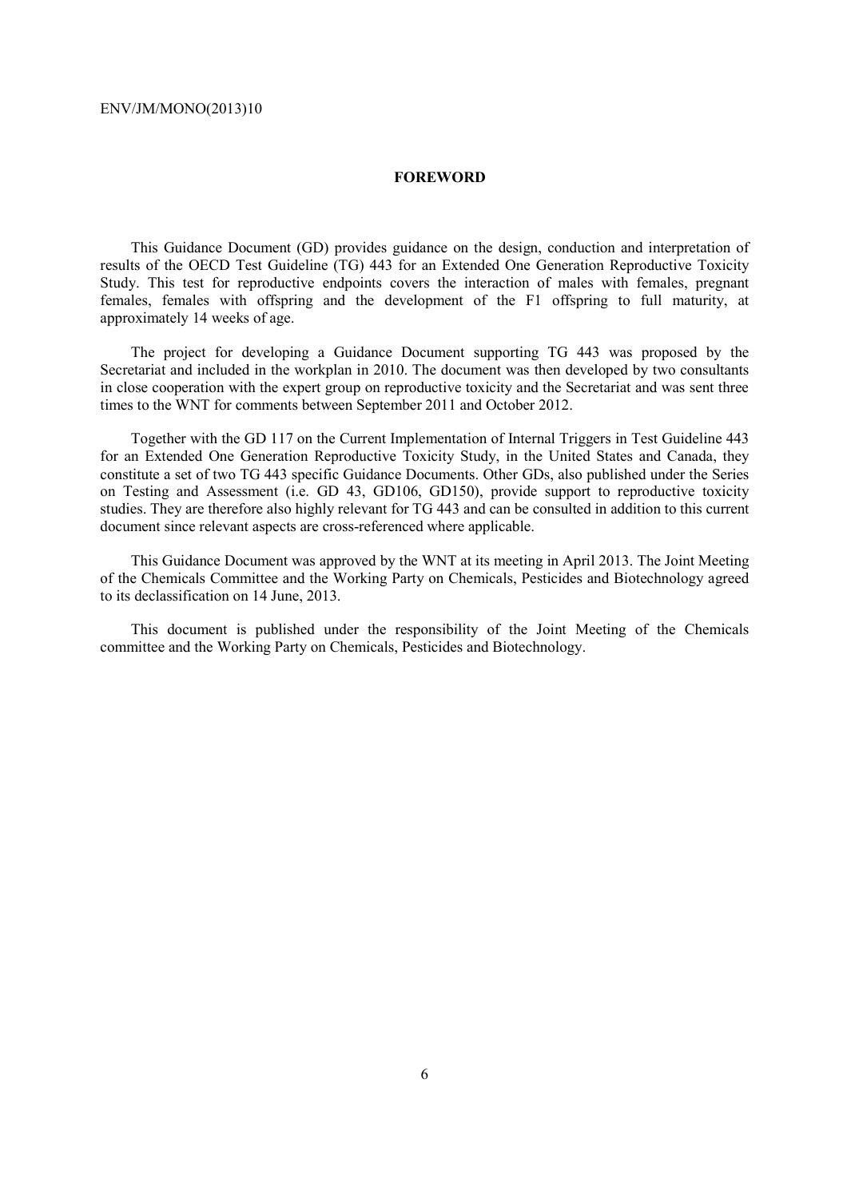#### **FOREWORD**

This Guidance Document (GD) provides guidance on the design, conduction and interpretation of results of the OECD Test Guideline (TG) 443 for an Extended One Generation Reproductive Toxicity Study. This test for reproductive endpoints covers the interaction of males with females, pregnant females, females with offspring and the development of the F1 offspring to full maturity, at approximately 14 weeks of age.

The project for developing a Guidance Document supporting TG 443 was proposed by the Secretariat and included in the workplan in 2010. The document was then developed by two consultants in close cooperation with the expert group on reproductive toxicity and the Secretariat and was sent three times to the WNT for comments between September 2011 and October 2012.

Together with the GD 117 on the Current Implementation of Internal Triggers in Test Guideline 443 for an Extended One Generation Reproductive Toxicity Study, in the United States and Canada, they constitute a set of two TG 443 specific Guidance Documents. Other GDs, also published under the Series on Testing and Assessment (i.e. GD 43, GD106, GD150), provide support to reproductive toxicity studies. They are therefore also highly relevant for TG 443 and can be consulted in addition to this current document since relevant aspects are cross-referenced where applicable.

This Guidance Document was approved by the WNT at its meeting in April 2013. The Joint Meeting of the Chemicals Committee and the Working Party on Chemicals, Pesticides and Biotechnology agreed to its declassification on 14 June, 2013.

This document is published under the responsibility of the Joint Meeting of the Chemicals committee and the Working Party on Chemicals, Pesticides and Biotechnology.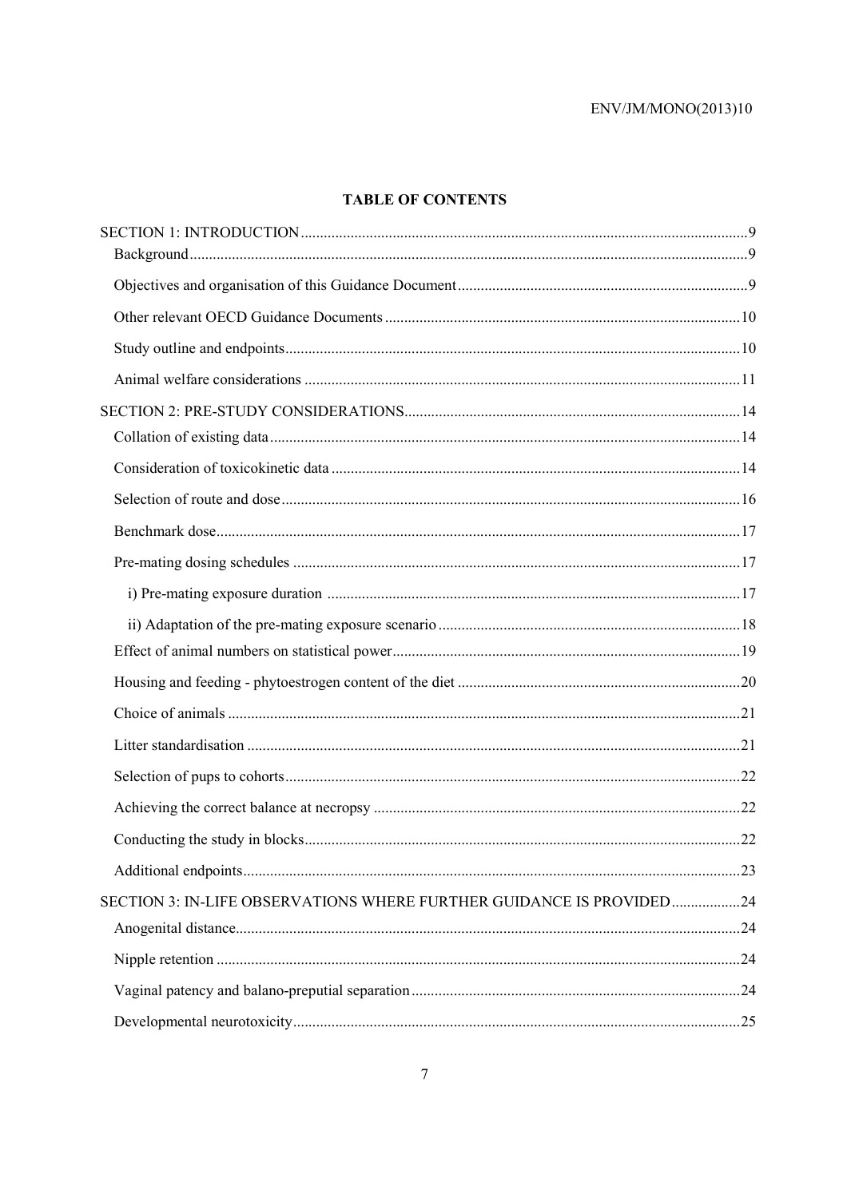# **TABLE OF CONTENTS**

| SECTION 3: IN-LIFE OBSERVATIONS WHERE FURTHER GUIDANCE IS PROVIDED24 |  |
|----------------------------------------------------------------------|--|
|                                                                      |  |
|                                                                      |  |
|                                                                      |  |
|                                                                      |  |
|                                                                      |  |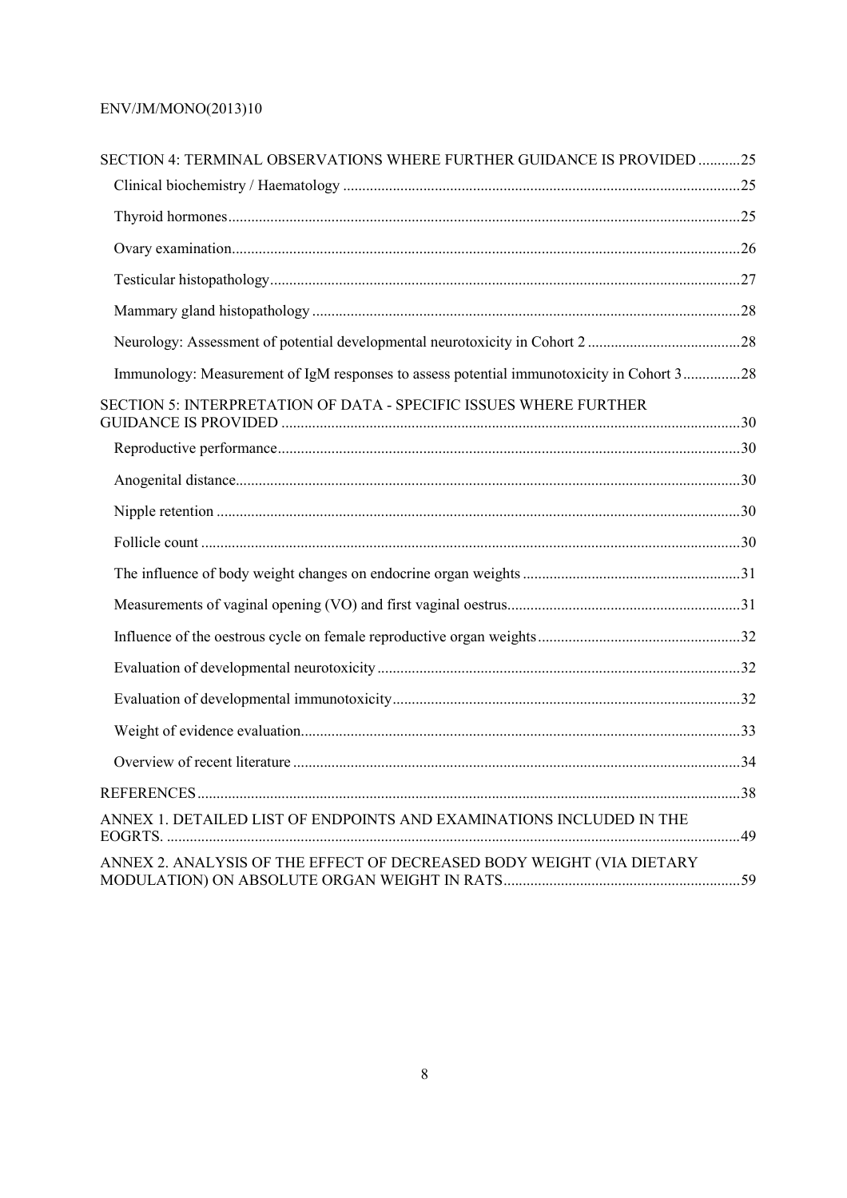| SECTION 4: TERMINAL OBSERVATIONS WHERE FURTHER GUIDANCE IS PROVIDED 25                    |  |
|-------------------------------------------------------------------------------------------|--|
|                                                                                           |  |
|                                                                                           |  |
|                                                                                           |  |
|                                                                                           |  |
|                                                                                           |  |
|                                                                                           |  |
| Immunology: Measurement of IgM responses to assess potential immunotoxicity in Cohort 328 |  |
| SECTION 5: INTERPRETATION OF DATA - SPECIFIC ISSUES WHERE FURTHER                         |  |
|                                                                                           |  |
|                                                                                           |  |
|                                                                                           |  |
|                                                                                           |  |
|                                                                                           |  |
|                                                                                           |  |
|                                                                                           |  |
|                                                                                           |  |
|                                                                                           |  |
|                                                                                           |  |
|                                                                                           |  |
|                                                                                           |  |
| ANNEX 1. DETAILED LIST OF ENDPOINTS AND EXAMINATIONS INCLUDED IN THE                      |  |
| ANNEX 2. ANALYSIS OF THE EFFECT OF DECREASED BODY WEIGHT (VIA DIETARY                     |  |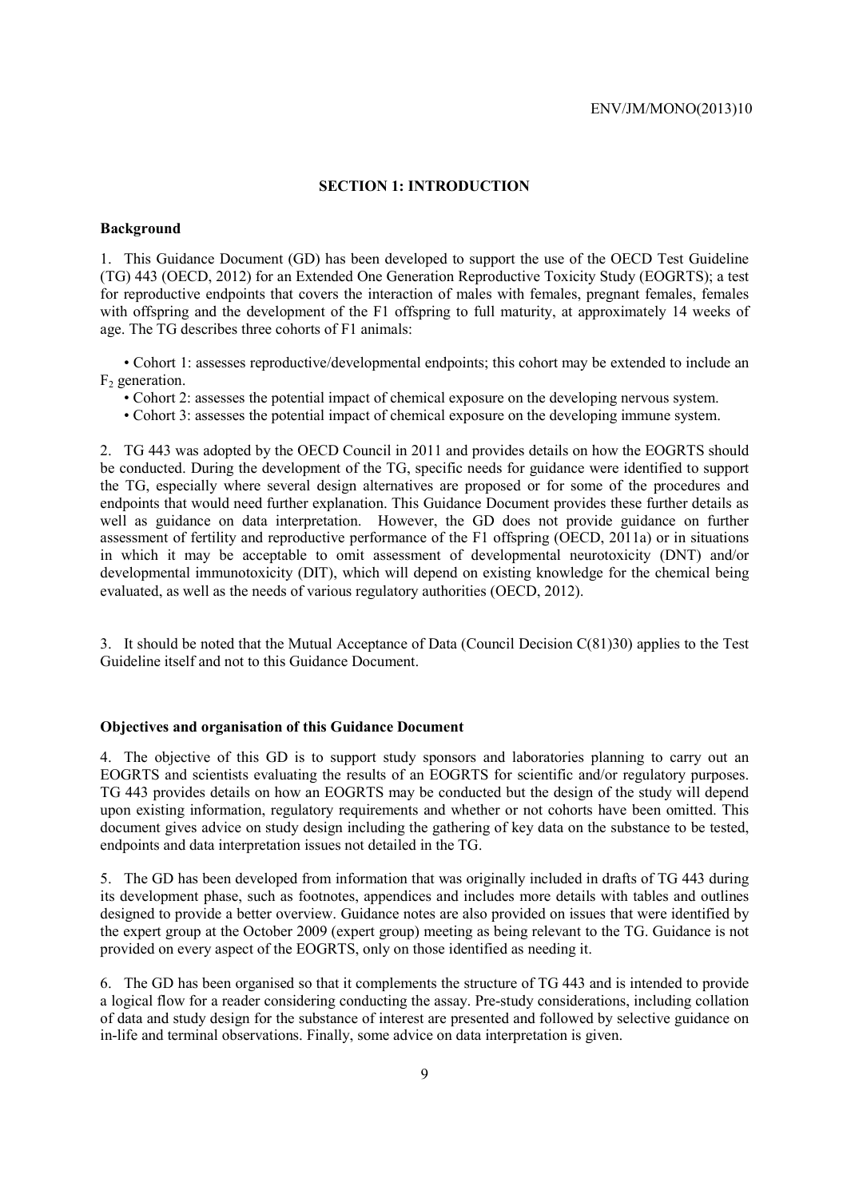# **SECTION 1: INTRODUCTION**

# **Background**

1. This Guidance Document (GD) has been developed to support the use of the OECD Test Guideline (TG) 443 (OECD, 2012) for an Extended One Generation Reproductive Toxicity Study (EOGRTS); a test for reproductive endpoints that covers the interaction of males with females, pregnant females, females with offspring and the development of the F1 offspring to full maturity, at approximately 14 weeks of age. The TG describes three cohorts of F1 animals:

• Cohort 1: assesses reproductive/developmental endpoints; this cohort may be extended to include an  $F<sub>2</sub>$  generation.

- Cohort 2: assesses the potential impact of chemical exposure on the developing nervous system.
- Cohort 3: assesses the potential impact of chemical exposure on the developing immune system.

2. TG 443 was adopted by the OECD Council in 2011 and provides details on how the EOGRTS should be conducted. During the development of the TG, specific needs for guidance were identified to support the TG, especially where several design alternatives are proposed or for some of the procedures and endpoints that would need further explanation. This Guidance Document provides these further details as well as guidance on data interpretation. However, the GD does not provide guidance on further assessment of fertility and reproductive performance of the F1 offspring (OECD, 2011a) or in situations in which it may be acceptable to omit assessment of developmental neurotoxicity (DNT) and/or developmental immunotoxicity (DIT), which will depend on existing knowledge for the chemical being evaluated, as well as the needs of various regulatory authorities (OECD, 2012).

3. It should be noted that the Mutual Acceptance of Data (Council Decision C(81)30) applies to the Test Guideline itself and not to this Guidance Document.

# **Objectives and organisation of this Guidance Document**

4. The objective of this GD is to support study sponsors and laboratories planning to carry out an EOGRTS and scientists evaluating the results of an EOGRTS for scientific and/or regulatory purposes. TG 443 provides details on how an EOGRTS may be conducted but the design of the study will depend upon existing information, regulatory requirements and whether or not cohorts have been omitted. This document gives advice on study design including the gathering of key data on the substance to be tested, endpoints and data interpretation issues not detailed in the TG.

5. The GD has been developed from information that was originally included in drafts of TG 443 during its development phase, such as footnotes, appendices and includes more details with tables and outlines designed to provide a better overview. Guidance notes are also provided on issues that were identified by the expert group at the October 2009 (expert group) meeting as being relevant to the TG. Guidance is not provided on every aspect of the EOGRTS, only on those identified as needing it.

6. The GD has been organised so that it complements the structure of TG 443 and is intended to provide a logical flow for a reader considering conducting the assay. Pre-study considerations, including collation of data and study design for the substance of interest are presented and followed by selective guidance on in-life and terminal observations. Finally, some advice on data interpretation is given.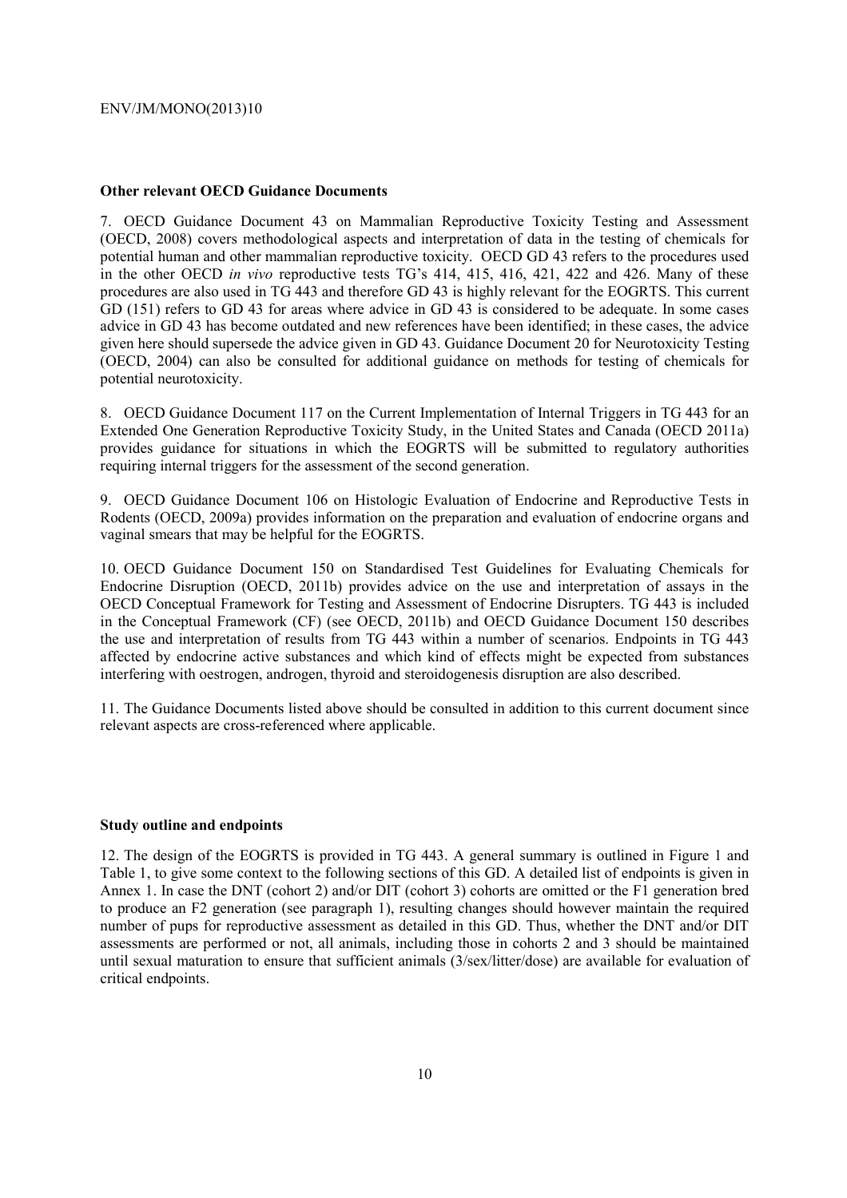#### **Other relevant OECD Guidance Documents**

7. OECD Guidance Document 43 on Mammalian Reproductive Toxicity Testing and Assessment (OECD, 2008) covers methodological aspects and interpretation of data in the testing of chemicals for potential human and other mammalian reproductive toxicity. OECD GD 43 refers to the procedures used in the other OECD *in vivo* reproductive tests TG's 414, 415, 416, 421, 422 and 426. Many of these procedures are also used in TG 443 and therefore GD 43 is highly relevant for the EOGRTS. This current GD (151) refers to GD 43 for areas where advice in GD 43 is considered to be adequate. In some cases advice in GD 43 has become outdated and new references have been identified; in these cases, the advice given here should supersede the advice given in GD 43. Guidance Document 20 for Neurotoxicity Testing (OECD, 2004) can also be consulted for additional guidance on methods for testing of chemicals for potential neurotoxicity.

8. OECD Guidance Document 117 on the Current Implementation of Internal Triggers in TG 443 for an Extended One Generation Reproductive Toxicity Study, in the United States and Canada (OECD 2011a) provides guidance for situations in which the EOGRTS will be submitted to regulatory authorities requiring internal triggers for the assessment of the second generation.

9. OECD Guidance Document 106 on Histologic Evaluation of Endocrine and Reproductive Tests in Rodents (OECD, 2009a) provides information on the preparation and evaluation of endocrine organs and vaginal smears that may be helpful for the EOGRTS.

10. OECD Guidance Document 150 on Standardised Test Guidelines for Evaluating Chemicals for Endocrine Disruption (OECD, 2011b) provides advice on the use and interpretation of assays in the OECD Conceptual Framework for Testing and Assessment of Endocrine Disrupters. TG 443 is included in the Conceptual Framework (CF) (see OECD, 2011b) and OECD Guidance Document 150 describes the use and interpretation of results from TG 443 within a number of scenarios. Endpoints in TG 443 affected by endocrine active substances and which kind of effects might be expected from substances interfering with oestrogen, androgen, thyroid and steroidogenesis disruption are also described.

11. The Guidance Documents listed above should be consulted in addition to this current document since relevant aspects are cross-referenced where applicable.

#### **Study outline and endpoints**

12. The design of the EOGRTS is provided in TG 443. A general summary is outlined in Figure 1 and Table 1, to give some context to the following sections of this GD. A detailed list of endpoints is given in Annex 1. In case the DNT (cohort 2) and/or DIT (cohort 3) cohorts are omitted or the F1 generation bred to produce an F2 generation (see paragraph 1), resulting changes should however maintain the required number of pups for reproductive assessment as detailed in this GD. Thus, whether the DNT and/or DIT assessments are performed or not, all animals, including those in cohorts 2 and 3 should be maintained until sexual maturation to ensure that sufficient animals (3/sex/litter/dose) are available for evaluation of critical endpoints.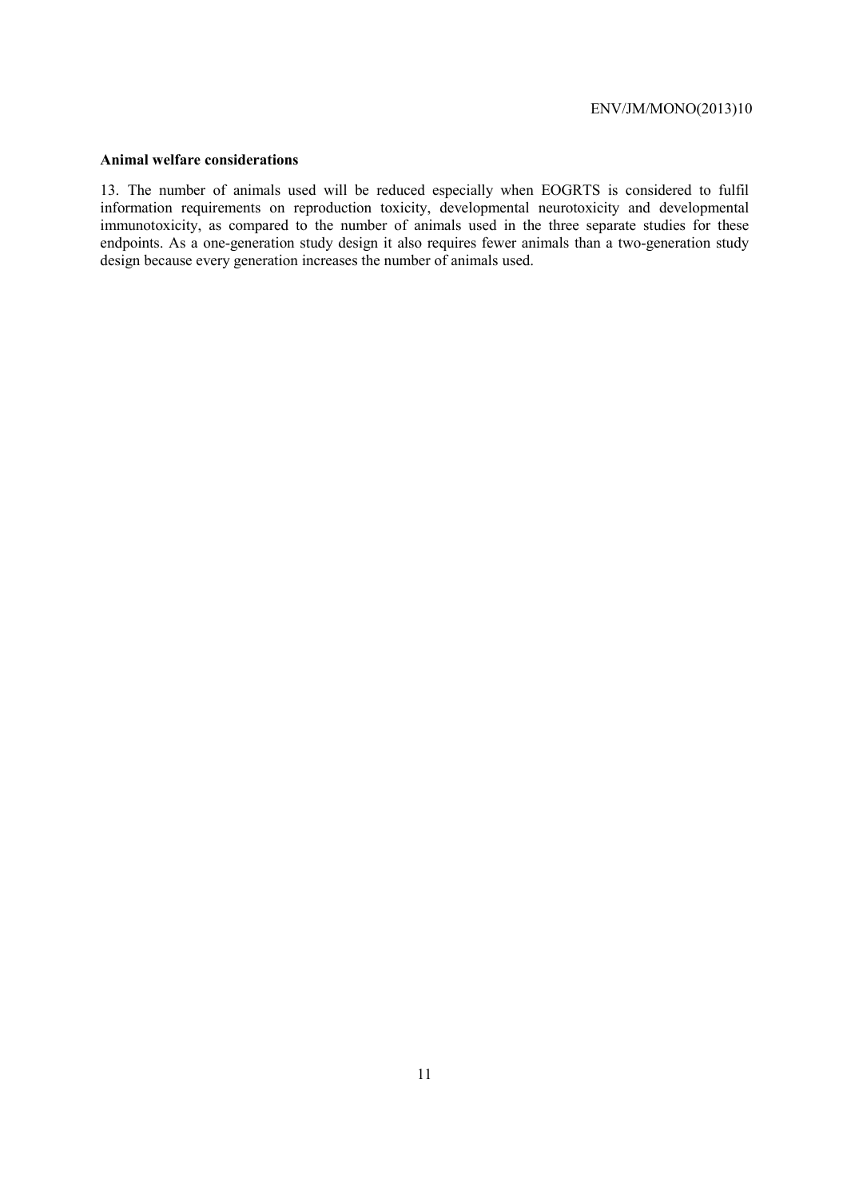#### **Animal welfare considerations**

13. The number of animals used will be reduced especially when EOGRTS is considered to fulfil information requirements on reproduction toxicity, developmental neurotoxicity and developmental immunotoxicity, as compared to the number of animals used in the three separate studies for these endpoints. As a one-generation study design it also requires fewer animals than a two-generation study endpoints. design because every generation increases the number of animals used.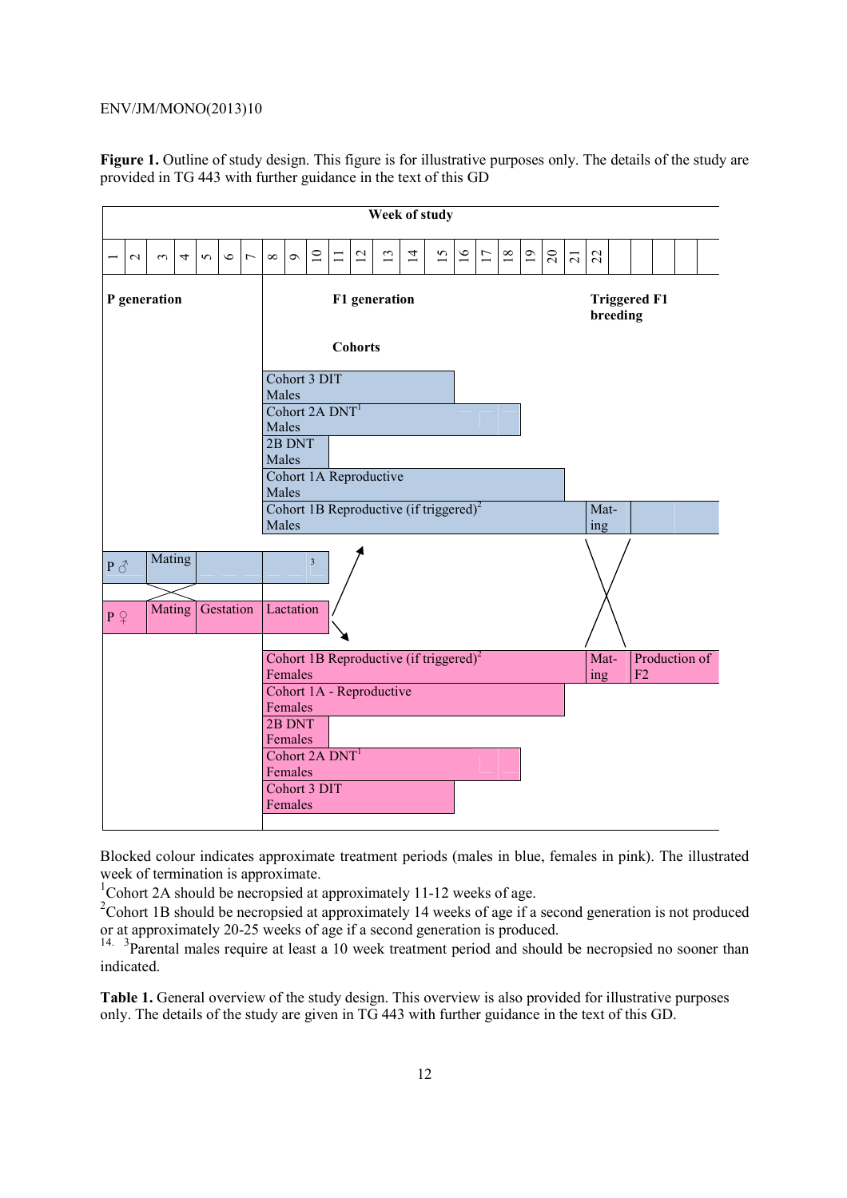**Figure 1.** Outline of study design. This figure is for illustrative purposes only. The details of the study are provided in TG 443 with further guidance in the text of this GD

|                          |        |               |        |           |                |          |                                       |                 |        |                |                          |                | Week of study                                      |                 |                |                 |        |                 |             |          |                     |               |  |
|--------------------------|--------|---------------|--------|-----------|----------------|----------|---------------------------------------|-----------------|--------|----------------|--------------------------|----------------|----------------------------------------------------|-----------------|----------------|-----------------|--------|-----------------|-------------|----------|---------------------|---------------|--|
| $\overline{\phantom{0}}$ | $\sim$ | $\sim$<br>4   | $\sim$ | $\circ$   | $\overline{ }$ | $\infty$ | $\sigma$                              | $\overline{10}$ | $\Box$ | $\overline{c}$ | 13                       | $\overline{1}$ | 15                                                 | $\overline{91}$ | $\frac{5}{18}$ | $\overline{19}$ | $20\,$ | $\overline{21}$ | 22          |          |                     |               |  |
|                          |        | P generation  |        |           |                |          |                                       |                 |        |                | F1 generation            |                |                                                    |                 |                |                 |        |                 |             | breeding | <b>Triggered F1</b> |               |  |
|                          |        |               |        |           |                |          |                                       |                 |        | <b>Cohorts</b> |                          |                |                                                    |                 |                |                 |        |                 |             |          |                     |               |  |
|                          |        |               |        |           |                | Males    | Cohort 3 DIT                          |                 |        |                |                          |                |                                                    |                 |                |                 |        |                 |             |          |                     |               |  |
|                          |        |               |        |           |                | Males    | Cohort 2A DNT <sup>1</sup>            |                 |        |                |                          |                |                                                    |                 |                |                 |        |                 |             |          |                     |               |  |
|                          |        |               |        |           |                | Males    | 2B DNT                                |                 |        |                | Cohort 1A Reproductive   |                |                                                    |                 |                |                 |        |                 |             |          |                     |               |  |
|                          |        |               |        |           |                | Males    |                                       |                 |        |                |                          |                | Cohort 1B Reproductive (if triggered) <sup>2</sup> |                 |                |                 |        |                 | Mat-        |          |                     |               |  |
|                          |        |               |        |           |                | Males    |                                       |                 |        |                |                          |                |                                                    |                 |                |                 |        |                 | ing         |          |                     |               |  |
| $P \n\delta$             |        | Mating        |        |           |                |          |                                       | $\overline{3}$  |        |                |                          |                |                                                    |                 |                |                 |        |                 |             |          |                     |               |  |
| $P \nsubseteq$           |        | <b>Mating</b> |        | Gestation |                |          | Lactation                             |                 |        |                |                          |                |                                                    |                 |                |                 |        |                 |             |          |                     |               |  |
|                          |        |               |        |           |                |          | Females                               |                 |        |                |                          |                | Cohort 1B Reproductive (if triggered) <sup>2</sup> |                 |                |                 |        |                 | Mat-<br>ing |          | F2                  | Production of |  |
|                          |        |               |        |           |                |          | Females                               |                 |        |                | Cohort 1A - Reproductive |                |                                                    |                 |                |                 |        |                 |             |          |                     |               |  |
|                          |        |               |        |           |                |          | 2B DNT<br>Females                     |                 |        |                |                          |                |                                                    |                 |                |                 |        |                 |             |          |                     |               |  |
|                          |        |               |        |           |                |          | Cohort 2A DNT <sup>1</sup><br>Females |                 |        |                |                          |                |                                                    |                 |                |                 |        |                 |             |          |                     |               |  |
|                          |        |               |        |           |                |          | Cohort 3 DIT<br>Females               |                 |        |                |                          |                |                                                    |                 |                |                 |        |                 |             |          |                     |               |  |

Blocked colour indicates approximate treatment periods (males in blue, females in pink). The illustrated week of termination is approximate.

<sup>1</sup>Cohort 2A should be necropsied at approximately 11-12 weeks of age.

<sup>2</sup>Cohort 1B should be necropsied at approximately 14 weeks of age if a second generation is not produced or at approximately 20-25 weeks of age if a second generation is produced.

 $14.$  3 $P$ arental males require at least a 10 week treatment period and should be necropsied no sooner than indicated.

Table 1. General overview of the study design. This overview is also provided for illustrative purposes only. The details of the study are given in TG 443 with further guidance in the text of this GD.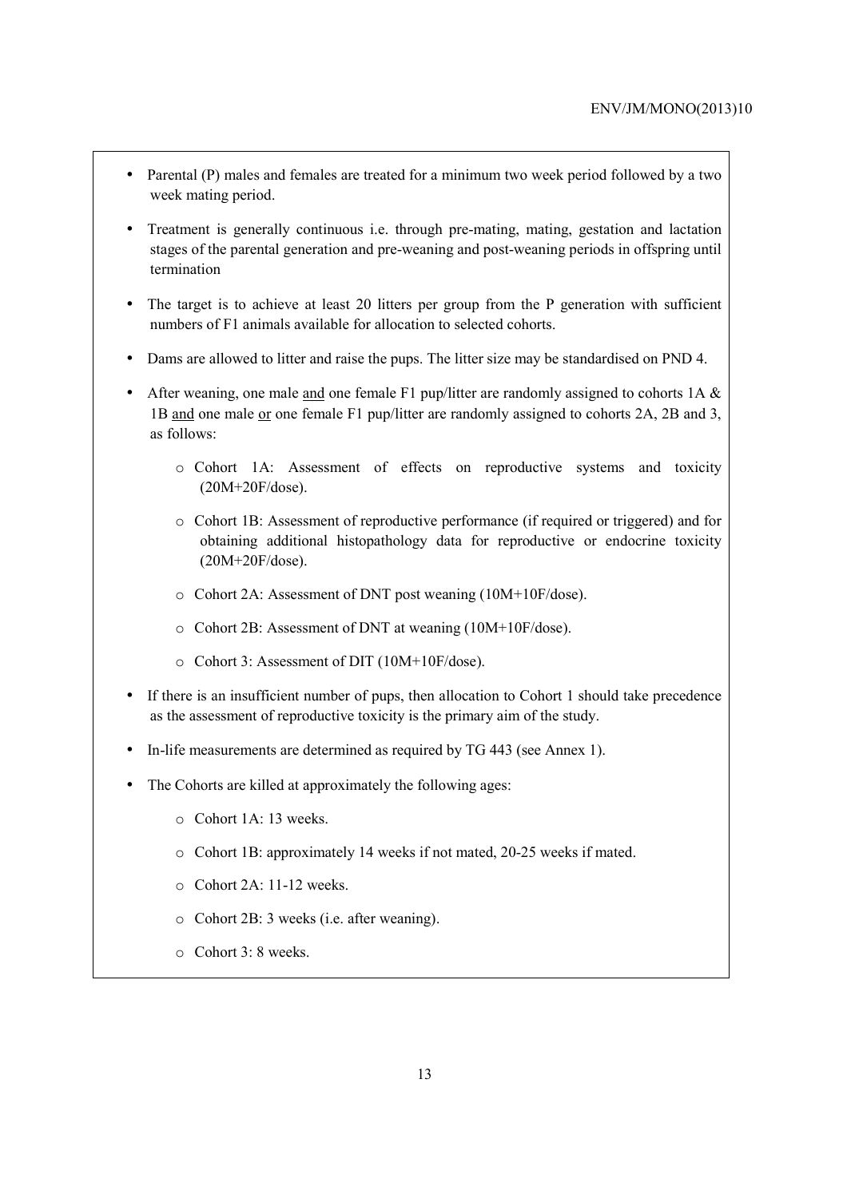- Parental (P) males and females are treated for a minimum two week period followed by a two week mating period.
- Treatment is generally continuous i.e. through pre-mating, mating, gestation and lactation stages of the parental generation and pre-weaning and post-weaning periods in offspring until termination
- The target is to achieve at least 20 litters per group from the P generation with sufficient numbers of F1 animals available for allocation to selected cohorts.
- Dams are allowed to litter and raise the pups. The litter size may be standardised on PND 4.
- After weaning, one male and one female F1 pup/litter are randomly assigned to cohorts 1A  $\&$ 1B and one male or one female F1 pup/litter are randomly assigned to cohorts 2A, 2B and 3, as follows:
	- o Cohort 1A: Assessment of effects on reproductive systems and toxicity (20M+20F/dose).
	- o Cohort 1B: Assessment of reproductive performance (if required or triggered) and for obtaining additional histopathology data for reproductive or endocrine toxicity (20M+20F/dose).
	- o Cohort 2A: Assessment of DNT post weaning (10M+10F/dose).
	- o Cohort 2B: Assessment of DNT at weaning (10M+10F/dose).
	- o Cohort 3: Assessment of DIT (10M+10F/dose).
- If there is an insufficient number of pups, then allocation to Cohort 1 should take precedence as the assessment of reproductive toxicity is the primary aim of the study.
- In-life measurements are determined as required by TG 443 (see Annex 1).
- The Cohorts are killed at approximately the following ages:
	- o Cohort 1A: 13 weeks.
	- o Cohort 1B: approximately 14 weeks if not mated, 20-25 weeks if mated.
	- o Cohort 2A: 11-12 weeks.
	- o Cohort 2B: 3 weeks (i.e. after weaning).
	- o Cohort 3: 8 weeks.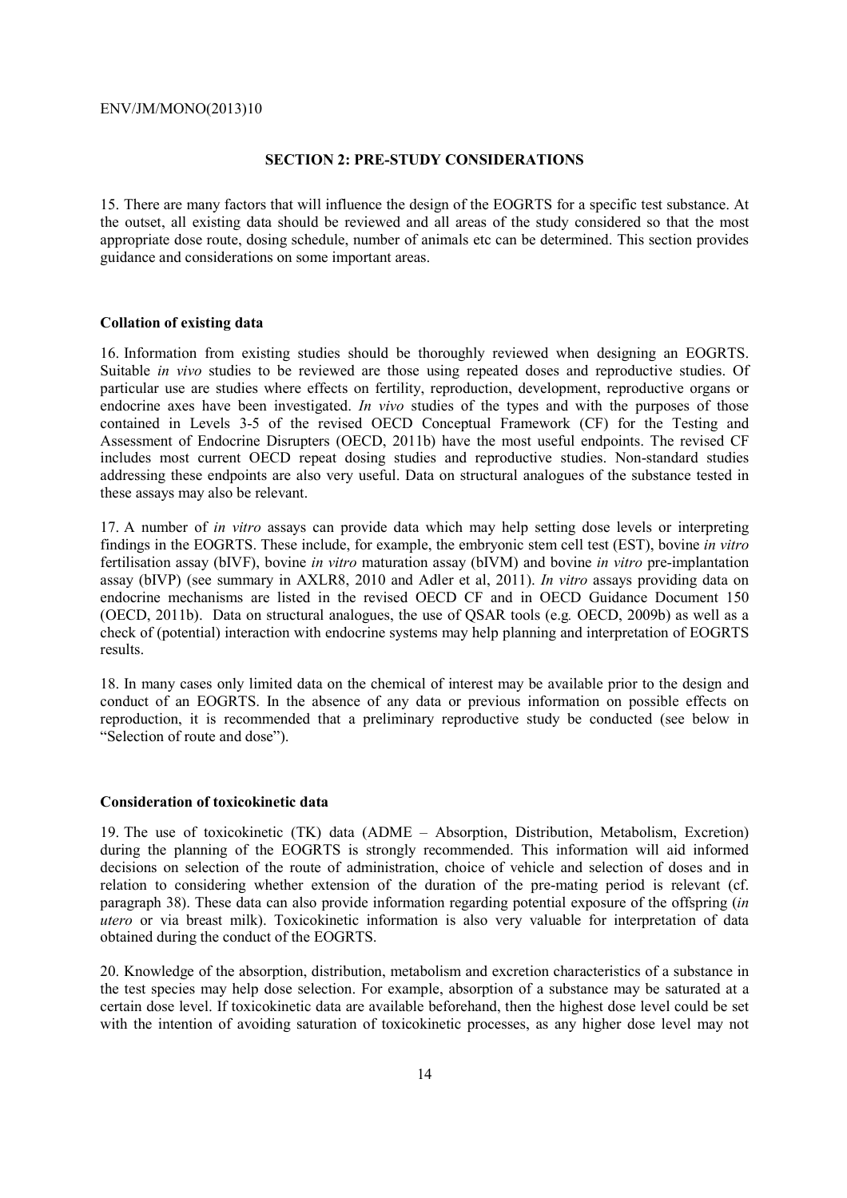#### **SECTION 2: PRE-STUDY CONSIDERATIONS**

15. There are many factors that will influence the design of the EOGRTS for a specific test substance. At the outset, all existing data should be reviewed and all areas of the study considered so that the most appropriate dose route, dosing schedule, number of animals etc can be determined. This section provides guidance and considerations on some important areas.

#### **Collation of existing data**

16. Information from existing studies should be thoroughly reviewed when designing an EOGRTS. Suitable *in vivo* studies to be reviewed are those using repeated doses and reproductive studies. Of particular use are studies where effects on fertility, reproduction, development, reproductive organs or endocrine axes have been investigated. *In vivo* studies of the types and with the purposes of those contained in Levels 3-5 of the revised OECD Conceptual Framework (CF) for the Testing and Assessment of Endocrine Disrupters (OECD, 2011b) have the most useful endpoints. The revised CF includes most current OECD repeat dosing studies and reproductive studies. Non-standard studies addressing these endpoints are also very useful. Data on structural analogues of the substance tested in these assays may also be relevant.

17. A number of *in vitro* assays can provide data which may help setting dose levels or interpreting findings in the EOGRTS. These include, for example, the embryonic stem cell test (EST), bovine *in vitro* fertilisation assay (bIVF), bovine *in vitro* maturation assay (bIVM) and bovine *in vitro* pre-implantation assay (bIVP) (see summary in AXLR8, 2010 and Adler et al, 2011). *In vitro* assays providing data on endocrine mechanisms are listed in the revised OECD CF and in OECD Guidance Document 150 (OECD, 2011b). Data on structural analogues, the use of QSAR tools (e.g*.* OECD, 2009b) as well as a check of (potential) interaction with endocrine systems may help planning and interpretation of EOGRTS results.

18. In many cases only limited data on the chemical of interest may be available prior to the design and conduct of an EOGRTS. In the absence of any data or previous information on possible effects on reproduction, it is recommended that a preliminary reproductive study be conducted (see below in "Selection of route and dose").

#### **Consideration of toxicokinetic data**

19. The use of toxicokinetic (TK) data (ADME – Absorption, Distribution, Metabolism, Excretion) during the planning of the EOGRTS is strongly recommended. This information will aid informed decisions on selection of the route of administration, choice of vehicle and selection of doses and in relation to considering whether extension of the duration of the pre-mating period is relevant (cf. paragraph 38). These data can also provide information regarding potential exposure of the offspring (*in utero* or via breast milk). Toxicokinetic information is also very valuable for interpretation of data obtained during the conduct of the EOGRTS.

20. Knowledge of the absorption, distribution, metabolism and excretion characteristics of a substance in the test species may help dose selection. For example, absorption of a substance may be saturated at a certain dose level. If toxicokinetic data are available beforehand, then the highest dose level could be set with the intention of avoiding saturation of toxicokinetic processes, as any higher dose level may not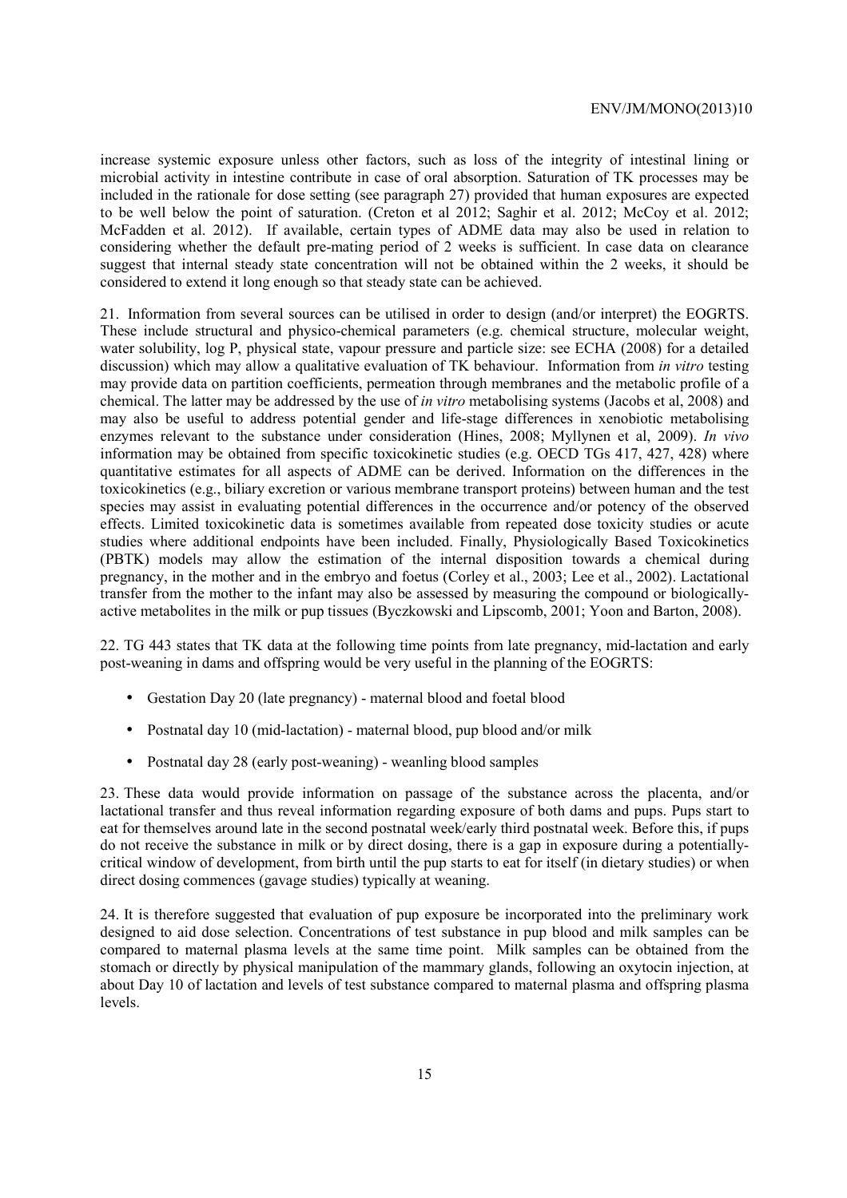increase systemic exposure unless other factors, such as loss of the integrity of intestinal lining or microbial activity in intestine contribute in case of oral absorption. Saturation of TK processes may be included in the rationale for dose setting (see paragraph 27) provided that human exposures are expected to be well below the point of saturation. (Creton et al 2012; Saghir et al. 2012; McCoy et al. 2012; McFadden et al. 2012). If available, certain types of ADME data may also be used in relation to considering whether the default pre-mating period of 2 weeks is sufficient. In case data on clearance suggest that internal steady state concentration will not be obtained within the 2 weeks, it should be considered to extend it long enough so that steady state can be achieved.

21. Information from several sources can be utilised in order to design (and/or interpret) the EOGRTS. These include structural and physico-chemical parameters (e.g. chemical structure, molecular weight, water solubility, log P, physical state, vapour pressure and particle size: see ECHA (2008) for a detailed discussion) which may allow a qualitative evaluation of TK behaviour. Information from *in vitro* testing may provide data on partition coefficients, permeation through membranes and the metabolic profile of a chemical. The latter may be addressed by the use of *in vitro* metabolising systems (Jacobs et al, 2008) and may also be useful to address potential gender and life-stage differences in xenobiotic metabolising enzymes relevant to the substance under consideration (Hines, 2008; Myllynen et al, 2009). *In vivo* information may be obtained from specific toxicokinetic studies (e.g. OECD TGs 417, 427, 428) where quantitative estimates for all aspects of ADME can be derived. Information on the differences in the toxicokinetics (e.g., biliary excretion or various membrane transport proteins) between human and the test species may assist in evaluating potential differences in the occurrence and/or potency of the observed effects. Limited toxicokinetic data is sometimes available from repeated dose toxicity studies or acute studies where additional endpoints have been included. Finally, Physiologically Based Toxicokinetics (PBTK) models may allow the estimation of the internal disposition towards a chemical during pregnancy, in the mother and in the embryo and foetus (Corley et al., 2003; Lee et al., 2002). Lactational transfer from the mother to the infant may also be assessed by measuring the compound or biologicallyactive metabolites in the milk or pup tissues (Byczkowski and Lipscomb, 2001; Yoon and Barton, 2008).

22. TG 443 states that TK data at the following time points from late pregnancy, mid-lactation and early post-weaning in dams and offspring would be very useful in the planning of the EOGRTS:

- Gestation Day 20 (late pregnancy) maternal blood and foetal blood
- Postnatal day 10 (mid-lactation) maternal blood, pup blood and/or milk
- Postnatal day 28 (early post-weaning) weanling blood samples

23. These data would provide information on passage of the substance across the placenta, and/or lactational transfer and thus reveal information regarding exposure of both dams and pups. Pups start to eat for themselves around late in the second postnatal week/early third postnatal week. Before this, if pups do not receive the substance in milk or by direct dosing, there is a gap in exposure during a potentiallycritical window of development, from birth until the pup starts to eat for itself (in dietary studies) or when direct dosing commences (gavage studies) typically at weaning.

24. It is therefore suggested that evaluation of pup exposure be incorporated into the preliminary work designed to aid dose selection. Concentrations of test substance in pup blood and milk samples can be compared to maternal plasma levels at the same time point. Milk samples can be obtained from the stomach or directly by physical manipulation of the mammary glands, following an oxytocin injection, at about Day 10 of lactation and levels of test substance compared to maternal plasma and offspring plasma levels.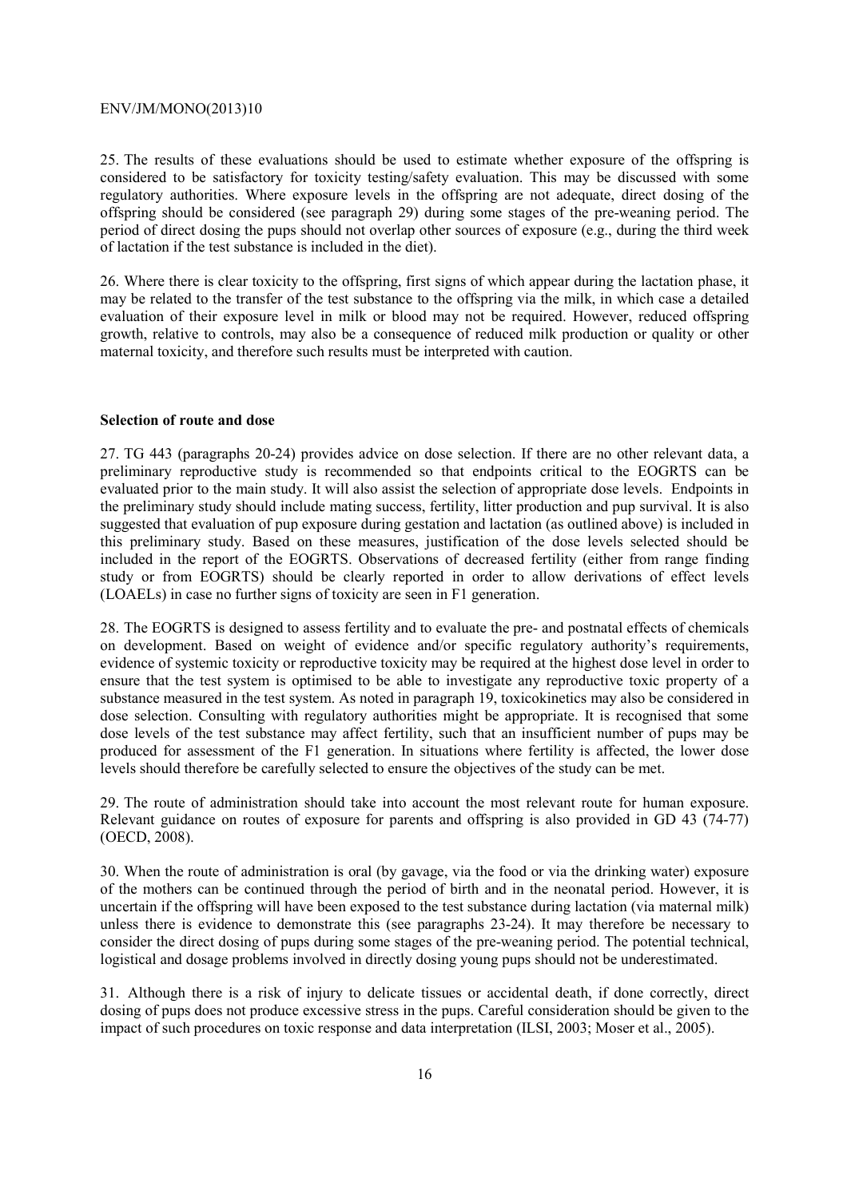25. The results of these evaluations should be used to estimate whether exposure of the offspring is considered to be satisfactory for toxicity testing/safety evaluation. This may be discussed with some regulatory authorities. Where exposure levels in the offspring are not adequate, direct dosing of the offspring should be considered (see paragraph 29) during some stages of the pre-weaning period. The period of direct dosing the pups should not overlap other sources of exposure (e.g., during the third week of lactation if the test substance is included in the diet).

26. Where there is clear toxicity to the offspring, first signs of which appear during the lactation phase, it may be related to the transfer of the test substance to the offspring via the milk, in which case a detailed evaluation of their exposure level in milk or blood may not be required. However, reduced offspring growth, relative to controls, may also be a consequence of reduced milk production or quality or other maternal toxicity, and therefore such results must be interpreted with caution.

#### **Selection of route and dose**

27. TG 443 (paragraphs 20-24) provides advice on dose selection. If there are no other relevant data, a preliminary reproductive study is recommended so that endpoints critical to the EOGRTS can be evaluated prior to the main study. It will also assist the selection of appropriate dose levels. Endpoints in the preliminary study should include mating success, fertility, litter production and pup survival. It is also suggested that evaluation of pup exposure during gestation and lactation (as outlined above) is included in this preliminary study. Based on these measures, justification of the dose levels selected should be included in the report of the EOGRTS. Observations of decreased fertility (either from range finding study or from EOGRTS) should be clearly reported in order to allow derivations of effect levels (LOAELs) in case no further signs of toxicity are seen in F1 generation.

28. The EOGRTS is designed to assess fertility and to evaluate the pre- and postnatal effects of chemicals on development. Based on weight of evidence and/or specific regulatory authority's requirements, evidence of systemic toxicity or reproductive toxicity may be required at the highest dose level in order to ensure that the test system is optimised to be able to investigate any reproductive toxic property of a substance measured in the test system. As noted in paragraph 19, toxicokinetics may also be considered in dose selection. Consulting with regulatory authorities might be appropriate. It is recognised that some dose levels of the test substance may affect fertility, such that an insufficient number of pups may be produced for assessment of the F1 generation. In situations where fertility is affected, the lower dose levels should therefore be carefully selected to ensure the objectives of the study can be met.

29. The route of administration should take into account the most relevant route for human exposure. Relevant guidance on routes of exposure for parents and offspring is also provided in GD 43 (74-77) (OECD, 2008).

30. When the route of administration is oral (by gavage, via the food or via the drinking water) exposure of the mothers can be continued through the period of birth and in the neonatal period. However, it is uncertain if the offspring will have been exposed to the test substance during lactation (via maternal milk) unless there is evidence to demonstrate this (see paragraphs 23-24). It may therefore be necessary to consider the direct dosing of pups during some stages of the pre-weaning period. The potential technical, logistical and dosage problems involved in directly dosing young pups should not be underestimated.

31. Although there is a risk of injury to delicate tissues or accidental death, if done correctly, direct dosing of pups does not produce excessive stress in the pups. Careful consideration should be given to the impact of such procedures on toxic response and data interpretation (ILSI, 2003; Moser et al., 2005).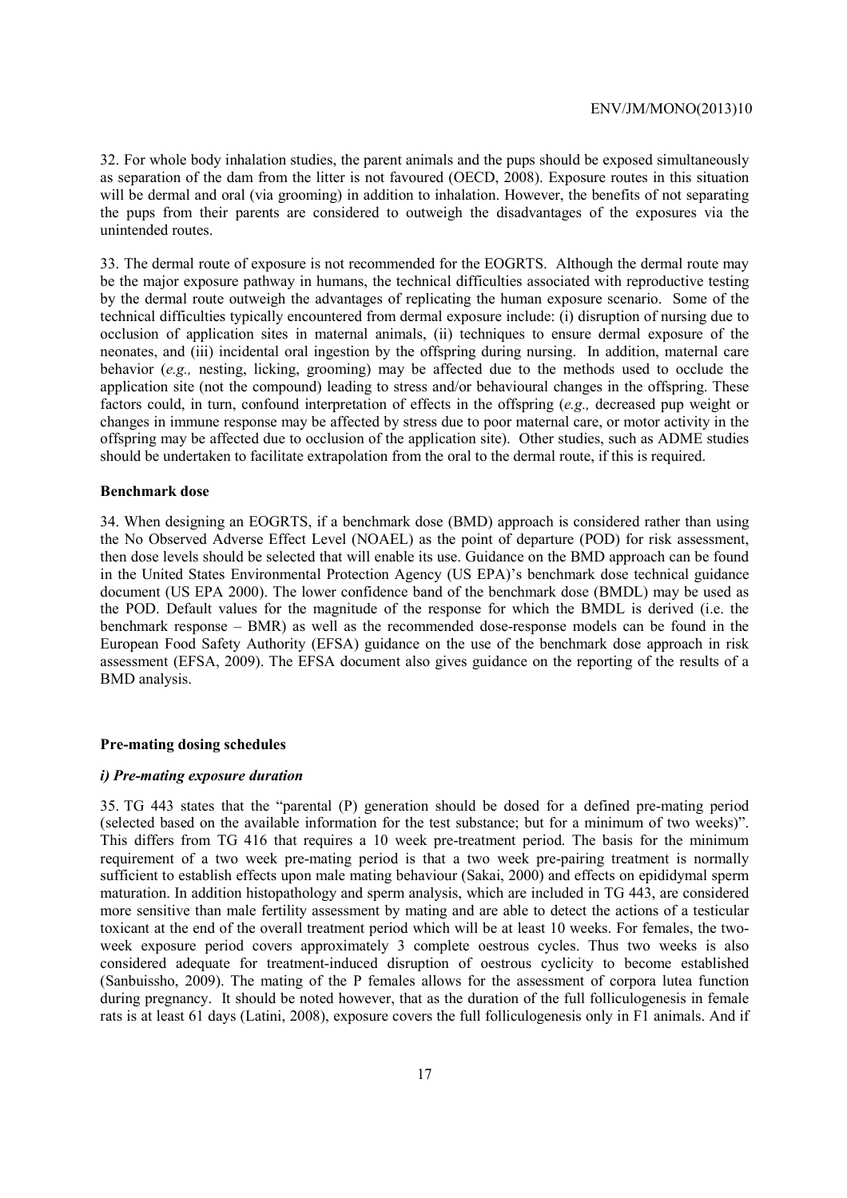32. For whole body inhalation studies, the parent animals and the pups should be exposed simultaneously as separation of the dam from the litter is not favoured (OECD, 2008). Exposure routes in this situation will be dermal and oral (via grooming) in addition to inhalation. However, the benefits of not separating the pups from their parents are considered to outweigh the disadvantages of the exposures via the unintended routes.

33. The dermal route of exposure is not recommended for the EOGRTS. Although the dermal route may be the major exposure pathway in humans, the technical difficulties associated with reproductive testing by the dermal route outweigh the advantages of replicating the human exposure scenario. Some of the technical difficulties typically encountered from dermal exposure include: (i) disruption of nursing due to occlusion of application sites in maternal animals, (ii) techniques to ensure dermal exposure of the neonates, and (iii) incidental oral ingestion by the offspring during nursing. In addition, maternal care behavior (*e.g.,* nesting, licking, grooming) may be affected due to the methods used to occlude the application site (not the compound) leading to stress and/or behavioural changes in the offspring. These factors could, in turn, confound interpretation of effects in the offspring (*e.g.,* decreased pup weight or changes in immune response may be affected by stress due to poor maternal care, or motor activity in the offspring may be affected due to occlusion of the application site). Other studies, such as ADME studies should be undertaken to facilitate extrapolation from the oral to the dermal route, if this is required.

#### **Benchmark dose**

34. When designing an EOGRTS, if a benchmark dose (BMD) approach is considered rather than using the No Observed Adverse Effect Level (NOAEL) as the point of departure (POD) for risk assessment, then dose levels should be selected that will enable its use. Guidance on the BMD approach can be found in the United States Environmental Protection Agency (US EPA)'s benchmark dose technical guidance document (US EPA 2000). The lower confidence band of the benchmark dose (BMDL) may be used as the POD. Default values for the magnitude of the response for which the BMDL is derived (i.e. the benchmark response – BMR) as well as the recommended dose-response models can be found in the European Food Safety Authority (EFSA) guidance on the use of the benchmark dose approach in risk assessment (EFSA, 2009). The EFSA document also gives guidance on the reporting of the results of a BMD analysis.

# **Pre-mating dosing schedules**

# *i) Pre-mating exposure duration*

35. TG 443 states that the "parental (P) generation should be dosed for a defined pre-mating period (selected based on the available information for the test substance; but for a minimum of two weeks)". This differs from TG 416 that requires a 10 week pre-treatment period. The basis for the minimum requirement of a two week pre-mating period is that a two week pre-pairing treatment is normally sufficient to establish effects upon male mating behaviour (Sakai, 2000) and effects on epididymal sperm maturation. In addition histopathology and sperm analysis, which are included in TG 443, are considered more sensitive than male fertility assessment by mating and are able to detect the actions of a testicular toxicant at the end of the overall treatment period which will be at least 10 weeks. For females, the twoweek exposure period covers approximately 3 complete oestrous cycles. Thus two weeks is also considered adequate for treatment-induced disruption of oestrous cyclicity to become established (Sanbuissho, 2009). The mating of the P females allows for the assessment of corpora lutea function during pregnancy. It should be noted however, that as the duration of the full folliculogenesis in female rats is at least 61 days (Latini, 2008), exposure covers the full folliculogenesis only in F1 animals. And if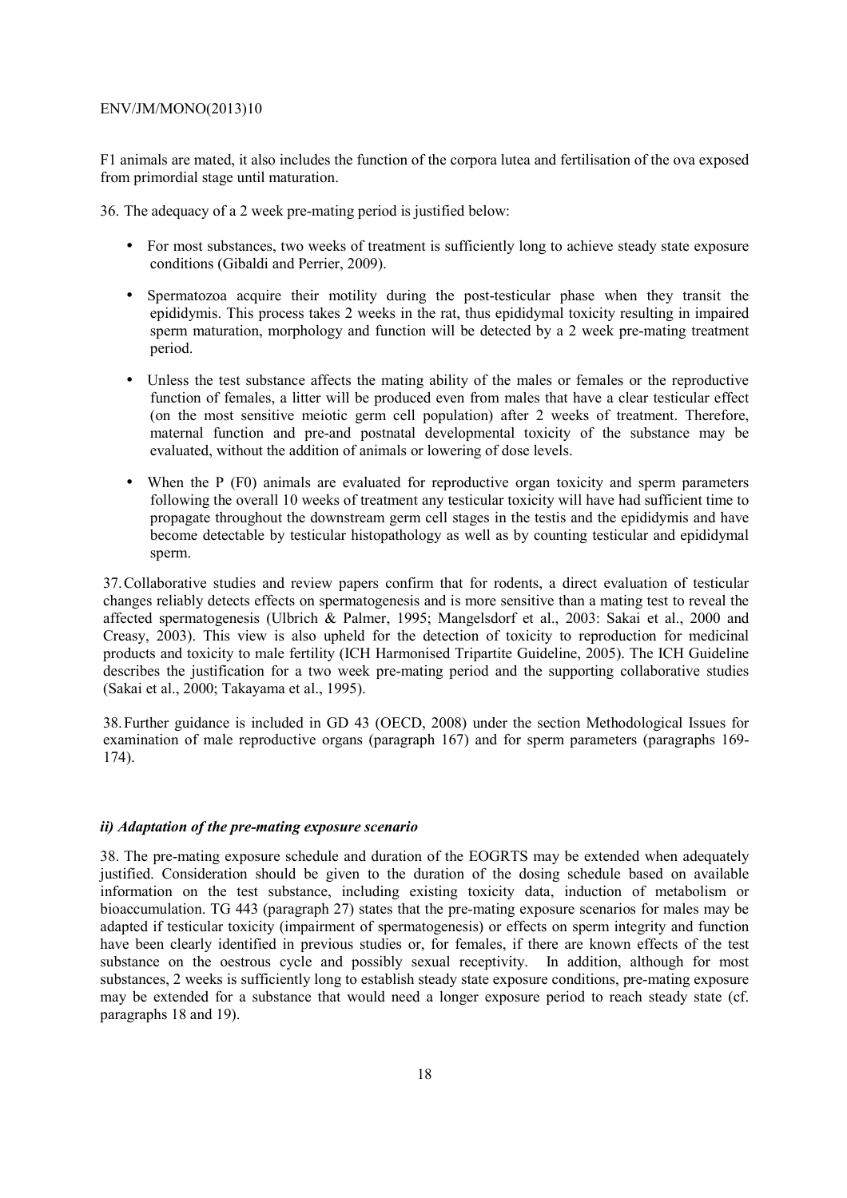F1 animals are mated, it also includes the function of the corpora lutea and fertilisation of the ova exposed from primordial stage until maturation.

36. The adequacy of a 2 week pre-mating period is justified below:

- For most substances, two weeks of treatment is sufficiently long to achieve steady state exposure conditions (Gibaldi and Perrier, 2009).
- Spermatozoa acquire their motility during the post-testicular phase when they transit the epididymis. This process takes 2 weeks in the rat, thus epididymal toxicity resulting in impaired sperm maturation, morphology and function will be detected by a 2 week pre-mating treatment period.
- Unless the test substance affects the mating ability of the males or females or the reproductive function of females, a litter will be produced even from males that have a clear testicular effect (on the most sensitive meiotic germ cell population) after 2 weeks of treatment. Therefore, maternal function and pre-and postnatal developmental toxicity of the substance may be evaluated, without the addition of animals or lowering of dose levels.
- When the P (F0) animals are evaluated for reproductive organ toxicity and sperm parameters following the overall 10 weeks of treatment any testicular toxicity will have had sufficient time to propagate throughout the downstream germ cell stages in the testis and the epididymis and have become detectable by testicular histopathology as well as by counting testicular and epididymal sperm.

37. Collaborative studies and review papers confirm that for rodents, a direct evaluation of testicular changes reliably detects effects on spermatogenesis and is more sensitive than a mating test to reveal the affected spermatogenesis (Ulbrich & Palmer, 1995; Mangelsdorf et al., 2003: Sakai et al., 2000 and Creasy, 2003). This view is also upheld for the detection of toxicity to reproduction for medicinal products and toxicity to male fertility (ICH Harmonised Tripartite Guideline, 2005). The ICH Guideline describes the justification for a two week pre-mating period and the supporting collaborative studies (Sakai et al., 2000; Takayama et al., 1995).

38. Further guidance is included in GD 43 (OECD, 2008) under the section Methodological Issues for examination of male reproductive organs (paragraph 167) and for sperm parameters (paragraphs 169- 174).

### *ii) Adaptation of the pre-mating exposure scenario*

38. The pre-mating exposure schedule and duration of the EOGRTS may be extended when adequately justified. Consideration should be given to the duration of the dosing schedule based on available information on the test substance, including existing toxicity data, induction of metabolism or bioaccumulation. TG 443 (paragraph 27) states that the pre-mating exposure scenarios for males may be adapted if testicular toxicity (impairment of spermatogenesis) or effects on sperm integrity and function have been clearly identified in previous studies or, for females, if there are known effects of the test substance on the oestrous cycle and possibly sexual receptivity. In addition, although for most substances, 2 weeks is sufficiently long to establish steady state exposure conditions, pre-mating exposure may be extended for a substance that would need a longer exposure period to reach steady state (cf. paragraphs 18 and 19).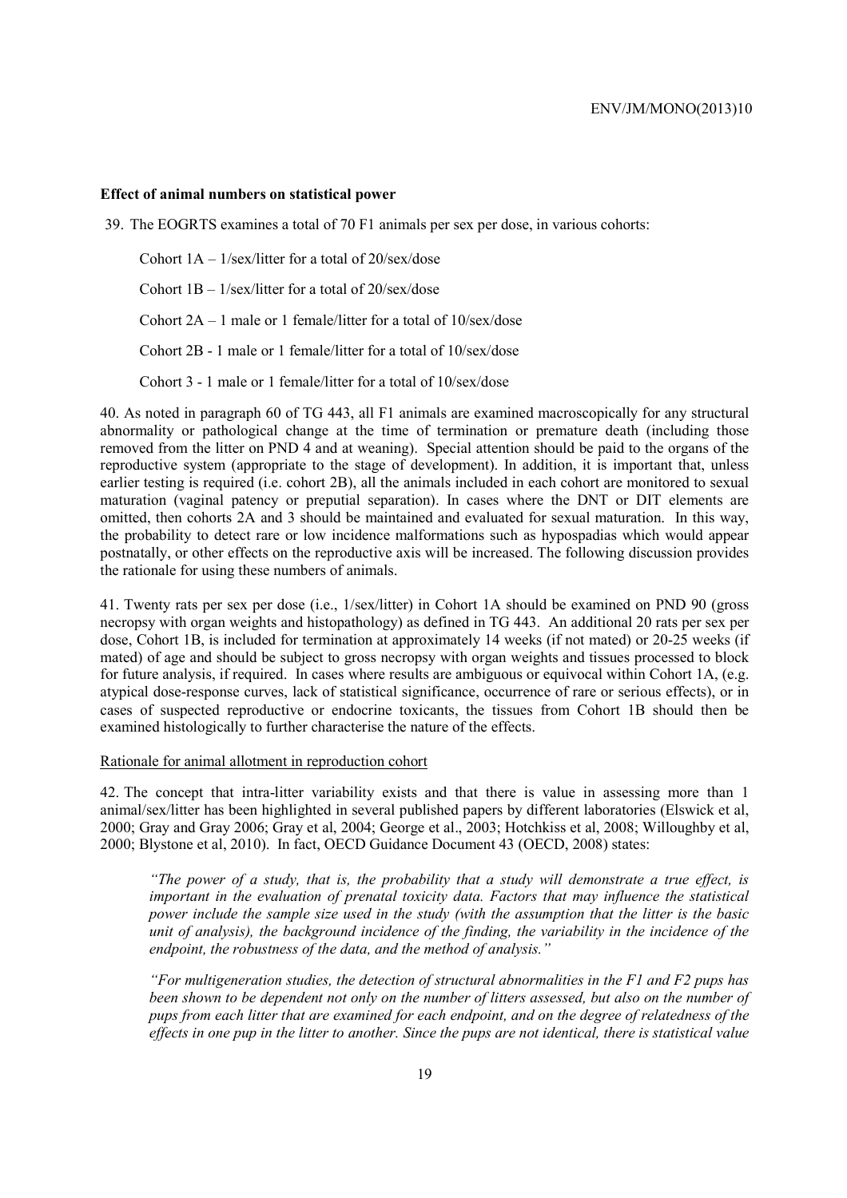### **Effect of animal numbers on statistical power**

39. The EOGRTS examines a total of 70 F1 animals per sex per dose, in various cohorts:

Cohort  $1A - 1$ /sex/litter for a total of  $20$ /sex/dose

Cohort  $1B - 1/\text{sex/litter}$  for a total of  $20/\text{sex}/\text{dose}$ 

Cohort 2A – 1 male or 1 female/litter for a total of 10/sex/dose

Cohort 2B - 1 male or 1 female/litter for a total of 10/sex/dose

Cohort 3 - 1 male or 1 female/litter for a total of 10/sex/dose

40. As noted in paragraph 60 of TG 443, all F1 animals are examined macroscopically for any structural abnormality or pathological change at the time of termination or premature death (including those removed from the litter on PND 4 and at weaning). Special attention should be paid to the organs of the reproductive system (appropriate to the stage of development). In addition, it is important that, unless earlier testing is required (i.e. cohort 2B), all the animals included in each cohort are monitored to sexual maturation (vaginal patency or preputial separation). In cases where the DNT or DIT elements are omitted, then cohorts 2A and 3 should be maintained and evaluated for sexual maturation. In this way, the probability to detect rare or low incidence malformations such as hypospadias which would appear postnatally, or other effects on the reproductive axis will be increased. The following discussion provides the rationale for using these numbers of animals.

41. Twenty rats per sex per dose (i.e., 1/sex/litter) in Cohort 1A should be examined on PND 90 (gross necropsy with organ weights and histopathology) as defined in TG 443. An additional 20 rats per sex per dose, Cohort 1B, is included for termination at approximately 14 weeks (if not mated) or 20-25 weeks (if mated) of age and should be subject to gross necropsy with organ weights and tissues processed to block for future analysis, if required. In cases where results are ambiguous or equivocal within Cohort 1A, (e.g. atypical dose-response curves, lack of statistical significance, occurrence of rare or serious effects), or in cases of suspected reproductive or endocrine toxicants, the tissues from Cohort 1B should then be examined histologically to further characterise the nature of the effects.

Rationale for animal allotment in reproduction cohort

42. The concept that intra-litter variability exists and that there is value in assessing more than 1 animal/sex/litter has been highlighted in several published papers by different laboratories (Elswick et al, 2000; Gray and Gray 2006; Gray et al, 2004; George et al., 2003; Hotchkiss et al, 2008; Willoughby et al, 2000; Blystone et al, 2010). In fact, OECD Guidance Document 43 (OECD, 2008) states:

*"The power of a study, that is, the probability that a study will demonstrate a true effect, is important in the evaluation of prenatal toxicity data. Factors that may influence the statistical power include the sample size used in the study (with the assumption that the litter is the basic unit of analysis), the background incidence of the finding, the variability in the incidence of the endpoint, the robustness of the data, and the method of analysis."* 

*"For multigeneration studies, the detection of structural abnormalities in the F1 and F2 pups has been shown to be dependent not only on the number of litters assessed, but also on the number of pups from each litter that are examined for each endpoint, and on the degree of relatedness of the effects in one pup in the litter to another. Since the pups are not identical, there is statistical value*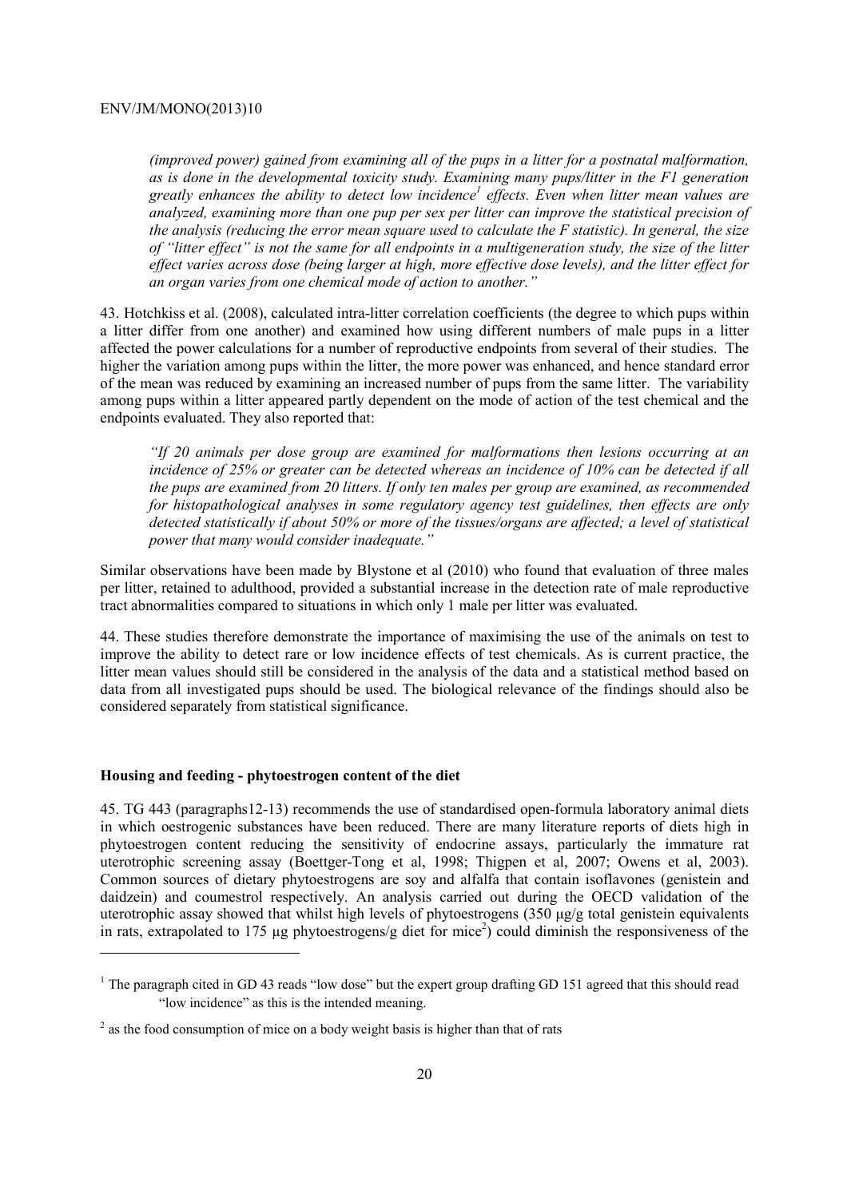*(improved power) gained from examining all of the pups in a litter for a postnatal malformation, as is done in the developmental toxicity study. Examining many pups/litter in the F1 generation*  greatly enhances the ability to detect low incidence<sup>1</sup> effects. Even when litter mean values are *analyzed, examining more than one pup per sex per litter can improve the statistical precision of the analysis (reducing the error mean square used to calculate the F statistic). In general, the size of "litter effect" is not the same for all endpoints in a multigeneration study, the size of the litter effect varies across dose (being larger at high, more effective dose levels), and the litter effect for an organ varies from one chemical mode of action to another."*

43. Hotchkiss et al. (2008), calculated intra-litter correlation coefficients (the degree to which pups within a litter differ from one another) and examined how using different numbers of male pups in a litter affected the power calculations for a number of reproductive endpoints from several of their studies. The higher the variation among pups within the litter, the more power was enhanced, and hence standard error of the mean was reduced by examining an increased number of pups from the same litter. The variability among pups within a litter appeared partly dependent on the mode of action of the test chemical and the endpoints evaluated. They also reported that:

*"If 20 animals per dose group are examined for malformations then lesions occurring at an incidence of 25% or greater can be detected whereas an incidence of 10% can be detected if all the pups are examined from 20 litters. If only ten males per group are examined, as recommended for histopathological analyses in some regulatory agency test guidelines, then effects are only detected statistically if about 50% or more of the tissues/organs are affected; a level of statistical power that many would consider inadequate."* 

Similar observations have been made by Blystone et al (2010) who found that evaluation of three males per litter, retained to adulthood, provided a substantial increase in the detection rate of male reproductive tract abnormalities compared to situations in which only 1 male per litter was evaluated.

44. These studies therefore demonstrate the importance of maximising the use of the animals on test to improve the ability to detect rare or low incidence effects of test chemicals. As is current practice, the litter mean values should still be considered in the analysis of the data and a statistical method based on data from all investigated pups should be used. The biological relevance of the findings should also be considered separately from statistical significance.

# **Housing and feeding - phytoestrogen content of the diet**

-

45. TG 443 (paragraphs12-13) recommends the use of standardised open-formula laboratory animal diets in which oestrogenic substances have been reduced. There are many literature reports of diets high in phytoestrogen content reducing the sensitivity of endocrine assays, particularly the immature rat uterotrophic screening assay (Boettger-Tong et al, 1998; Thigpen et al, 2007; Owens et al, 2003). Common sources of dietary phytoestrogens are soy and alfalfa that contain isoflavones (genistein and daidzein) and coumestrol respectively. An analysis carried out during the OECD validation of the uterotrophic assay showed that whilst high levels of phytoestrogens  $(350 \mu g/g)$  total genistein equivalents in rats, extrapolated to 175  $\mu$ g phytoestrogens/g diet for mice<sup>2</sup>) could diminish the responsiveness of the

<sup>&</sup>lt;sup>1</sup> The paragraph cited in GD 43 reads "low dose" but the expert group drafting GD 151 agreed that this should read "low incidence" as this is the intended meaning.

 $2^{2}$  as the food consumption of mice on a body weight basis is higher than that of rats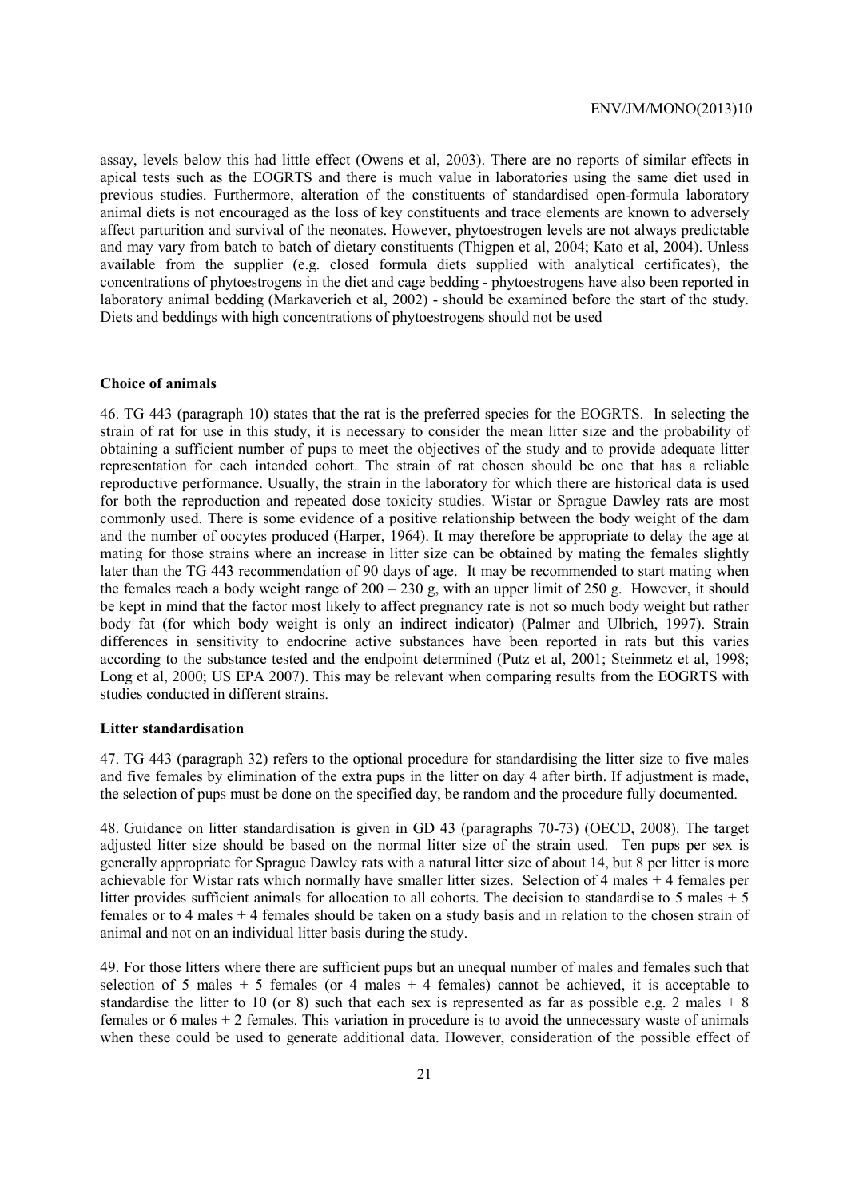assay, levels below this had little effect (Owens et al, 2003). There are no reports of similar effects in apical tests such as the EOGRTS and there is much value in laboratories using the same diet used in previous studies. Furthermore, alteration of the constituents of standardised open-formula laboratory animal diets is not encouraged as the loss of key constituents and trace elements are known to adversely affect parturition and survival of the neonates. However, phytoestrogen levels are not always predictable and may vary from batch to batch of dietary constituents (Thigpen et al, 2004; Kato et al, 2004). Unless available from the supplier (e.g. closed formula diets supplied with analytical certificates), the concentrations of phytoestrogens in the diet and cage bedding - phytoestrogens have also been reported in laboratory animal bedding (Markaverich et al, 2002) - should be examined before the start of the study. Diets and beddings with high concentrations of phytoestrogens should not be used

#### **Choice of animals**

46. TG 443 (paragraph 10) states that the rat is the preferred species for the EOGRTS. In selecting the strain of rat for use in this study, it is necessary to consider the mean litter size and the probability of obtaining a sufficient number of pups to meet the objectives of the study and to provide adequate litter representation for each intended cohort. The strain of rat chosen should be one that has a reliable reproductive performance. Usually, the strain in the laboratory for which there are historical data is used for both the reproduction and repeated dose toxicity studies. Wistar or Sprague Dawley rats are most commonly used. There is some evidence of a positive relationship between the body weight of the dam and the number of oocytes produced (Harper, 1964). It may therefore be appropriate to delay the age at mating for those strains where an increase in litter size can be obtained by mating the females slightly later than the TG 443 recommendation of 90 days of age. It may be recommended to start mating when the females reach a body weight range of  $200 - 230$  g, with an upper limit of 250 g. However, it should be kept in mind that the factor most likely to affect pregnancy rate is not so much body weight but rather body fat (for which body weight is only an indirect indicator) (Palmer and Ulbrich, 1997). Strain differences in sensitivity to endocrine active substances have been reported in rats but this varies according to the substance tested and the endpoint determined (Putz et al, 2001; Steinmetz et al, 1998; Long et al, 2000; US EPA 2007). This may be relevant when comparing results from the EOGRTS with studies conducted in different strains.

#### **Litter standardisation**

47. TG 443 (paragraph 32) refers to the optional procedure for standardising the litter size to five males and five females by elimination of the extra pups in the litter on day 4 after birth. If adjustment is made, the selection of pups must be done on the specified day, be random and the procedure fully documented.

48. Guidance on litter standardisation is given in GD 43 (paragraphs 70-73) (OECD, 2008). The target adjusted litter size should be based on the normal litter size of the strain used. Ten pups per sex is generally appropriate for Sprague Dawley rats with a natural litter size of about 14, but 8 per litter is more achievable for Wistar rats which normally have smaller litter sizes. Selection of 4 males + 4 females per litter provides sufficient animals for allocation to all cohorts. The decision to standardise to 5 males  $+ 5$ females or to 4 males + 4 females should be taken on a study basis and in relation to the chosen strain of animal and not on an individual litter basis during the study.

49. For those litters where there are sufficient pups but an unequal number of males and females such that selection of 5 males + 5 females (or 4 males + 4 females) cannot be achieved, it is acceptable to standardise the litter to 10 (or 8) such that each sex is represented as far as possible e.g. 2 males  $+8$ females or 6 males + 2 females. This variation in procedure is to avoid the unnecessary waste of animals when these could be used to generate additional data. However, consideration of the possible effect of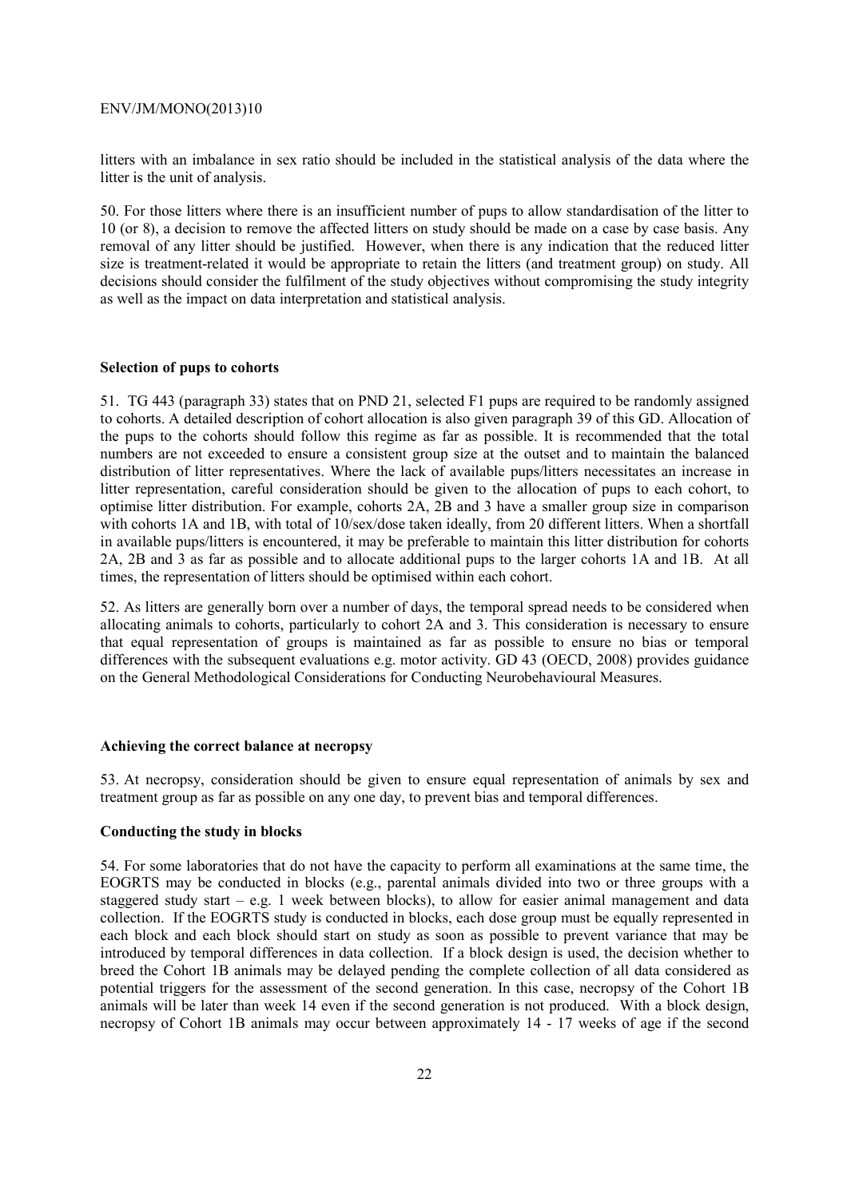litters with an imbalance in sex ratio should be included in the statistical analysis of the data where the litter is the unit of analysis.

50. For those litters where there is an insufficient number of pups to allow standardisation of the litter to 10 (or 8), a decision to remove the affected litters on study should be made on a case by case basis. Any removal of any litter should be justified. However, when there is any indication that the reduced litter size is treatment-related it would be appropriate to retain the litters (and treatment group) on study. All decisions should consider the fulfilment of the study objectives without compromising the study integrity as well as the impact on data interpretation and statistical analysis.

#### **Selection of pups to cohorts**

51. TG 443 (paragraph 33) states that on PND 21, selected F1 pups are required to be randomly assigned to cohorts. A detailed description of cohort allocation is also given paragraph 39 of this GD. Allocation of the pups to the cohorts should follow this regime as far as possible. It is recommended that the total numbers are not exceeded to ensure a consistent group size at the outset and to maintain the balanced distribution of litter representatives. Where the lack of available pups/litters necessitates an increase in litter representation, careful consideration should be given to the allocation of pups to each cohort, to optimise litter distribution. For example, cohorts 2A, 2B and 3 have a smaller group size in comparison with cohorts 1A and 1B, with total of 10/sex/dose taken ideally, from 20 different litters. When a shortfall in available pups/litters is encountered, it may be preferable to maintain this litter distribution for cohorts 2A, 2B and 3 as far as possible and to allocate additional pups to the larger cohorts 1A and 1B. At all times, the representation of litters should be optimised within each cohort.

52. As litters are generally born over a number of days, the temporal spread needs to be considered when allocating animals to cohorts, particularly to cohort 2A and 3. This consideration is necessary to ensure that equal representation of groups is maintained as far as possible to ensure no bias or temporal differences with the subsequent evaluations e.g. motor activity. GD 43 (OECD, 2008) provides guidance on the General Methodological Considerations for Conducting Neurobehavioural Measures.

### **Achieving the correct balance at necropsy**

53. At necropsy, consideration should be given to ensure equal representation of animals by sex and treatment group as far as possible on any one day, to prevent bias and temporal differences.

# **Conducting the study in blocks**

54. For some laboratories that do not have the capacity to perform all examinations at the same time, the EOGRTS may be conducted in blocks (e.g., parental animals divided into two or three groups with a staggered study start – e.g. 1 week between blocks), to allow for easier animal management and data collection. If the EOGRTS study is conducted in blocks, each dose group must be equally represented in each block and each block should start on study as soon as possible to prevent variance that may be introduced by temporal differences in data collection. If a block design is used, the decision whether to breed the Cohort 1B animals may be delayed pending the complete collection of all data considered as potential triggers for the assessment of the second generation. In this case, necropsy of the Cohort 1B animals will be later than week 14 even if the second generation is not produced. With a block design, necropsy of Cohort 1B animals may occur between approximately 14 - 17 weeks of age if the second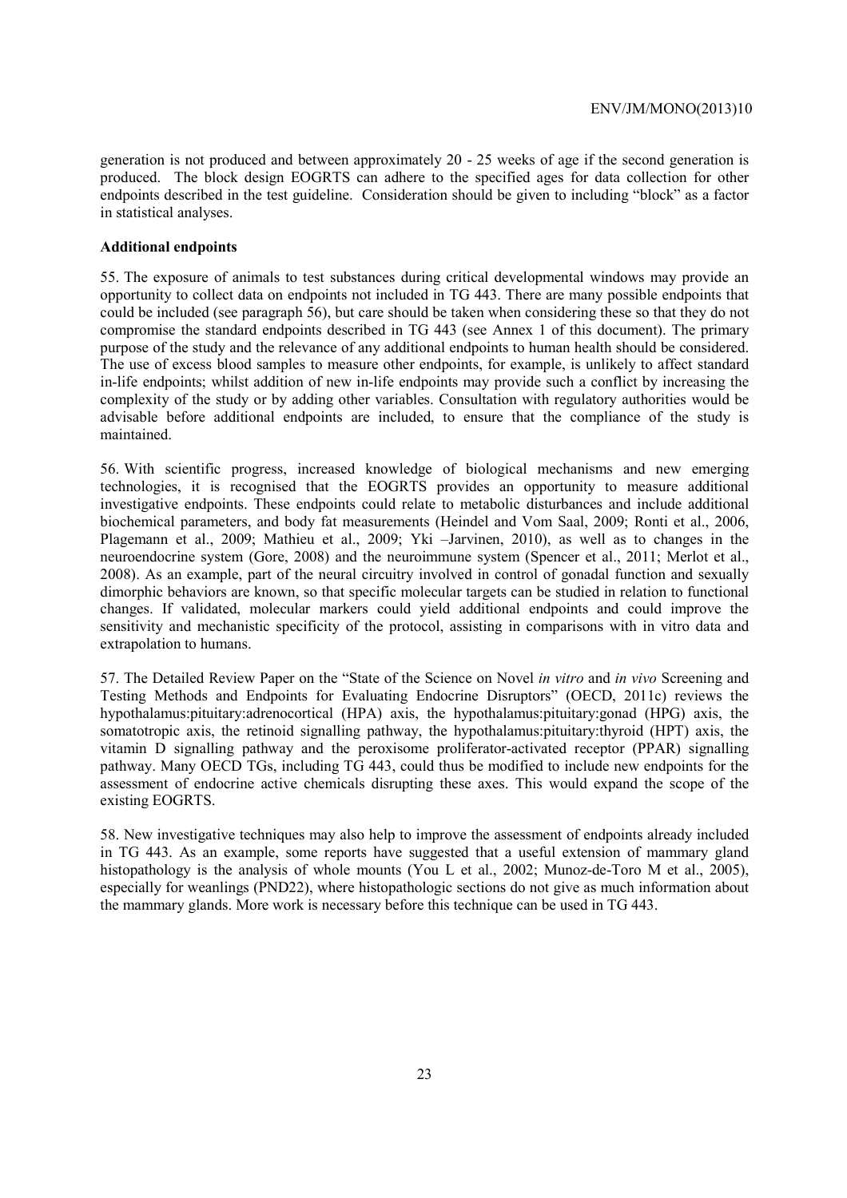generation is not produced and between approximately 20 - 25 weeks of age if the second generation is produced. The block design EOGRTS can adhere to the specified ages for data collection for other endpoints described in the test guideline. Consideration should be given to including "block" as a factor in statistical analyses.

#### **Additional endpoints**

55. The exposure of animals to test substances during critical developmental windows may provide an opportunity to collect data on endpoints not included in TG 443. There are many possible endpoints that could be included (see paragraph 56), but care should be taken when considering these so that they do not compromise the standard endpoints described in TG 443 (see Annex 1 of this document). The primary purpose of the study and the relevance of any additional endpoints to human health should be considered. The use of excess blood samples to measure other endpoints, for example, is unlikely to affect standard in-life endpoints; whilst addition of new in-life endpoints may provide such a conflict by increasing the complexity of the study or by adding other variables. Consultation with regulatory authorities would be advisable before additional endpoints are included, to ensure that the compliance of the study is maintained.

56. With scientific progress, increased knowledge of biological mechanisms and new emerging technologies, it is recognised that the EOGRTS provides an opportunity to measure additional investigative endpoints. These endpoints could relate to metabolic disturbances and include additional biochemical parameters, and body fat measurements (Heindel and Vom Saal, 2009; Ronti et al., 2006, Plagemann et al., 2009; Mathieu et al., 2009; Yki –Jarvinen, 2010), as well as to changes in the neuroendocrine system (Gore, 2008) and the neuroimmune system (Spencer et al., 2011; Merlot et al., 2008). As an example, part of the neural circuitry involved in control of gonadal function and sexually dimorphic behaviors are known, so that specific molecular targets can be studied in relation to functional changes. If validated, molecular markers could yield additional endpoints and could improve the sensitivity and mechanistic specificity of the protocol, assisting in comparisons with in vitro data and extrapolation to humans.

57. The Detailed Review Paper on the "State of the Science on Novel *in vitro* and *in vivo* Screening and Testing Methods and Endpoints for Evaluating Endocrine Disruptors" (OECD, 2011c) reviews the hypothalamus:pituitary:adrenocortical (HPA) axis, the hypothalamus:pituitary:gonad (HPG) axis, the somatotropic axis, the retinoid signalling pathway, the hypothalamus:pituitary:thyroid (HPT) axis, the vitamin D signalling pathway and the peroxisome proliferator-activated receptor (PPAR) signalling pathway. Many OECD TGs, including TG 443, could thus be modified to include new endpoints for the assessment of endocrine active chemicals disrupting these axes. This would expand the scope of the existing EOGRTS.

58. New investigative techniques may also help to improve the assessment of endpoints already included in TG 443. As an example, some reports have suggested that a useful extension of mammary gland histopathology is the analysis of whole mounts (You L et al., 2002; Munoz-de-Toro M et al., 2005). especially for weanlings (PND22), where histopathologic sections do not give as much information about the mammary glands. More work is necessary before this technique can be used in TG 443.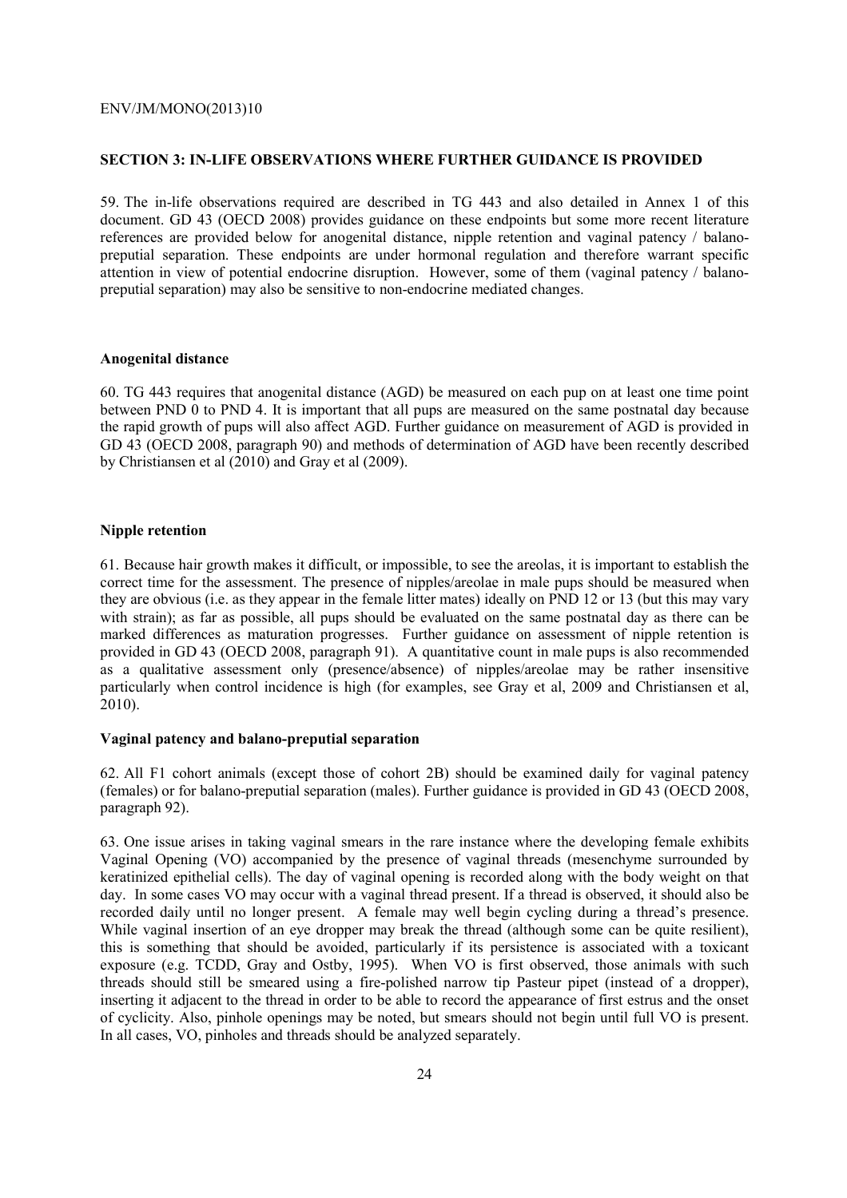#### **SECTION 3: IN-LIFE OBSERVATIONS WHERE FURTHER GUIDANCE IS PROVIDED**

59. The in-life observations required are described in TG 443 and also detailed in Annex 1 of this document. GD 43 (OECD 2008) provides guidance on these endpoints but some more recent literature references are provided below for anogenital distance, nipple retention and vaginal patency / balanopreputial separation. These endpoints are under hormonal regulation and therefore warrant specific attention in view of potential endocrine disruption. However, some of them (vaginal patency / balanopreputial separation) may also be sensitive to non-endocrine mediated changes.

#### **Anogenital distance**

60. TG 443 requires that anogenital distance (AGD) be measured on each pup on at least one time point between PND 0 to PND 4. It is important that all pups are measured on the same postnatal day because the rapid growth of pups will also affect AGD. Further guidance on measurement of AGD is provided in GD 43 (OECD 2008, paragraph 90) and methods of determination of AGD have been recently described by Christiansen et al (2010) and Gray et al (2009).

#### **Nipple retention**

61. Because hair growth makes it difficult, or impossible, to see the areolas, it is important to establish the correct time for the assessment. The presence of nipples/areolae in male pups should be measured when they are obvious (i.e. as they appear in the female litter mates) ideally on PND 12 or 13 (but this may vary with strain); as far as possible, all pups should be evaluated on the same postnatal day as there can be marked differences as maturation progresses. Further guidance on assessment of nipple retention is provided in GD 43 (OECD 2008, paragraph 91). A quantitative count in male pups is also recommended as a qualitative assessment only (presence/absence) of nipples/areolae may be rather insensitive particularly when control incidence is high (for examples, see Gray et al, 2009 and Christiansen et al, 2010).

# **Vaginal patency and balano-preputial separation**

62. All F1 cohort animals (except those of cohort 2B) should be examined daily for vaginal patency (females) or for balano-preputial separation (males). Further guidance is provided in GD 43 (OECD 2008, paragraph 92).

63. One issue arises in taking vaginal smears in the rare instance where the developing female exhibits Vaginal Opening (VO) accompanied by the presence of vaginal threads (mesenchyme surrounded by keratinized epithelial cells). The day of vaginal opening is recorded along with the body weight on that day. In some cases VO may occur with a vaginal thread present. If a thread is observed, it should also be recorded daily until no longer present. A female may well begin cycling during a thread's presence. While vaginal insertion of an eye dropper may break the thread (although some can be quite resilient), this is something that should be avoided, particularly if its persistence is associated with a toxicant exposure (e.g. TCDD, Gray and Ostby, 1995). When VO is first observed, those animals with such threads should still be smeared using a fire-polished narrow tip Pasteur pipet (instead of a dropper), inserting it adjacent to the thread in order to be able to record the appearance of first estrus and the onset of cyclicity. Also, pinhole openings may be noted, but smears should not begin until full VO is present. In all cases, VO, pinholes and threads should be analyzed separately.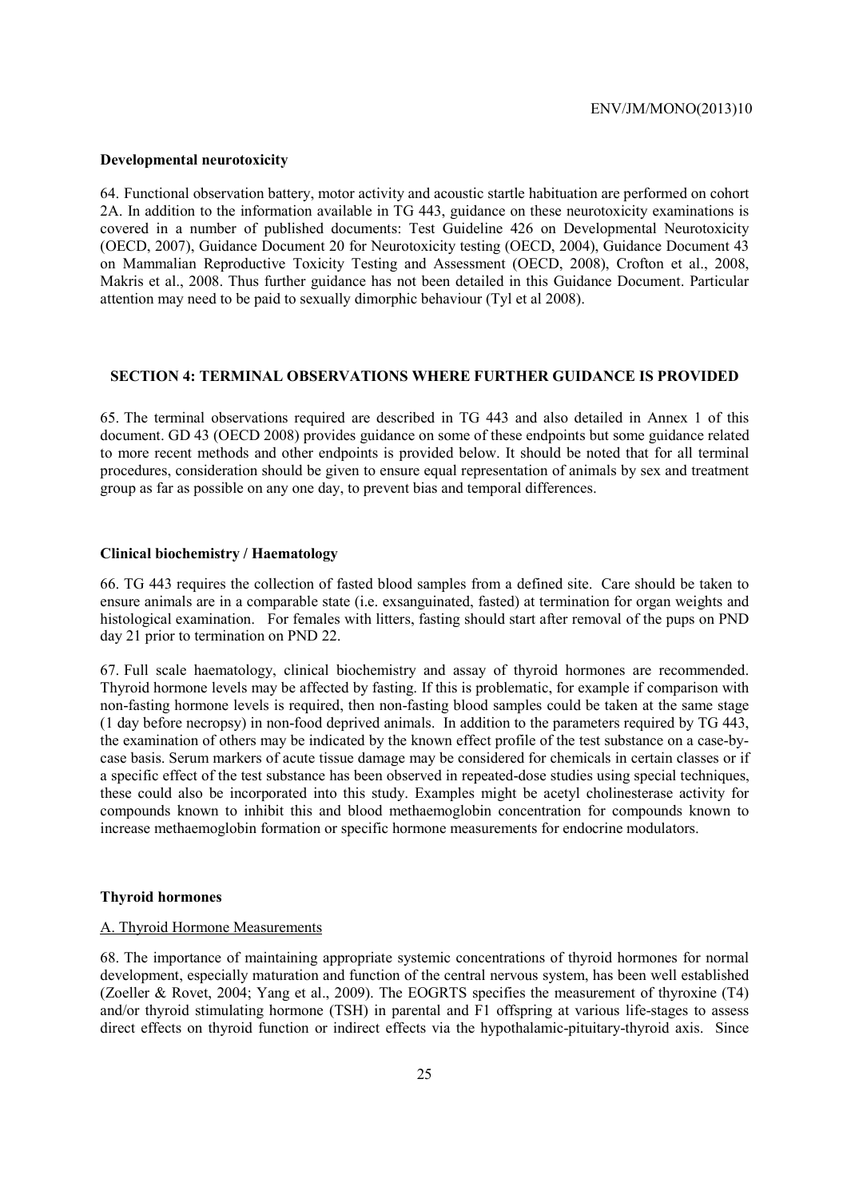#### **Developmental neurotoxicity**

64. Functional observation battery, motor activity and acoustic startle habituation are performed on cohort 2A. In addition to the information available in TG 443, guidance on these neurotoxicity examinations is covered in a number of published documents: Test Guideline 426 on Developmental Neurotoxicity (OECD, 2007), Guidance Document 20 for Neurotoxicity testing (OECD, 2004), Guidance Document 43 on Mammalian Reproductive Toxicity Testing and Assessment (OECD, 2008), Crofton et al., 2008, Makris et al., 2008. Thus further guidance has not been detailed in this Guidance Document. Particular attention may need to be paid to sexually dimorphic behaviour (Tyl et al 2008).

#### **SECTION 4: TERMINAL OBSERVATIONS WHERE FURTHER GUIDANCE IS PROVIDED**

65. The terminal observations required are described in TG 443 and also detailed in Annex 1 of this document. GD 43 (OECD 2008) provides guidance on some of these endpoints but some guidance related to more recent methods and other endpoints is provided below. It should be noted that for all terminal procedures, consideration should be given to ensure equal representation of animals by sex and treatment group as far as possible on any one day, to prevent bias and temporal differences.

# **Clinical biochemistry / Haematology**

66. TG 443 requires the collection of fasted blood samples from a defined site. Care should be taken to ensure animals are in a comparable state (i.e. exsanguinated, fasted) at termination for organ weights and histological examination. For females with litters, fasting should start after removal of the pups on PND day 21 prior to termination on PND 22.

67. Full scale haematology, clinical biochemistry and assay of thyroid hormones are recommended. Thyroid hormone levels may be affected by fasting. If this is problematic, for example if comparison with non-fasting hormone levels is required, then non-fasting blood samples could be taken at the same stage (1 day before necropsy) in non-food deprived animals. In addition to the parameters required by TG 443, the examination of others may be indicated by the known effect profile of the test substance on a case-bycase basis. Serum markers of acute tissue damage may be considered for chemicals in certain classes or if a specific effect of the test substance has been observed in repeated-dose studies using special techniques, these could also be incorporated into this study. Examples might be acetyl cholinesterase activity for compounds known to inhibit this and blood methaemoglobin concentration for compounds known to increase methaemoglobin formation or specific hormone measurements for endocrine modulators.

# **Thyroid hormones**

# A. Thyroid Hormone Measurements

68. The importance of maintaining appropriate systemic concentrations of thyroid hormones for normal development, especially maturation and function of the central nervous system, has been well established (Zoeller & Rovet, 2004; Yang et al., 2009). The EOGRTS specifies the measurement of thyroxine (T4) and/or thyroid stimulating hormone (TSH) in parental and F1 offspring at various life-stages to assess direct effects on thyroid function or indirect effects via the hypothalamic-pituitary-thyroid axis. Since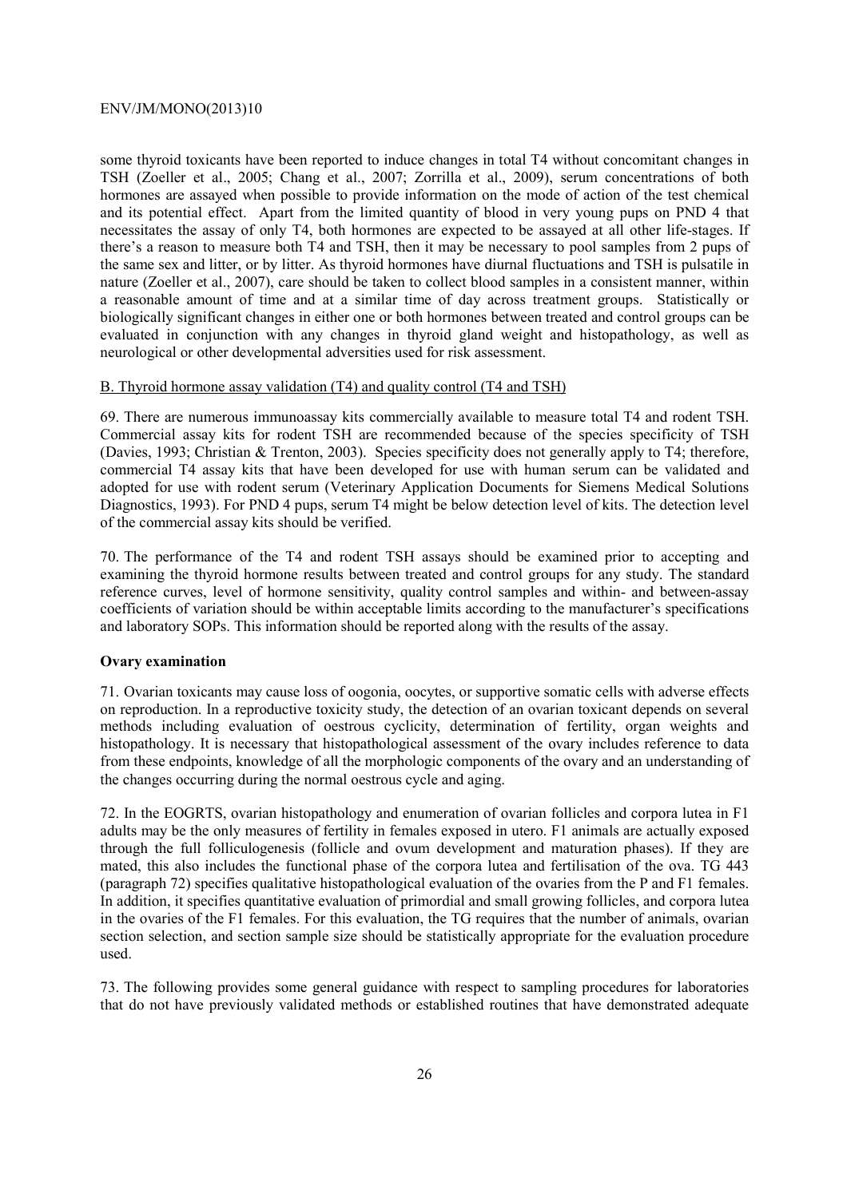some thyroid toxicants have been reported to induce changes in total T4 without concomitant changes in TSH (Zoeller et al., 2005; Chang et al., 2007; Zorrilla et al., 2009), serum concentrations of both hormones are assayed when possible to provide information on the mode of action of the test chemical and its potential effect. Apart from the limited quantity of blood in very young pups on PND 4 that necessitates the assay of only T4, both hormones are expected to be assayed at all other life-stages. If there's a reason to measure both T4 and TSH, then it may be necessary to pool samples from 2 pups of the same sex and litter, or by litter. As thyroid hormones have diurnal fluctuations and TSH is pulsatile in nature (Zoeller et al., 2007), care should be taken to collect blood samples in a consistent manner, within a reasonable amount of time and at a similar time of day across treatment groups. Statistically or biologically significant changes in either one or both hormones between treated and control groups can be evaluated in conjunction with any changes in thyroid gland weight and histopathology, as well as neurological or other developmental adversities used for risk assessment.

### B. Thyroid hormone assay validation (T4) and quality control (T4 and TSH)

69. There are numerous immunoassay kits commercially available to measure total T4 and rodent TSH. Commercial assay kits for rodent TSH are recommended because of the species specificity of TSH (Davies, 1993; Christian & Trenton, 2003). Species specificity does not generally apply to T4; therefore, commercial T4 assay kits that have been developed for use with human serum can be validated and adopted for use with rodent serum (Veterinary Application Documents for Siemens Medical Solutions Diagnostics, 1993). For PND 4 pups, serum T4 might be below detection level of kits. The detection level of the commercial assay kits should be verified.

70. The performance of the T4 and rodent TSH assays should be examined prior to accepting and examining the thyroid hormone results between treated and control groups for any study. The standard reference curves, level of hormone sensitivity, quality control samples and within- and between-assay coefficients of variation should be within acceptable limits according to the manufacturer's specifications and laboratory SOPs. This information should be reported along with the results of the assay.

# **Ovary examination**

71. Ovarian toxicants may cause loss of oogonia, oocytes, or supportive somatic cells with adverse effects on reproduction. In a reproductive toxicity study, the detection of an ovarian toxicant depends on several methods including evaluation of oestrous cyclicity, determination of fertility, organ weights and histopathology. It is necessary that histopathological assessment of the ovary includes reference to data from these endpoints, knowledge of all the morphologic components of the ovary and an understanding of the changes occurring during the normal oestrous cycle and aging.

72. In the EOGRTS, ovarian histopathology and enumeration of ovarian follicles and corpora lutea in F1 adults may be the only measures of fertility in females exposed in utero. F1 animals are actually exposed through the full folliculogenesis (follicle and ovum development and maturation phases). If they are mated, this also includes the functional phase of the corpora lutea and fertilisation of the ova. TG 443 (paragraph 72) specifies qualitative histopathological evaluation of the ovaries from the P and F1 females. In addition, it specifies quantitative evaluation of primordial and small growing follicles, and corpora lutea in the ovaries of the F1 females. For this evaluation, the TG requires that the number of animals, ovarian section selection, and section sample size should be statistically appropriate for the evaluation procedure used.

73. The following provides some general guidance with respect to sampling procedures for laboratories that do not have previously validated methods or established routines that have demonstrated adequate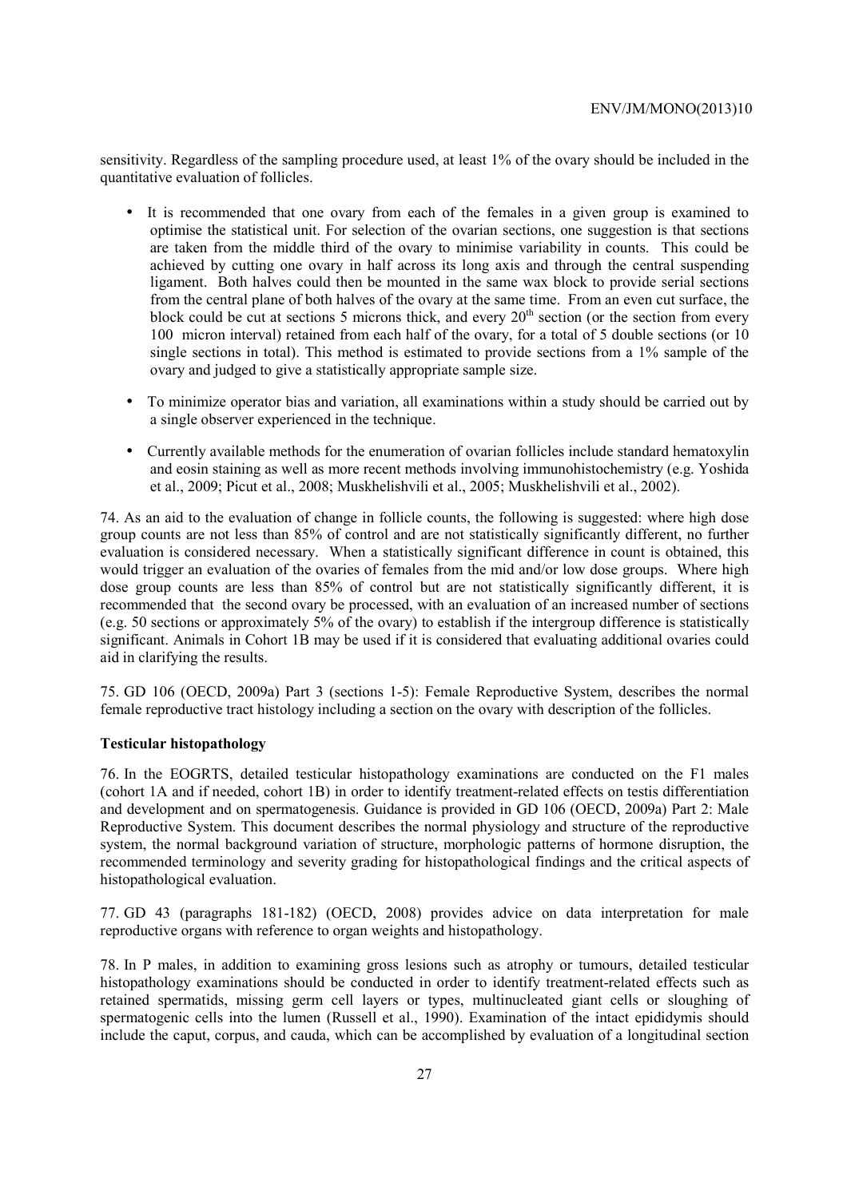sensitivity. Regardless of the sampling procedure used, at least 1% of the ovary should be included in the quantitative evaluation of follicles.

- It is recommended that one ovary from each of the females in a given group is examined to optimise the statistical unit. For selection of the ovarian sections, one suggestion is that sections are taken from the middle third of the ovary to minimise variability in counts. This could be achieved by cutting one ovary in half across its long axis and through the central suspending ligament. Both halves could then be mounted in the same wax block to provide serial sections from the central plane of both halves of the ovary at the same time. From an even cut surface, the block could be cut at sections 5 microns thick, and every  $20<sup>th</sup>$  section (or the section from every 100 micron interval) retained from each half of the ovary, for a total of 5 double sections (or 10 single sections in total). This method is estimated to provide sections from a 1% sample of the ovary and judged to give a statistically appropriate sample size.
- To minimize operator bias and variation, all examinations within a study should be carried out by a single observer experienced in the technique.
- Currently available methods for the enumeration of ovarian follicles include standard hematoxylin and eosin staining as well as more recent methods involving immunohistochemistry (e.g. Yoshida et al., 2009; Picut et al., 2008; Muskhelishvili et al., 2005; Muskhelishvili et al., 2002).

74. As an aid to the evaluation of change in follicle counts, the following is suggested: where high dose group counts are not less than 85% of control and are not statistically significantly different, no further evaluation is considered necessary. When a statistically significant difference in count is obtained, this would trigger an evaluation of the ovaries of females from the mid and/or low dose groups. Where high dose group counts are less than 85% of control but are not statistically significantly different, it is recommended that the second ovary be processed, with an evaluation of an increased number of sections (e.g. 50 sections or approximately 5% of the ovary) to establish if the intergroup difference is statistically significant. Animals in Cohort 1B may be used if it is considered that evaluating additional ovaries could aid in clarifying the results.

75. GD 106 (OECD, 2009a) Part 3 (sections 1-5): Female Reproductive System, describes the normal female reproductive tract histology including a section on the ovary with description of the follicles.

# **Testicular histopathology**

76. In the EOGRTS, detailed testicular histopathology examinations are conducted on the F1 males (cohort 1A and if needed, cohort 1B) in order to identify treatment-related effects on testis differentiation and development and on spermatogenesis. Guidance is provided in GD 106 (OECD, 2009a) Part 2: Male Reproductive System. This document describes the normal physiology and structure of the reproductive system, the normal background variation of structure, morphologic patterns of hormone disruption, the recommended terminology and severity grading for histopathological findings and the critical aspects of histopathological evaluation.

77. GD 43 (paragraphs 181-182) (OECD, 2008) provides advice on data interpretation for male reproductive organs with reference to organ weights and histopathology.

78. In P males, in addition to examining gross lesions such as atrophy or tumours, detailed testicular histopathology examinations should be conducted in order to identify treatment-related effects such as retained spermatids, missing germ cell layers or types, multinucleated giant cells or sloughing of spermatogenic cells into the lumen (Russell et al., 1990). Examination of the intact epididymis should include the caput, corpus, and cauda, which can be accomplished by evaluation of a longitudinal section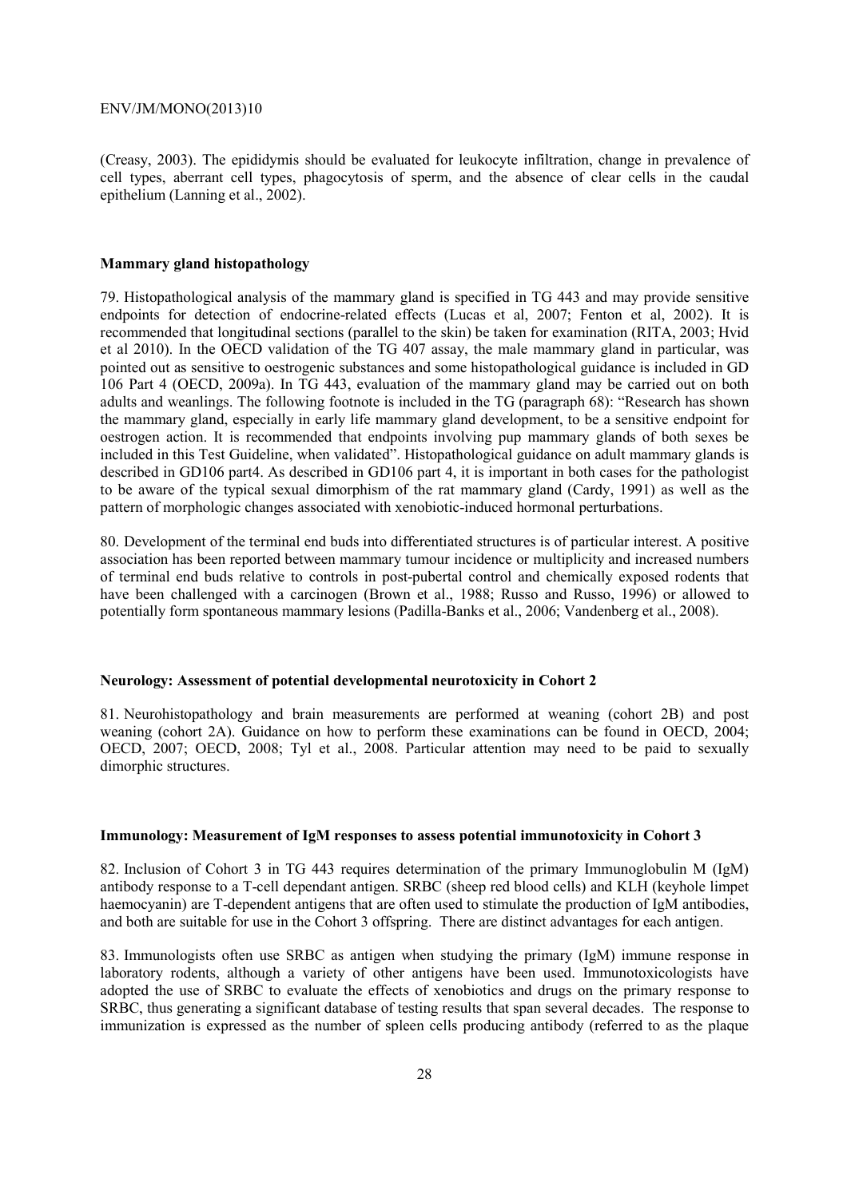(Creasy, 2003). The epididymis should be evaluated for leukocyte infiltration, change in prevalence of cell types, aberrant cell types, phagocytosis of sperm, and the absence of clear cells in the caudal epithelium (Lanning et al., 2002).

#### **Mammary gland histopathology**

79. Histopathological analysis of the mammary gland is specified in TG 443 and may provide sensitive endpoints for detection of endocrine-related effects (Lucas et al, 2007; Fenton et al, 2002). It is recommended that longitudinal sections (parallel to the skin) be taken for examination (RITA, 2003; Hvid et al 2010). In the OECD validation of the TG 407 assay, the male mammary gland in particular, was pointed out as sensitive to oestrogenic substances and some histopathological guidance is included in GD 106 Part 4 (OECD, 2009a). In TG 443, evaluation of the mammary gland may be carried out on both adults and weanlings. The following footnote is included in the TG (paragraph 68): "Research has shown the mammary gland, especially in early life mammary gland development, to be a sensitive endpoint for oestrogen action. It is recommended that endpoints involving pup mammary glands of both sexes be included in this Test Guideline, when validated". Histopathological guidance on adult mammary glands is described in GD106 part4. As described in GD106 part 4, it is important in both cases for the pathologist to be aware of the typical sexual dimorphism of the rat mammary gland (Cardy, 1991) as well as the pattern of morphologic changes associated with xenobiotic-induced hormonal perturbations.

80. Development of the terminal end buds into differentiated structures is of particular interest. A positive association has been reported between mammary tumour incidence or multiplicity and increased numbers of terminal end buds relative to controls in post-pubertal control and chemically exposed rodents that have been challenged with a carcinogen (Brown et al., 1988; Russo and Russo, 1996) or allowed to potentially form spontaneous mammary lesions (Padilla-Banks et al., 2006; Vandenberg et al., 2008).

# **Neurology: Assessment of potential developmental neurotoxicity in Cohort 2**

81. Neurohistopathology and brain measurements are performed at weaning (cohort 2B) and post weaning (cohort 2A). Guidance on how to perform these examinations can be found in OECD, 2004; OECD, 2007; OECD, 2008; Tyl et al., 2008. Particular attention may need to be paid to sexually dimorphic structures.

# **Immunology: Measurement of IgM responses to assess potential immunotoxicity in Cohort 3**

82. Inclusion of Cohort 3 in TG 443 requires determination of the primary Immunoglobulin M (IgM) antibody response to a T-cell dependant antigen. SRBC (sheep red blood cells) and KLH (keyhole limpet haemocyanin) are T-dependent antigens that are often used to stimulate the production of IgM antibodies, and both are suitable for use in the Cohort 3 offspring. There are distinct advantages for each antigen.

83. Immunologists often use SRBC as antigen when studying the primary (IgM) immune response in laboratory rodents, although a variety of other antigens have been used. Immunotoxicologists have adopted the use of SRBC to evaluate the effects of xenobiotics and drugs on the primary response to SRBC, thus generating a significant database of testing results that span several decades. The response to immunization is expressed as the number of spleen cells producing antibody (referred to as the plaque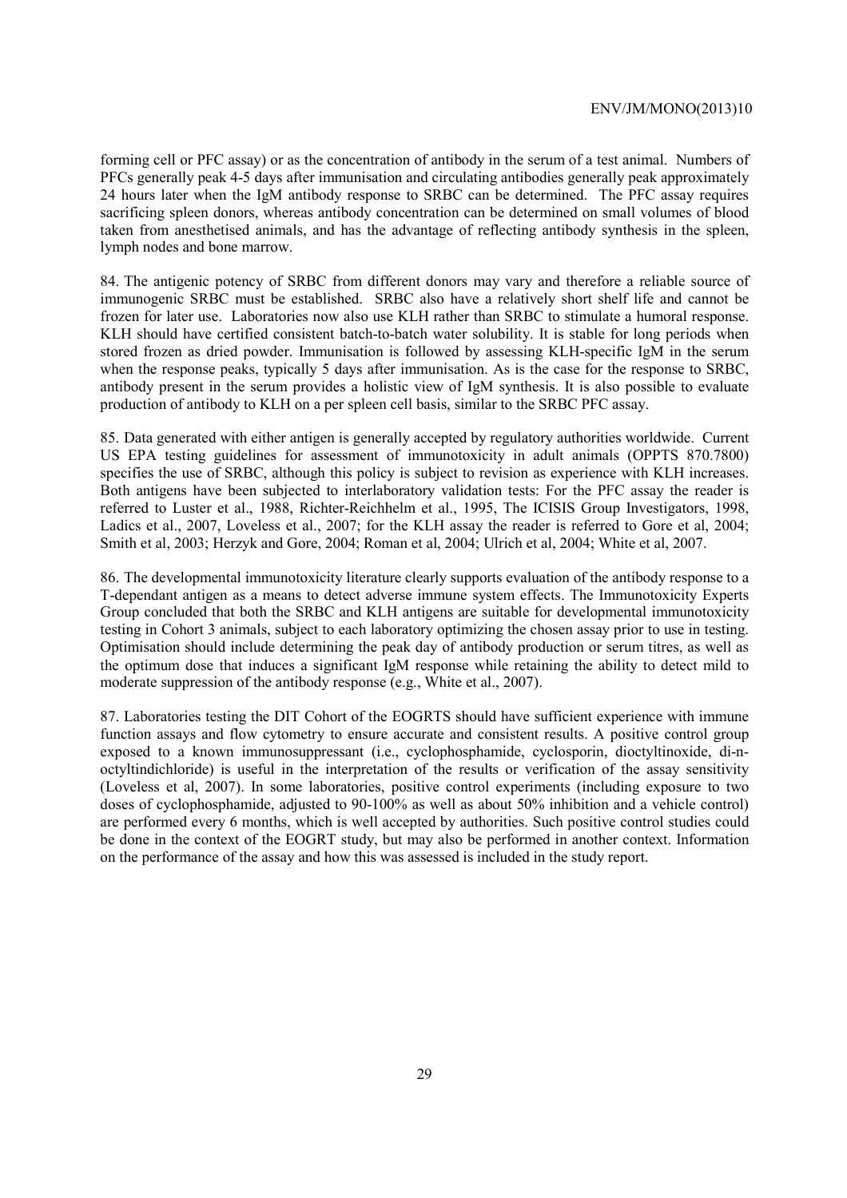forming cell or PFC assay) or as the concentration of antibody in the serum of a test animal. Numbers of PFCs generally peak 4-5 days after immunisation and circulating antibodies generally peak approximately 24 hours later when the IgM antibody response to SRBC can be determined. The PFC assay requires sacrificing spleen donors, whereas antibody concentration can be determined on small volumes of blood taken from anesthetised animals, and has the advantage of reflecting antibody synthesis in the spleen, lymph nodes and bone marrow.

84. The antigenic potency of SRBC from different donors may vary and therefore a reliable source of immunogenic SRBC must be established. SRBC also have a relatively short shelf life and cannot be frozen for later use. Laboratories now also use KLH rather than SRBC to stimulate a humoral response. KLH should have certified consistent batch-to-batch water solubility. It is stable for long periods when stored frozen as dried powder. Immunisation is followed by assessing KLH-specific IgM in the serum when the response peaks, typically 5 days after immunisation. As is the case for the response to SRBC, antibody present in the serum provides a holistic view of IgM synthesis. It is also possible to evaluate production of antibody to KLH on a per spleen cell basis, similar to the SRBC PFC assay.

85. Data generated with either antigen is generally accepted by regulatory authorities worldwide. Current US EPA testing guidelines for assessment of immunotoxicity in adult animals (OPPTS 870.7800) specifies the use of SRBC, although this policy is subject to revision as experience with KLH increases. Both antigens have been subjected to interlaboratory validation tests: For the PFC assay the reader is referred to Luster et al., 1988, Richter-Reichhelm et al., 1995, The ICISIS Group Investigators, 1998, Ladics et al., 2007, Loveless et al., 2007; for the KLH assay the reader is referred to Gore et al, 2004; Smith et al, 2003; Herzyk and Gore, 2004; Roman et al, 2004; Ulrich et al, 2004; White et al, 2007.

86. The developmental immunotoxicity literature clearly supports evaluation of the antibody response to a T-dependant antigen as a means to detect adverse immune system effects. The Immunotoxicity Experts Group concluded that both the SRBC and KLH antigens are suitable for developmental immunotoxicity testing in Cohort 3 animals, subject to each laboratory optimizing the chosen assay prior to use in testing. Optimisation should include determining the peak day of antibody production or serum titres, as well as the optimum dose that induces a significant IgM response while retaining the ability to detect mild to moderate suppression of the antibody response (e.g., White et al., 2007).

87. Laboratories testing the DIT Cohort of the EOGRTS should have sufficient experience with immune function assays and flow cytometry to ensure accurate and consistent results. A positive control group exposed to a known immunosuppressant (i.e., cyclophosphamide, cyclosporin, dioctyltinoxide, di-noctyltindichloride) is useful in the interpretation of the results or verification of the assay sensitivity (Loveless et al, 2007). In some laboratories, positive control experiments (including exposure to two doses of cyclophosphamide, adjusted to 90-100% as well as about 50% inhibition and a vehicle control) are performed every 6 months, which is well accepted by authorities. Such positive control studies could be done in the context of the EOGRT study, but may also be performed in another context. Information on the performance of the assay and how this was assessed is included in the study report.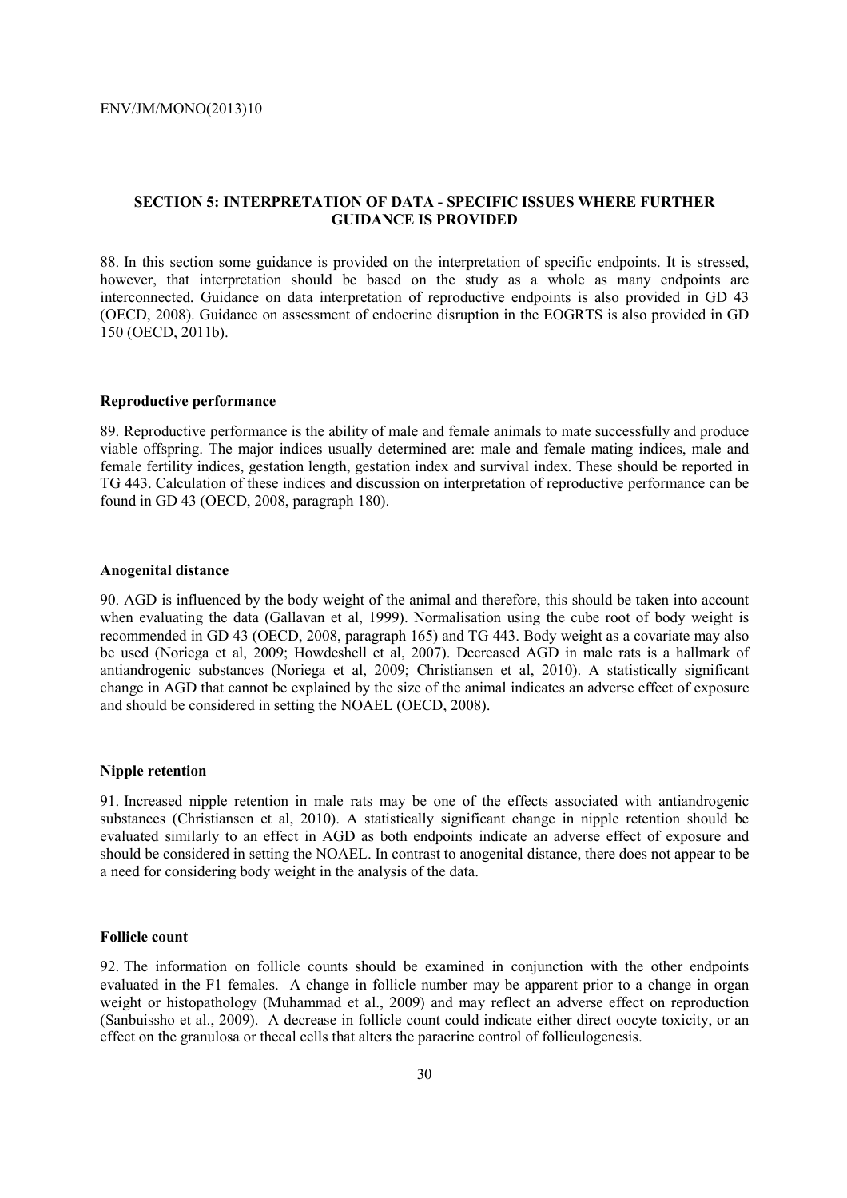### **SECTION 5: INTERPRETATION OF DATA - SPECIFIC ISSUES WHERE FURTHER GUIDANCE IS PROVIDED**

88. In this section some guidance is provided on the interpretation of specific endpoints. It is stressed, however, that interpretation should be based on the study as a whole as many endpoints are interconnected. Guidance on data interpretation of reproductive endpoints is also provided in GD 43 (OECD, 2008). Guidance on assessment of endocrine disruption in the EOGRTS is also provided in GD 150 (OECD, 2011b).

#### **Reproductive performance**

89. Reproductive performance is the ability of male and female animals to mate successfully and produce viable offspring. The major indices usually determined are: male and female mating indices, male and female fertility indices, gestation length, gestation index and survival index. These should be reported in TG 443. Calculation of these indices and discussion on interpretation of reproductive performance can be found in GD 43 (OECD, 2008, paragraph 180).

#### **Anogenital distance**

90. AGD is influenced by the body weight of the animal and therefore, this should be taken into account when evaluating the data (Gallavan et al, 1999). Normalisation using the cube root of body weight is recommended in GD 43 (OECD, 2008, paragraph 165) and TG 443. Body weight as a covariate may also be used (Noriega et al, 2009; Howdeshell et al, 2007). Decreased AGD in male rats is a hallmark of antiandrogenic substances (Noriega et al, 2009; Christiansen et al, 2010). A statistically significant change in AGD that cannot be explained by the size of the animal indicates an adverse effect of exposure and should be considered in setting the NOAEL (OECD, 2008).

#### **Nipple retention**

91. Increased nipple retention in male rats may be one of the effects associated with antiandrogenic substances (Christiansen et al, 2010). A statistically significant change in nipple retention should be evaluated similarly to an effect in AGD as both endpoints indicate an adverse effect of exposure and should be considered in setting the NOAEL. In contrast to anogenital distance, there does not appear to be a need for considering body weight in the analysis of the data.

#### **Follicle count**

92. The information on follicle counts should be examined in conjunction with the other endpoints evaluated in the F1 females. A change in follicle number may be apparent prior to a change in organ weight or histopathology (Muhammad et al., 2009) and may reflect an adverse effect on reproduction (Sanbuissho et al., 2009). A decrease in follicle count could indicate either direct oocyte toxicity, or an effect on the granulosa or thecal cells that alters the paracrine control of folliculogenesis.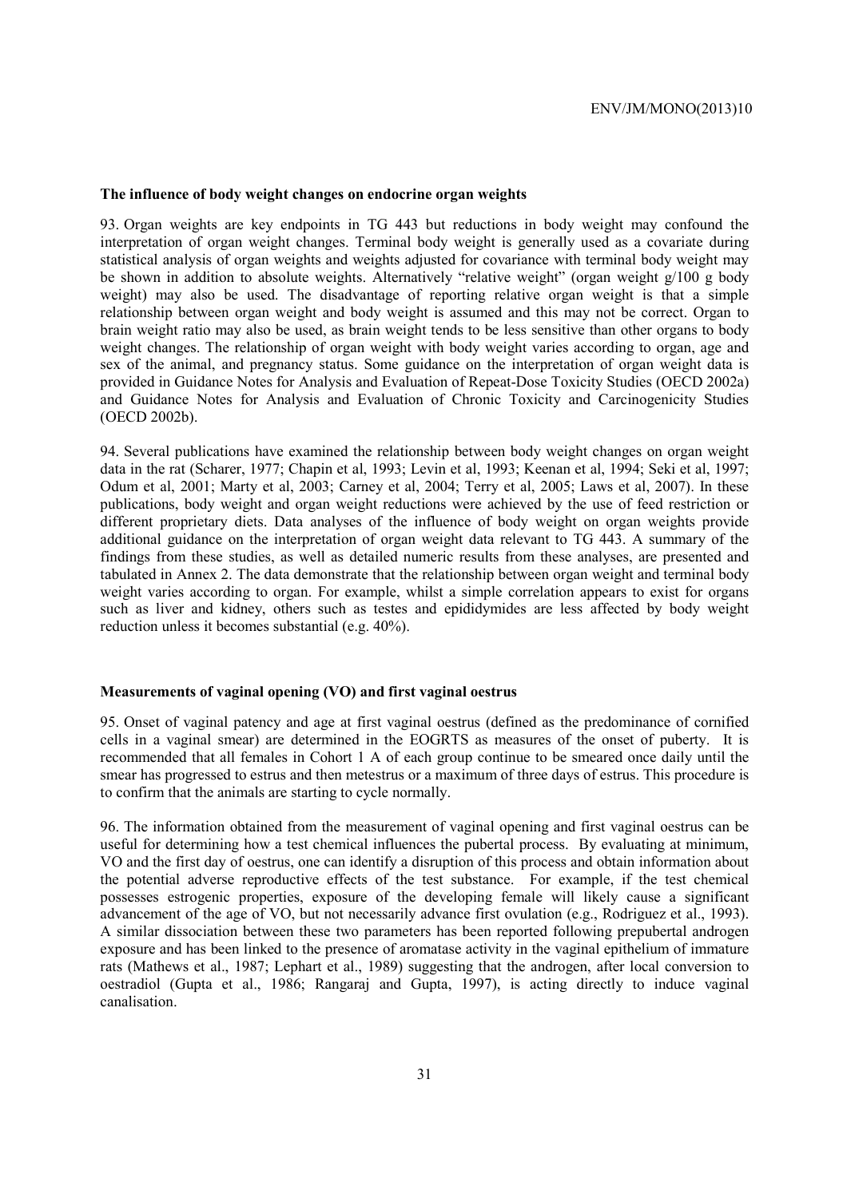# **The influence of body weight changes on endocrine organ weights**

93. Organ weights are key endpoints in TG 443 but reductions in body weight may confound the interpretation of organ weight changes. Terminal body weight is generally used as a covariate during statistical analysis of organ weights and weights adjusted for covariance with terminal body weight may be shown in addition to absolute weights. Alternatively "relative weight" (organ weight g/100 g body weight) may also be used. The disadvantage of reporting relative organ weight is that a simple relationship between organ weight and body weight is assumed and this may not be correct. Organ to brain weight ratio may also be used, as brain weight tends to be less sensitive than other organs to body weight changes. The relationship of organ weight with body weight varies according to organ, age and sex of the animal, and pregnancy status. Some guidance on the interpretation of organ weight data is provided in Guidance Notes for Analysis and Evaluation of Repeat-Dose Toxicity Studies (OECD 2002a) and Guidance Notes for Analysis and Evaluation of Chronic Toxicity and Carcinogenicity Studies (OECD 2002b).

94. Several publications have examined the relationship between body weight changes on organ weight data in the rat (Scharer, 1977; Chapin et al, 1993; Levin et al, 1993; Keenan et al, 1994; Seki et al, 1997; Odum et al, 2001; Marty et al, 2003; Carney et al, 2004; Terry et al, 2005; Laws et al, 2007). In these publications, body weight and organ weight reductions were achieved by the use of feed restriction or different proprietary diets. Data analyses of the influence of body weight on organ weights provide additional guidance on the interpretation of organ weight data relevant to TG 443. A summary of the findings from these studies, as well as detailed numeric results from these analyses, are presented and tabulated in Annex 2. The data demonstrate that the relationship between organ weight and terminal body weight varies according to organ. For example, whilst a simple correlation appears to exist for organs such as liver and kidney, others such as testes and epididymides are less affected by body weight reduction unless it becomes substantial (e.g. 40%).

# **Measurements of vaginal opening (VO) and first vaginal oestrus**

95. Onset of vaginal patency and age at first vaginal oestrus (defined as the predominance of cornified cells in a vaginal smear) are determined in the EOGRTS as measures of the onset of puberty. It is recommended that all females in Cohort 1 A of each group continue to be smeared once daily until the smear has progressed to estrus and then metestrus or a maximum of three days of estrus. This procedure is to confirm that the animals are starting to cycle normally.

96. The information obtained from the measurement of vaginal opening and first vaginal oestrus can be useful for determining how a test chemical influences the pubertal process. By evaluating at minimum, VO and the first day of oestrus, one can identify a disruption of this process and obtain information about the potential adverse reproductive effects of the test substance. For example, if the test chemical possesses estrogenic properties, exposure of the developing female will likely cause a significant advancement of the age of VO, but not necessarily advance first ovulation (e.g., Rodriguez et al., 1993). A similar dissociation between these two parameters has been reported following prepubertal androgen exposure and has been linked to the presence of aromatase activity in the vaginal epithelium of immature rats (Mathews et al., 1987; Lephart et al., 1989) suggesting that the androgen, after local conversion to oestradiol (Gupta et al., 1986; Rangaraj and Gupta, 1997), is acting directly to induce vaginal canalisation.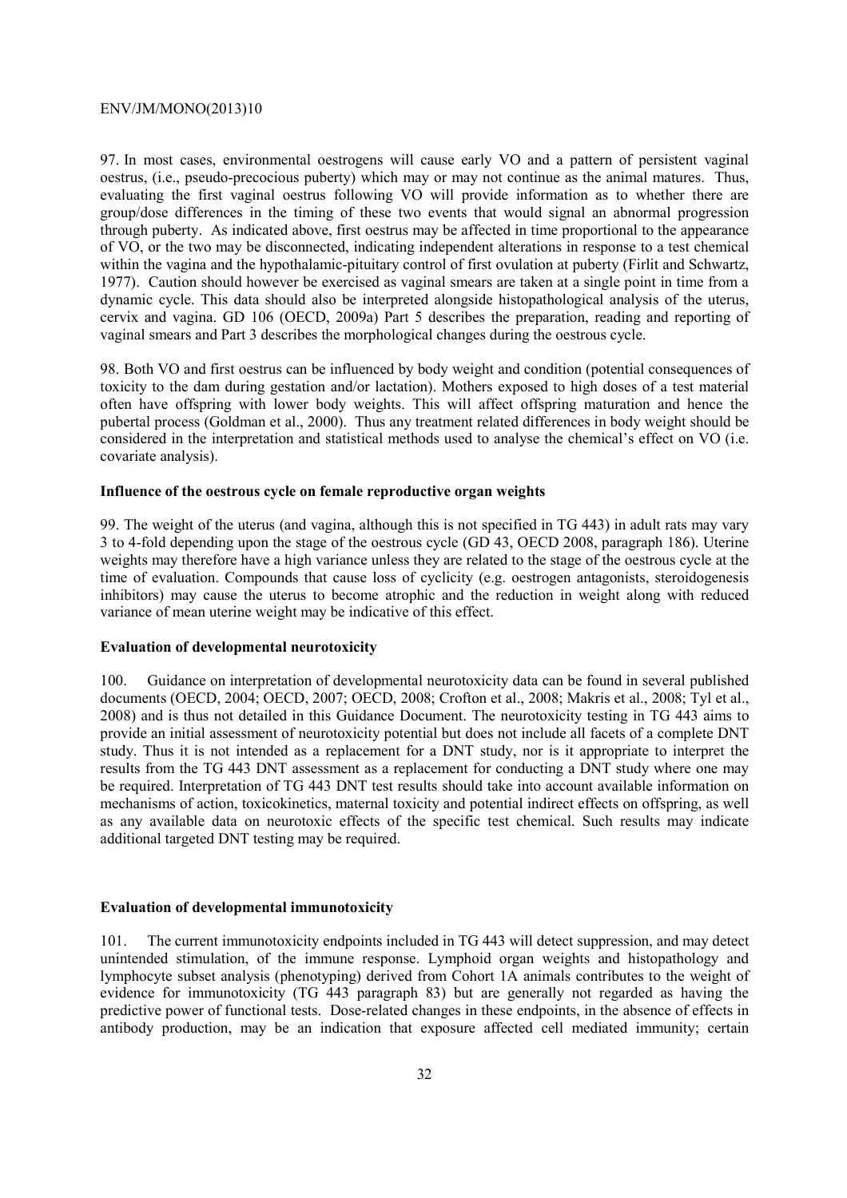97. In most cases, environmental oestrogens will cause early VO and a pattern of persistent vaginal oestrus, (i.e., pseudo-precocious puberty) which may or may not continue as the animal matures. Thus, evaluating the first vaginal oestrus following VO will provide information as to whether there are group/dose differences in the timing of these two events that would signal an abnormal progression through puberty. As indicated above, first oestrus may be affected in time proportional to the appearance of VO, or the two may be disconnected, indicating independent alterations in response to a test chemical within the vagina and the hypothalamic-pituitary control of first ovulation at puberty (Firlit and Schwartz, 1977). Caution should however be exercised as vaginal smears are taken at a single point in time from a dynamic cycle. This data should also be interpreted alongside histopathological analysis of the uterus, cervix and vagina. GD 106 (OECD, 2009a) Part 5 describes the preparation, reading and reporting of vaginal smears and Part 3 describes the morphological changes during the oestrous cycle.

98. Both VO and first oestrus can be influenced by body weight and condition (potential consequences of toxicity to the dam during gestation and/or lactation). Mothers exposed to high doses of a test material often have offspring with lower body weights. This will affect offspring maturation and hence the pubertal process (Goldman et al., 2000). Thus any treatment related differences in body weight should be considered in the interpretation and statistical methods used to analyse the chemical's effect on VO (i.e. covariate analysis).

# **Influence of the oestrous cycle on female reproductive organ weights**

99. The weight of the uterus (and vagina, although this is not specified in TG 443) in adult rats may vary 3 to 4-fold depending upon the stage of the oestrous cycle (GD 43, OECD 2008, paragraph 186). Uterine weights may therefore have a high variance unless they are related to the stage of the oestrous cycle at the time of evaluation. Compounds that cause loss of cyclicity (e.g. oestrogen antagonists, steroidogenesis inhibitors) may cause the uterus to become atrophic and the reduction in weight along with reduced variance of mean uterine weight may be indicative of this effect.

#### **Evaluation of developmental neurotoxicity**

100. Guidance on interpretation of developmental neurotoxicity data can be found in several published documents (OECD, 2004; OECD, 2007; OECD, 2008; Crofton et al., 2008; Makris et al., 2008; Tyl et al., 2008) and is thus not detailed in this Guidance Document. The neurotoxicity testing in TG 443 aims to provide an initial assessment of neurotoxicity potential but does not include all facets of a complete DNT study. Thus it is not intended as a replacement for a DNT study, nor is it appropriate to interpret the results from the TG 443 DNT assessment as a replacement for conducting a DNT study where one may be required. Interpretation of TG 443 DNT test results should take into account available information on mechanisms of action, toxicokinetics, maternal toxicity and potential indirect effects on offspring, as well as any available data on neurotoxic effects of the specific test chemical. Such results may indicate additional targeted DNT testing may be required.

#### **Evaluation of developmental immunotoxicity**

101. The current immunotoxicity endpoints included in TG 443 will detect suppression, and may detect unintended stimulation, of the immune response. Lymphoid organ weights and histopathology and lymphocyte subset analysis (phenotyping) derived from Cohort 1A animals contributes to the weight of evidence for immunotoxicity (TG 443 paragraph 83) but are generally not regarded as having the predictive power of functional tests. Dose-related changes in these endpoints, in the absence of effects in antibody production, may be an indication that exposure affected cell mediated immunity; certain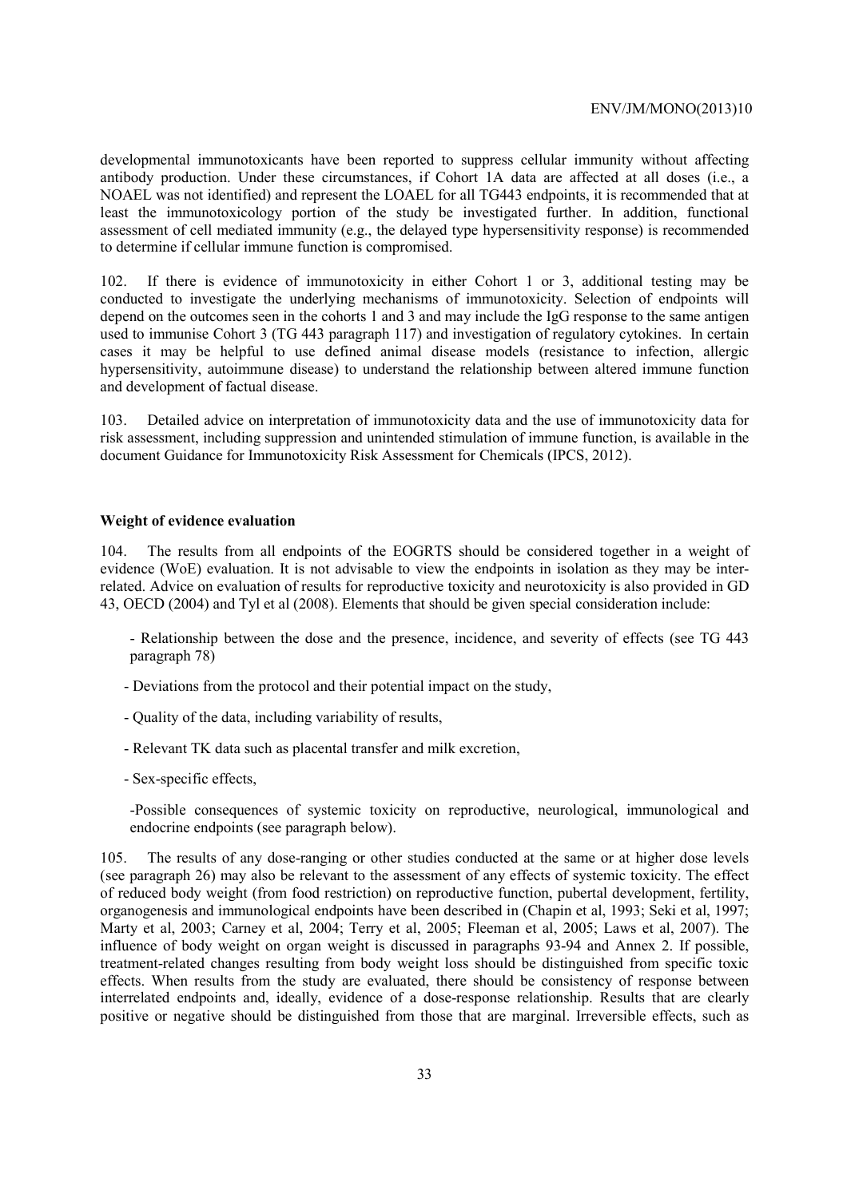developmental immunotoxicants have been reported to suppress cellular immunity without affecting antibody production. Under these circumstances, if Cohort 1A data are affected at all doses (i.e., a NOAEL was not identified) and represent the LOAEL for all TG443 endpoints, it is recommended that at least the immunotoxicology portion of the study be investigated further. In addition, functional assessment of cell mediated immunity (e.g., the delayed type hypersensitivity response) is recommended to determine if cellular immune function is compromised.

102. If there is evidence of immunotoxicity in either Cohort 1 or 3, additional testing may be conducted to investigate the underlying mechanisms of immunotoxicity. Selection of endpoints will depend on the outcomes seen in the cohorts 1 and 3 and may include the IgG response to the same antigen used to immunise Cohort 3 (TG 443 paragraph 117) and investigation of regulatory cytokines. In certain cases it may be helpful to use defined animal disease models (resistance to infection, allergic hypersensitivity, autoimmune disease) to understand the relationship between altered immune function and development of factual disease.

103. Detailed advice on interpretation of immunotoxicity data and the use of immunotoxicity data for risk assessment, including suppression and unintended stimulation of immune function, is available in the document Guidance for Immunotoxicity Risk Assessment for Chemicals (IPCS, 2012).

# **Weight of evidence evaluation**

104. The results from all endpoints of the EOGRTS should be considered together in a weight of evidence (WoE) evaluation. It is not advisable to view the endpoints in isolation as they may be interrelated. Advice on evaluation of results for reproductive toxicity and neurotoxicity is also provided in GD 43, OECD (2004) and Tyl et al (2008). Elements that should be given special consideration include:

- Relationship between the dose and the presence, incidence, and severity of effects (see TG 443 paragraph 78)
- Deviations from the protocol and their potential impact on the study,
- Quality of the data, including variability of results,
- Relevant TK data such as placental transfer and milk excretion,
- Sex-specific effects,

-Possible consequences of systemic toxicity on reproductive, neurological, immunological and endocrine endpoints (see paragraph below).

105. The results of any dose-ranging or other studies conducted at the same or at higher dose levels (see paragraph 26) may also be relevant to the assessment of any effects of systemic toxicity. The effect of reduced body weight (from food restriction) on reproductive function, pubertal development, fertility, organogenesis and immunological endpoints have been described in (Chapin et al, 1993; Seki et al, 1997; Marty et al, 2003; Carney et al, 2004; Terry et al, 2005; Fleeman et al, 2005; Laws et al, 2007). The influence of body weight on organ weight is discussed in paragraphs 93-94 and Annex 2. If possible, treatment-related changes resulting from body weight loss should be distinguished from specific toxic effects. When results from the study are evaluated, there should be consistency of response between interrelated endpoints and, ideally, evidence of a dose-response relationship. Results that are clearly positive or negative should be distinguished from those that are marginal. Irreversible effects, such as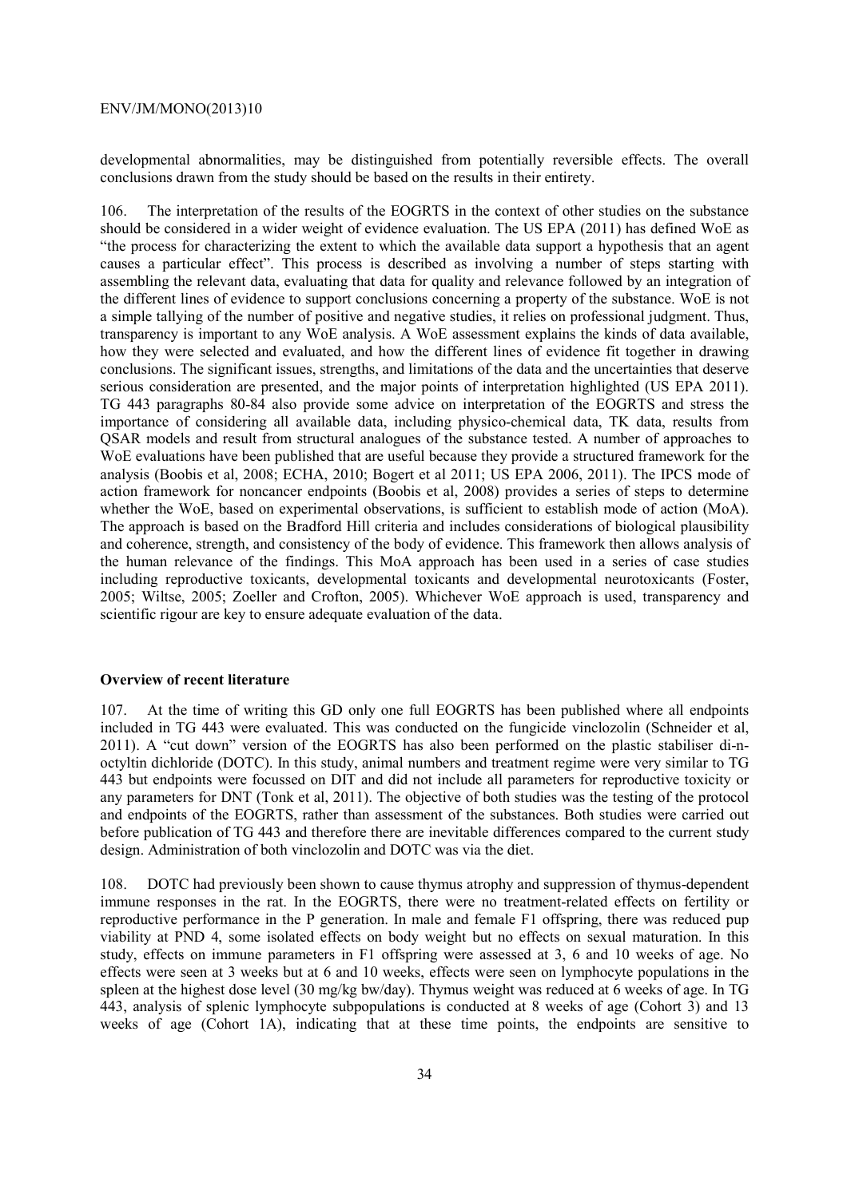developmental abnormalities, may be distinguished from potentially reversible effects. The overall conclusions drawn from the study should be based on the results in their entirety.

106. The interpretation of the results of the EOGRTS in the context of other studies on the substance should be considered in a wider weight of evidence evaluation. The US EPA (2011) has defined WoE as "the process for characterizing the extent to which the available data support a hypothesis that an agent causes a particular effect". This process is described as involving a number of steps starting with assembling the relevant data, evaluating that data for quality and relevance followed by an integration of the different lines of evidence to support conclusions concerning a property of the substance. WoE is not a simple tallying of the number of positive and negative studies, it relies on professional judgment. Thus, transparency is important to any WoE analysis. A WoE assessment explains the kinds of data available, how they were selected and evaluated, and how the different lines of evidence fit together in drawing conclusions. The significant issues, strengths, and limitations of the data and the uncertainties that deserve serious consideration are presented, and the major points of interpretation highlighted (US EPA 2011). TG 443 paragraphs 80-84 also provide some advice on interpretation of the EOGRTS and stress the importance of considering all available data, including physico-chemical data, TK data, results from QSAR models and result from structural analogues of the substance tested. A number of approaches to WoE evaluations have been published that are useful because they provide a structured framework for the analysis (Boobis et al, 2008; ECHA, 2010; Bogert et al 2011; US EPA 2006, 2011). The IPCS mode of action framework for noncancer endpoints (Boobis et al, 2008) provides a series of steps to determine whether the WoE, based on experimental observations, is sufficient to establish mode of action (MoA). The approach is based on the Bradford Hill criteria and includes considerations of biological plausibility and coherence, strength, and consistency of the body of evidence. This framework then allows analysis of the human relevance of the findings. This MoA approach has been used in a series of case studies including reproductive toxicants, developmental toxicants and developmental neurotoxicants (Foster, 2005; Wiltse, 2005; Zoeller and Crofton, 2005). Whichever WoE approach is used, transparency and scientific rigour are key to ensure adequate evaluation of the data.

### **Overview of recent literature**

107. At the time of writing this GD only one full EOGRTS has been published where all endpoints included in TG 443 were evaluated. This was conducted on the fungicide vinclozolin (Schneider et al, 2011). A "cut down" version of the EOGRTS has also been performed on the plastic stabiliser di-noctyltin dichloride (DOTC). In this study, animal numbers and treatment regime were very similar to TG 443 but endpoints were focussed on DIT and did not include all parameters for reproductive toxicity or any parameters for DNT (Tonk et al, 2011). The objective of both studies was the testing of the protocol and endpoints of the EOGRTS, rather than assessment of the substances. Both studies were carried out before publication of TG 443 and therefore there are inevitable differences compared to the current study design. Administration of both vinclozolin and DOTC was via the diet.

108. DOTC had previously been shown to cause thymus atrophy and suppression of thymus-dependent immune responses in the rat. In the EOGRTS, there were no treatment-related effects on fertility or reproductive performance in the P generation. In male and female F1 offspring, there was reduced pup viability at PND 4, some isolated effects on body weight but no effects on sexual maturation. In this study, effects on immune parameters in F1 offspring were assessed at 3, 6 and 10 weeks of age. No effects were seen at 3 weeks but at 6 and 10 weeks, effects were seen on lymphocyte populations in the spleen at the highest dose level (30 mg/kg bw/day). Thymus weight was reduced at 6 weeks of age. In TG 443, analysis of splenic lymphocyte subpopulations is conducted at 8 weeks of age (Cohort 3) and 13 weeks of age (Cohort 1A), indicating that at these time points, the endpoints are sensitive to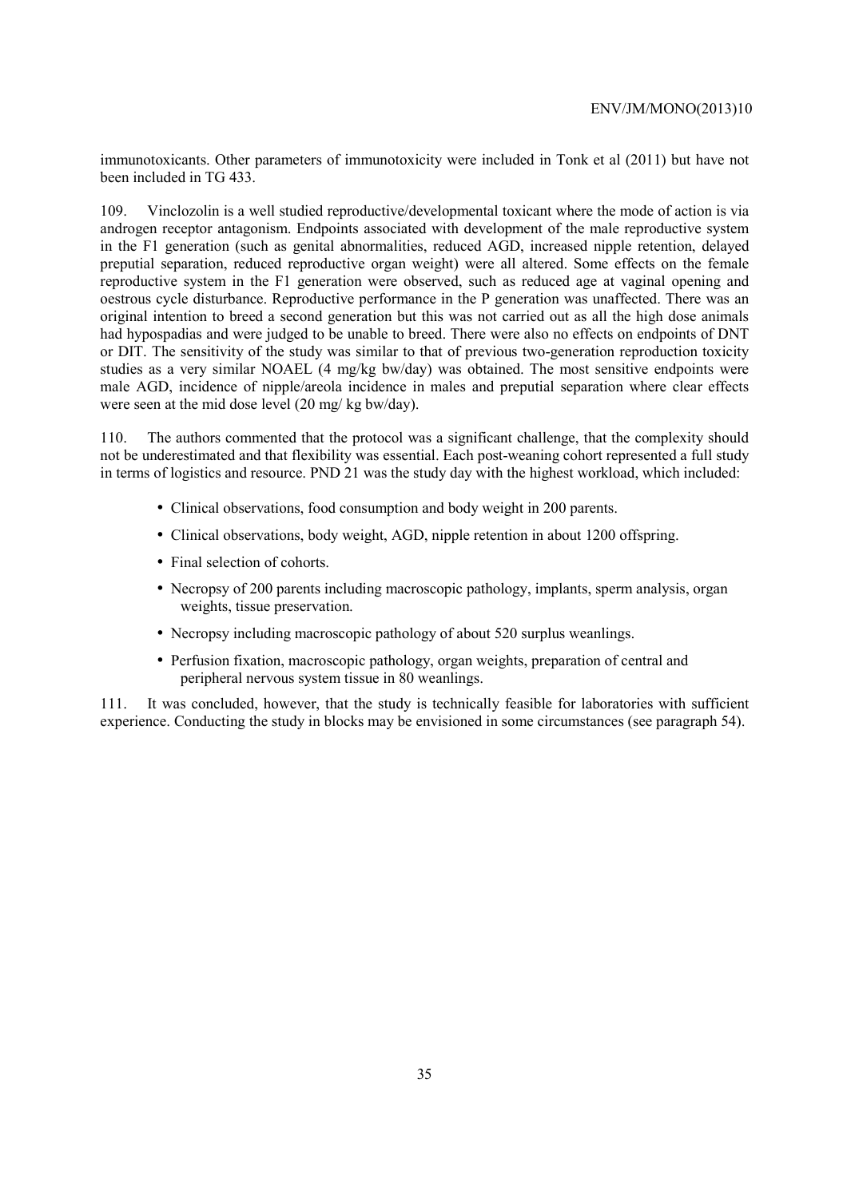immunotoxicants. Other parameters of immunotoxicity were included in Tonk et al (2011) but have not been included in TG 433.

109. Vinclozolin is a well studied reproductive/developmental toxicant where the mode of action is via androgen receptor antagonism. Endpoints associated with development of the male reproductive system in the F1 generation (such as genital abnormalities, reduced AGD, increased nipple retention, delayed preputial separation, reduced reproductive organ weight) were all altered. Some effects on the female reproductive system in the F1 generation were observed, such as reduced age at vaginal opening and oestrous cycle disturbance. Reproductive performance in the P generation was unaffected. There was an original intention to breed a second generation but this was not carried out as all the high dose animals had hypospadias and were judged to be unable to breed. There were also no effects on endpoints of DNT or DIT. The sensitivity of the study was similar to that of previous two-generation reproduction toxicity studies as a very similar NOAEL (4 mg/kg bw/day) was obtained. The most sensitive endpoints were male AGD, incidence of nipple/areola incidence in males and preputial separation where clear effects were seen at the mid dose level (20 mg/ kg bw/day).

110. The authors commented that the protocol was a significant challenge, that the complexity should not be underestimated and that flexibility was essential. Each post-weaning cohort represented a full study in terms of logistics and resource. PND 21 was the study day with the highest workload, which included:

- Clinical observations, food consumption and body weight in 200 parents.
- Clinical observations, body weight, AGD, nipple retention in about 1200 offspring.
- Final selection of cohorts.
- Necropsy of 200 parents including macroscopic pathology, implants, sperm analysis, organ weights, tissue preservation.
- Necropsy including macroscopic pathology of about 520 surplus weanlings.
- Perfusion fixation, macroscopic pathology, organ weights, preparation of central and peripheral nervous system tissue in 80 weanlings.

111. It was concluded, however, that the study is technically feasible for laboratories with sufficient experience. Conducting the study in blocks may be envisioned in some circumstances (see paragraph 54).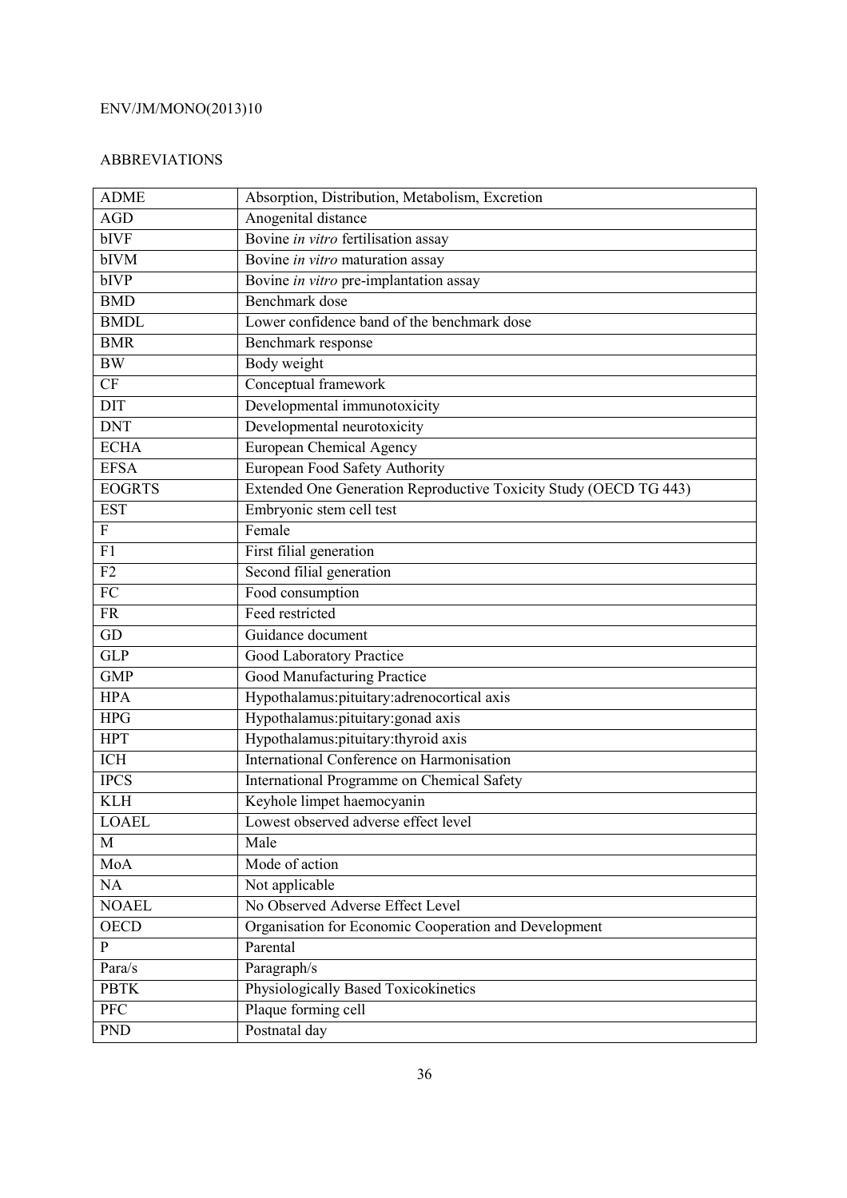# ABBREVIATIONS

| <b>ADME</b>               | Absorption, Distribution, Metabolism, Excretion                   |
|---------------------------|-------------------------------------------------------------------|
| <b>AGD</b>                | Anogenital distance                                               |
| bIVF                      | Bovine in vitro fertilisation assay                               |
| bIVM                      | Bovine in vitro maturation assay                                  |
| bIVP                      | Bovine in vitro pre-implantation assay                            |
| <b>BMD</b>                | Benchmark dose                                                    |
| <b>BMDL</b>               | Lower confidence band of the benchmark dose                       |
| <b>BMR</b>                | Benchmark response                                                |
| <b>BW</b>                 | Body weight                                                       |
| CF                        | Conceptual framework                                              |
| DIT                       | Developmental immunotoxicity                                      |
| <b>DNT</b>                | Developmental neurotoxicity                                       |
| <b>ECHA</b>               | <b>European Chemical Agency</b>                                   |
| <b>EFSA</b>               | European Food Safety Authority                                    |
| <b>EOGRTS</b>             | Extended One Generation Reproductive Toxicity Study (OECD TG 443) |
| <b>EST</b>                | Embryonic stem cell test                                          |
| $\boldsymbol{\mathrm{F}}$ | Female                                                            |
| F1                        | First filial generation                                           |
| F2                        | Second filial generation                                          |
| FC                        | Food consumption                                                  |
| <b>FR</b>                 | Feed restricted                                                   |
| GD                        | Guidance document                                                 |
| <b>GLP</b>                | Good Laboratory Practice                                          |
| <b>GMP</b>                | Good Manufacturing Practice                                       |
| <b>HPA</b>                | Hypothalamus:pituitary:adrenocortical axis                        |
| <b>HPG</b>                | Hypothalamus:pituitary:gonad axis                                 |
| <b>HPT</b>                | Hypothalamus:pituitary:thyroid axis                               |
| ICH                       | International Conference on Harmonisation                         |
| <b>IPCS</b>               | International Programme on Chemical Safety                        |
| <b>KLH</b>                | Keyhole limpet haemocyanin                                        |
| <b>LOAEL</b>              | Lowest observed adverse effect level                              |
| M                         | Male                                                              |
| MoA                       | Mode of action                                                    |
| NA                        | Not applicable                                                    |
| <b>NOAEL</b>              | No Observed Adverse Effect Level                                  |
| <b>OECD</b>               | Organisation for Economic Cooperation and Development             |
| $\mathbf{P}$              | Parental                                                          |
| Para/s                    | Paragraph/s                                                       |
| <b>PBTK</b>               | Physiologically Based Toxicokinetics                              |
| PFC                       | Plaque forming cell                                               |
| <b>PND</b>                | Postnatal day                                                     |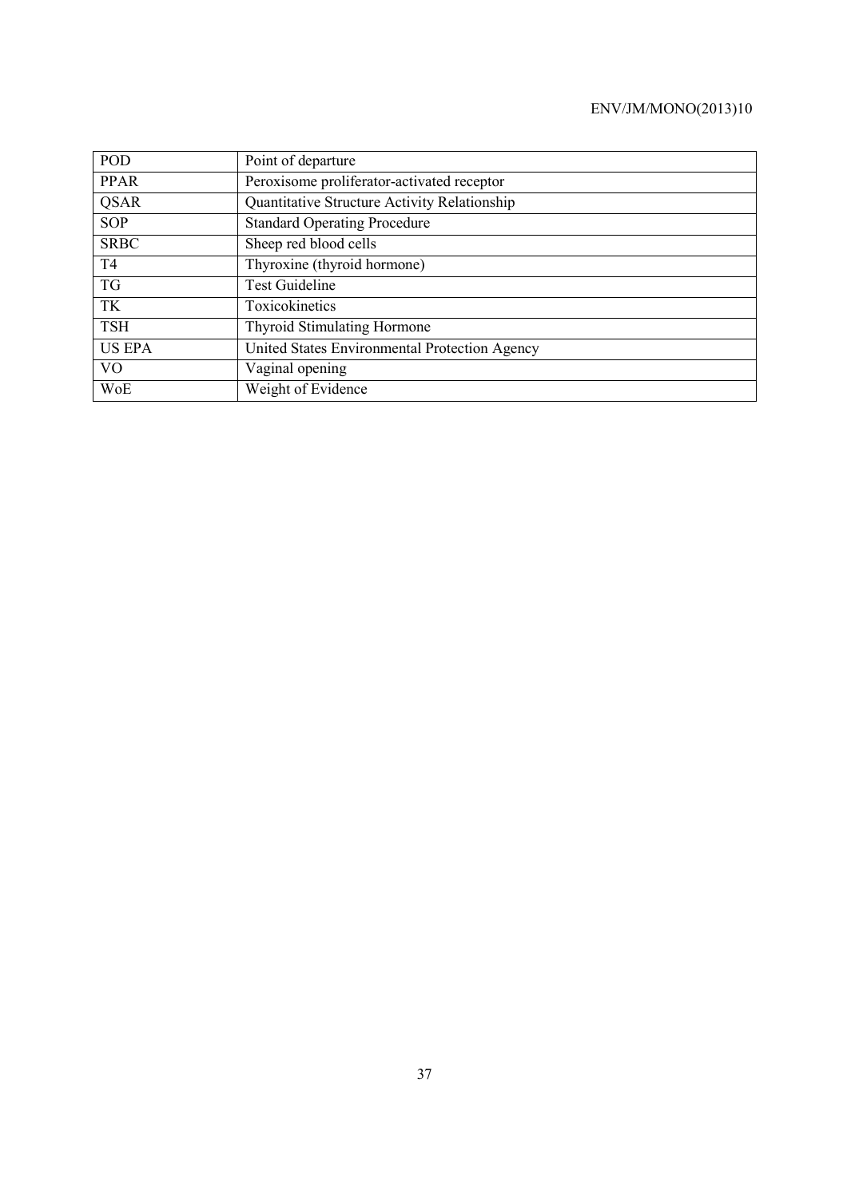| POD            | Point of departure                            |
|----------------|-----------------------------------------------|
| <b>PPAR</b>    | Peroxisome proliferator-activated receptor    |
| <b>QSAR</b>    | Quantitative Structure Activity Relationship  |
| <b>SOP</b>     | <b>Standard Operating Procedure</b>           |
| <b>SRBC</b>    | Sheep red blood cells                         |
| T4             | Thyroxine (thyroid hormone)                   |
| <b>TG</b>      | <b>Test Guideline</b>                         |
| TK             | Toxicokinetics                                |
| <b>TSH</b>     | <b>Thyroid Stimulating Hormone</b>            |
| <b>US EPA</b>  | United States Environmental Protection Agency |
| V <sub>O</sub> | Vaginal opening                               |
| WoE            | Weight of Evidence                            |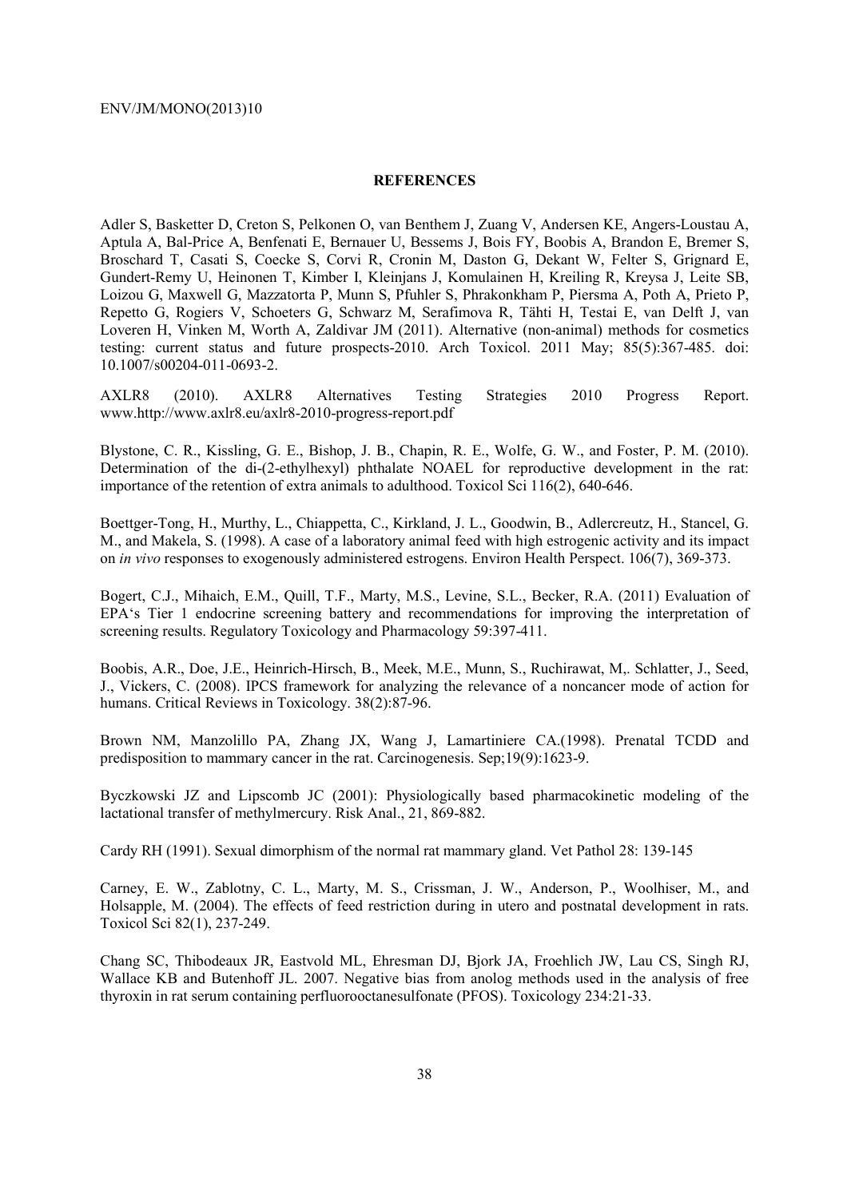#### **REFERENCES**

Adler S, Basketter D, Creton S, Pelkonen O, van Benthem J, Zuang V, Andersen KE, Angers-Loustau A, Aptula A, Bal-Price A, Benfenati E, Bernauer U, Bessems J, Bois FY, Boobis A, Brandon E, Bremer S, Broschard T, Casati S, Coecke S, Corvi R, Cronin M, Daston G, Dekant W, Felter S, Grignard E, Gundert-Remy U, Heinonen T, Kimber I, Kleinjans J, Komulainen H, Kreiling R, Kreysa J, Leite SB, Loizou G, Maxwell G, Mazzatorta P, Munn S, Pfuhler S, Phrakonkham P, Piersma A, Poth A, Prieto P, Repetto G, Rogiers V, Schoeters G, Schwarz M, Serafimova R, Tähti H, Testai E, van Delft J, van Loveren H, Vinken M, Worth A, Zaldivar JM (2011). Alternative (non-animal) methods for cosmetics testing: current status and future prospects-2010. Arch Toxicol. 2011 May; 85(5):367-485. doi: 10.1007/s00204-011-0693-2.

AXLR8 (2010). AXLR8 Alternatives Testing Strategies 2010 Progress Report. www.http://www.axlr8.eu/axlr8-2010-progress-report.pdf

Blystone, C. R., Kissling, G. E., Bishop, J. B., Chapin, R. E., Wolfe, G. W., and Foster, P. M. (2010). Determination of the di-(2-ethylhexyl) phthalate NOAEL for reproductive development in the rat: importance of the retention of extra animals to adulthood. Toxicol Sci 116(2), 640-646.

Boettger-Tong, H., Murthy, L., Chiappetta, C., Kirkland, J. L., Goodwin, B., Adlercreutz, H., Stancel, G. M., and Makela, S. (1998). A case of a laboratory animal feed with high estrogenic activity and its impact on *in vivo* responses to exogenously administered estrogens. Environ Health Perspect. 106(7), 369-373.

Bogert, C.J., Mihaich, E.M., Quill, T.F., Marty, M.S., Levine, S.L., Becker, R.A. (2011) Evaluation of EPA's Tier 1 endocrine screening battery and recommendations for improving the interpretation of screening results. Regulatory Toxicology and Pharmacology 59:397-411.

Boobis, A.R., Doe, J.E., Heinrich-Hirsch, B., Meek, M.E., Munn, S., Ruchirawat, M,. Schlatter, J., Seed, J., Vickers, C. (2008). IPCS framework for analyzing the relevance of a noncancer mode of action for humans. Critical Reviews in Toxicology. 38(2):87-96.

Brown NM, Manzolillo PA, Zhang JX, Wang J, Lamartiniere CA.(1998). Prenatal TCDD and predisposition to mammary cancer in the rat. Carcinogenesis. Sep;19(9):1623-9.

Byczkowski JZ and Lipscomb JC (2001): Physiologically based pharmacokinetic modeling of the lactational transfer of methylmercury. Risk Anal., 21, 869-882.

Cardy RH (1991). Sexual dimorphism of the normal rat mammary gland. Vet Pathol 28: 139-145

Carney, E. W., Zablotny, C. L., Marty, M. S., Crissman, J. W., Anderson, P., Woolhiser, M., and Holsapple, M. (2004). The effects of feed restriction during in utero and postnatal development in rats. Toxicol Sci 82(1), 237-249.

Chang SC, Thibodeaux JR, Eastvold ML, Ehresman DJ, Bjork JA, Froehlich JW, Lau CS, Singh RJ, Wallace KB and Butenhoff JL. 2007. Negative bias from anolog methods used in the analysis of free thyroxin in rat serum containing perfluorooctanesulfonate (PFOS). Toxicology 234:21-33.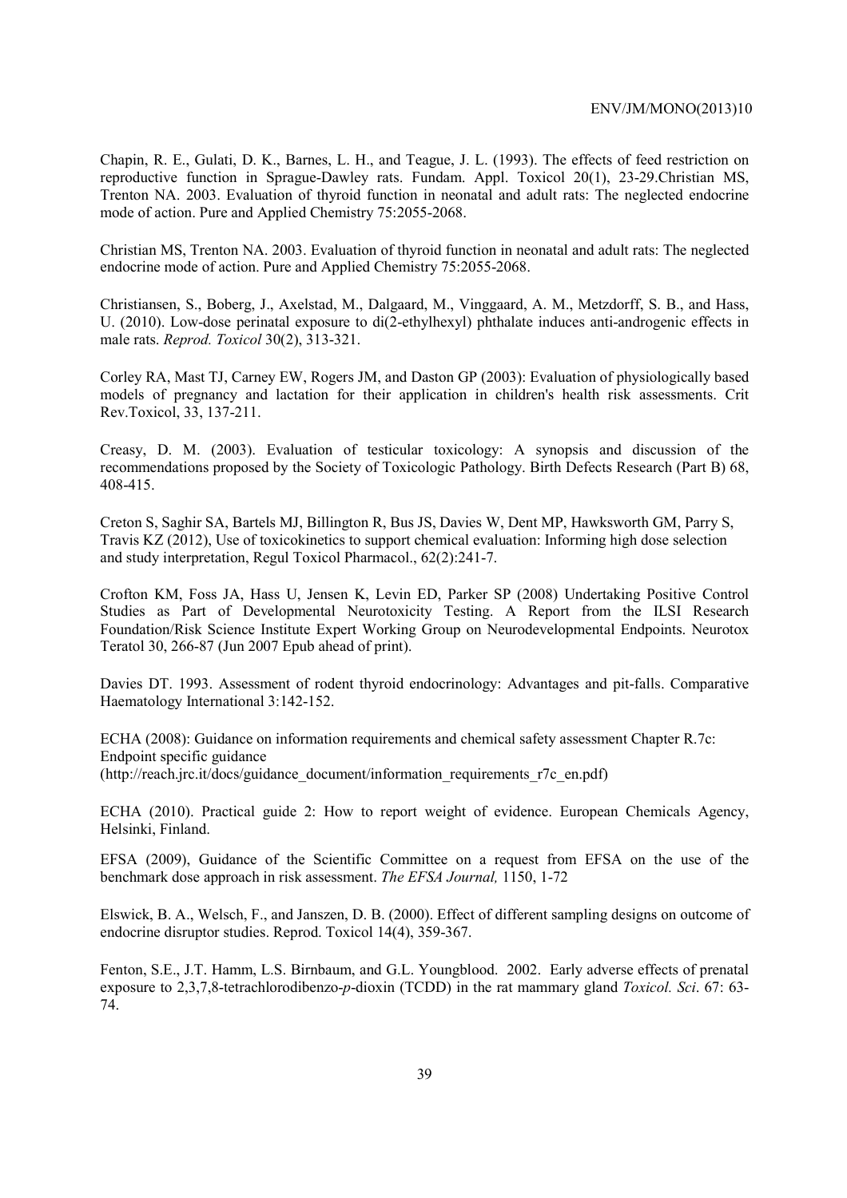Chapin, R. E., Gulati, D. K., Barnes, L. H., and Teague, J. L. (1993). The effects of feed restriction on reproductive function in Sprague-Dawley rats. Fundam. Appl. Toxicol 20(1), 23-29.Christian MS, Trenton NA. 2003. Evaluation of thyroid function in neonatal and adult rats: The neglected endocrine mode of action. Pure and Applied Chemistry 75:2055-2068.

Christian MS, Trenton NA. 2003. Evaluation of thyroid function in neonatal and adult rats: The neglected endocrine mode of action. Pure and Applied Chemistry 75:2055-2068.

Christiansen, S., Boberg, J., Axelstad, M., Dalgaard, M., Vinggaard, A. M., Metzdorff, S. B., and Hass, U. (2010). Low-dose perinatal exposure to di(2-ethylhexyl) phthalate induces anti-androgenic effects in male rats. *Reprod. Toxicol* 30(2), 313-321.

Corley RA, Mast TJ, Carney EW, Rogers JM, and Daston GP (2003): Evaluation of physiologically based models of pregnancy and lactation for their application in children's health risk assessments. Crit Rev.Toxicol, 33, 137-211.

Creasy, D. M. (2003). Evaluation of testicular toxicology: A synopsis and discussion of the recommendations proposed by the Society of Toxicologic Pathology. Birth Defects Research (Part B) 68, 408-415.

Creton S, Saghir SA, Bartels MJ, Billington R, Bus JS, Davies W, Dent MP, Hawksworth GM, Parry S, Travis KZ (2012), Use of toxicokinetics to support chemical evaluation: Informing high dose selection and study interpretation, Regul Toxicol Pharmacol., 62(2):241-7.

Crofton KM, Foss JA, Hass U, Jensen K, Levin ED, Parker SP (2008) Undertaking Positive Control Studies as Part of Developmental Neurotoxicity Testing. A Report from the ILSI Research Foundation/Risk Science Institute Expert Working Group on Neurodevelopmental Endpoints. Neurotox Teratol 30, 266-87 (Jun 2007 Epub ahead of print).

Davies DT. 1993. Assessment of rodent thyroid endocrinology: Advantages and pit-falls. Comparative Haematology International 3:142-152.

ECHA (2008): Guidance on information requirements and chemical safety assessment Chapter R.7c: Endpoint specific guidance (http://reach.jrc.it/docs/guidance\_document/information\_requirements\_r7c\_en.pdf)

ECHA (2010). Practical guide 2: How to report weight of evidence. European Chemicals Agency, Helsinki, Finland.

EFSA (2009), Guidance of the Scientific Committee on a request from EFSA on the use of the benchmark dose approach in risk assessment. *The EFSA Journal,* 1150, 1-72

Elswick, B. A., Welsch, F., and Janszen, D. B. (2000). Effect of different sampling designs on outcome of endocrine disruptor studies. Reprod. Toxicol 14(4), 359-367.

Fenton, S.E., J.T. Hamm, L.S. Birnbaum, and G.L. Youngblood. 2002. Early adverse effects of prenatal exposure to 2,3,7,8-tetrachlorodibenzo-*p*-dioxin (TCDD) in the rat mammary gland *Toxicol. Sci*. 67: 63- 74.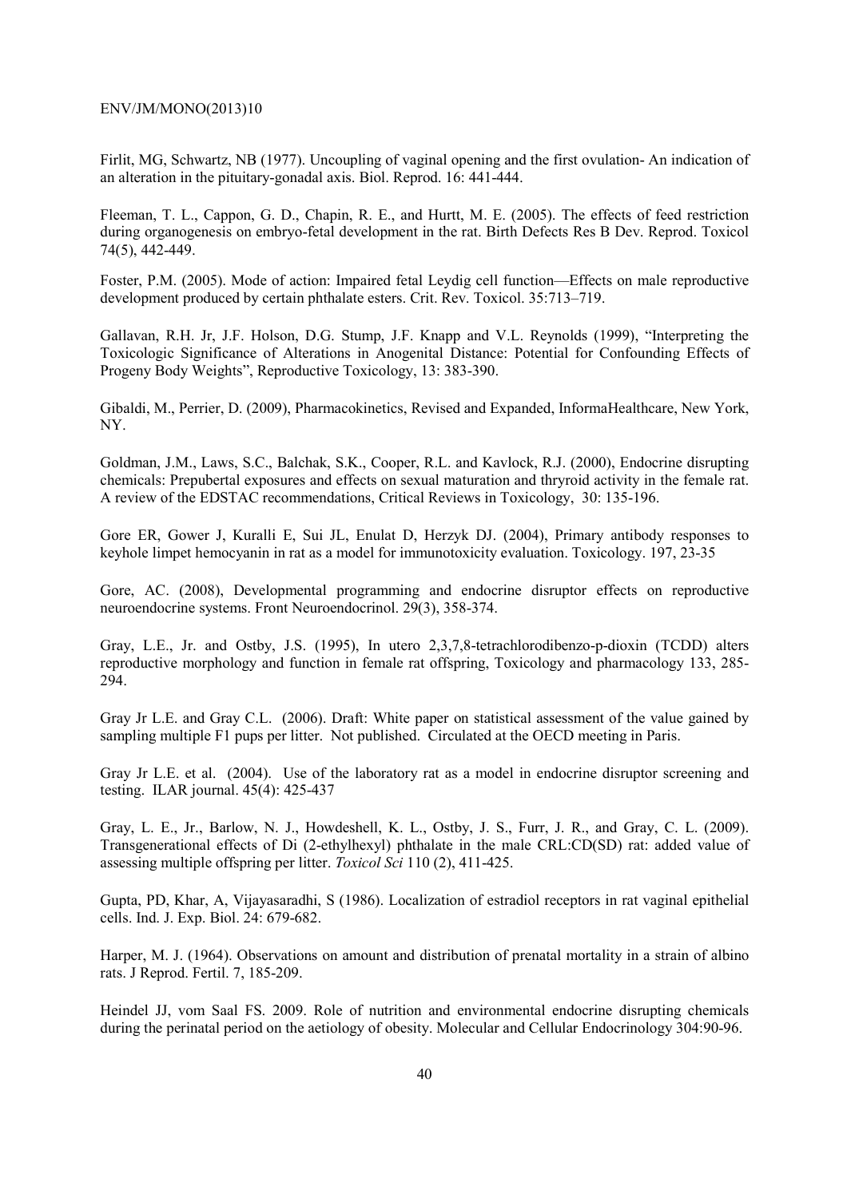Firlit, MG, Schwartz, NB (1977). Uncoupling of vaginal opening and the first ovulation- An indication of an alteration in the pituitary-gonadal axis. Biol. Reprod. 16: 441-444.

Fleeman, T. L., Cappon, G. D., Chapin, R. E., and Hurtt, M. E. (2005). The effects of feed restriction during organogenesis on embryo-fetal development in the rat. Birth Defects Res B Dev. Reprod. Toxicol 74(5), 442-449.

Foster, P.M. (2005). Mode of action: Impaired fetal Leydig cell function—Effects on male reproductive development produced by certain phthalate esters. Crit. Rev. Toxicol. 35:713–719.

Gallavan, R.H. Jr, J.F. Holson, D.G. Stump, J.F. Knapp and V.L. Reynolds (1999), "Interpreting the Toxicologic Significance of Alterations in Anogenital Distance: Potential for Confounding Effects of Progeny Body Weights", Reproductive Toxicology, 13: 383-390.

Gibaldi, M., Perrier, D. (2009), Pharmacokinetics, Revised and Expanded, InformaHealthcare, New York, NY.

Goldman, J.M., Laws, S.C., Balchak, S.K., Cooper, R.L. and Kavlock, R.J. (2000), Endocrine disrupting chemicals: Prepubertal exposures and effects on sexual maturation and thryroid activity in the female rat. A review of the EDSTAC recommendations, Critical Reviews in Toxicology, 30: 135-196.

Gore ER, Gower J, Kuralli E, Sui JL, Enulat D, Herzyk DJ. (2004), Primary antibody responses to keyhole limpet hemocyanin in rat as a model for immunotoxicity evaluation. Toxicology. 197, 23-35

Gore, AC. (2008), Developmental programming and endocrine disruptor effects on reproductive neuroendocrine systems. Front Neuroendocrinol. 29(3), 358-374.

Gray, L.E., Jr. and Ostby, J.S. (1995), In utero 2,3,7,8-tetrachlorodibenzo-p-dioxin (TCDD) alters reproductive morphology and function in female rat offspring, Toxicology and pharmacology 133, 285- 294.

Gray Jr L.E. and Gray C.L. (2006). Draft: White paper on statistical assessment of the value gained by sampling multiple F1 pups per litter. Not published. Circulated at the OECD meeting in Paris.

Gray Jr L.E. et al. (2004). Use of the laboratory rat as a model in endocrine disruptor screening and testing. ILAR journal. 45(4): 425-437

Gray, L. E., Jr., Barlow, N. J., Howdeshell, K. L., Ostby, J. S., Furr, J. R., and Gray, C. L. (2009). Transgenerational effects of Di (2-ethylhexyl) phthalate in the male CRL:CD(SD) rat: added value of assessing multiple offspring per litter. *Toxicol Sci* 110 (2), 411-425.

Gupta, PD, Khar, A, Vijayasaradhi, S (1986). Localization of estradiol receptors in rat vaginal epithelial cells. Ind. J. Exp. Biol. 24: 679-682.

Harper, M. J. (1964). Observations on amount and distribution of prenatal mortality in a strain of albino rats. J Reprod. Fertil. 7, 185-209.

Heindel JJ, vom Saal FS. 2009. Role of nutrition and environmental endocrine disrupting chemicals during the perinatal period on the aetiology of obesity. Molecular and Cellular Endocrinology 304:90-96.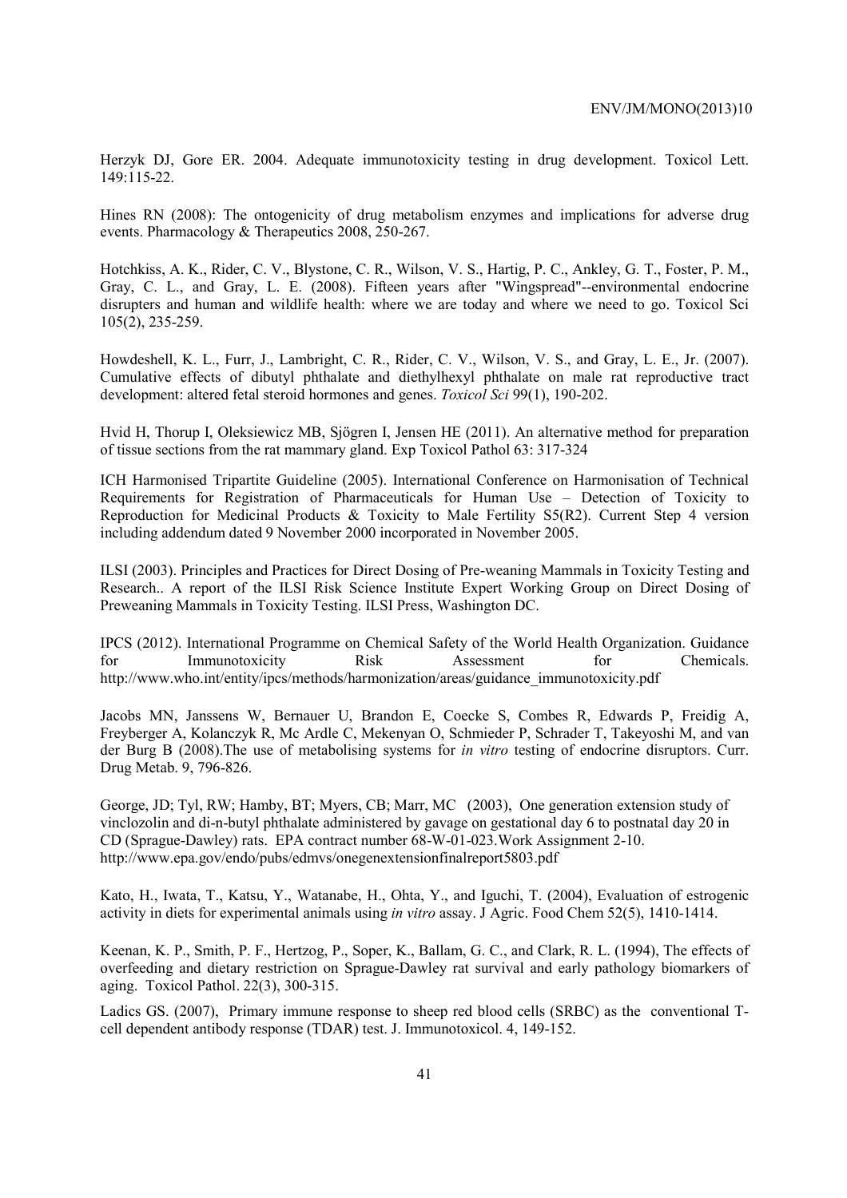Herzyk DJ, Gore ER. 2004. Adequate immunotoxicity testing in drug development. Toxicol Lett. 149:115-22.

Hines RN (2008): The ontogenicity of drug metabolism enzymes and implications for adverse drug events. Pharmacology & Therapeutics 2008, 250-267.

Hotchkiss, A. K., Rider, C. V., Blystone, C. R., Wilson, V. S., Hartig, P. C., Ankley, G. T., Foster, P. M., Gray, C. L., and Gray, L. E. (2008). Fifteen years after "Wingspread"--environmental endocrine disrupters and human and wildlife health: where we are today and where we need to go. Toxicol Sci 105(2), 235-259.

Howdeshell, K. L., Furr, J., Lambright, C. R., Rider, C. V., Wilson, V. S., and Gray, L. E., Jr. (2007). Cumulative effects of dibutyl phthalate and diethylhexyl phthalate on male rat reproductive tract development: altered fetal steroid hormones and genes. *Toxicol Sci* 99(1), 190-202.

Hvid H, Thorup I, Oleksiewicz MB, Sjögren I, Jensen HE (2011). An alternative method for preparation of tissue sections from the rat mammary gland. Exp Toxicol Pathol 63: 317-324

ICH Harmonised Tripartite Guideline (2005). International Conference on Harmonisation of Technical Requirements for Registration of Pharmaceuticals for Human Use – Detection of Toxicity to Reproduction for Medicinal Products & Toxicity to Male Fertility S5(R2). Current Step 4 version including addendum dated 9 November 2000 incorporated in November 2005.

ILSI (2003). Principles and Practices for Direct Dosing of Pre-weaning Mammals in Toxicity Testing and Research.. A report of the ILSI Risk Science Institute Expert Working Group on Direct Dosing of Preweaning Mammals in Toxicity Testing. ILSI Press, Washington DC.

IPCS (2012). International Programme on Chemical Safety of the World Health Organization. Guidance for Immunotoxicity Risk Assessment for Chemicals. http://www.who.int/entity/ipcs/methods/harmonization/areas/guidance\_immunotoxicity.pdf

Jacobs MN, Janssens W, Bernauer U, Brandon E, Coecke S, Combes R, Edwards P, Freidig A, Freyberger A, Kolanczyk R, Mc Ardle C, Mekenyan O, Schmieder P, Schrader T, Takeyoshi M, and van der Burg B (2008).The use of metabolising systems for *in vitro* testing of endocrine disruptors. Curr. Drug Metab. 9, 796-826.

George, JD; Tyl, RW; Hamby, BT; Myers, CB; Marr, MC (2003), One generation extension study of vinclozolin and di-n-butyl phthalate administered by gavage on gestational day 6 to postnatal day 20 in CD (Sprague-Dawley) rats. EPA contract number 68-W-01-023.Work Assignment 2-10. http://www.epa.gov/endo/pubs/edmvs/onegenextensionfinalreport5803.pdf

Kato, H., Iwata, T., Katsu, Y., Watanabe, H., Ohta, Y., and Iguchi, T. (2004), Evaluation of estrogenic activity in diets for experimental animals using *in vitro* assay. J Agric. Food Chem 52(5), 1410-1414.

Keenan, K. P., Smith, P. F., Hertzog, P., Soper, K., Ballam, G. C., and Clark, R. L. (1994), The effects of overfeeding and dietary restriction on Sprague-Dawley rat survival and early pathology biomarkers of aging. Toxicol Pathol. 22(3), 300-315.

Ladics GS. (2007), Primary immune response to sheep red blood cells (SRBC) as the conventional Tcell dependent antibody response (TDAR) test. J. Immunotoxicol. 4, 149-152.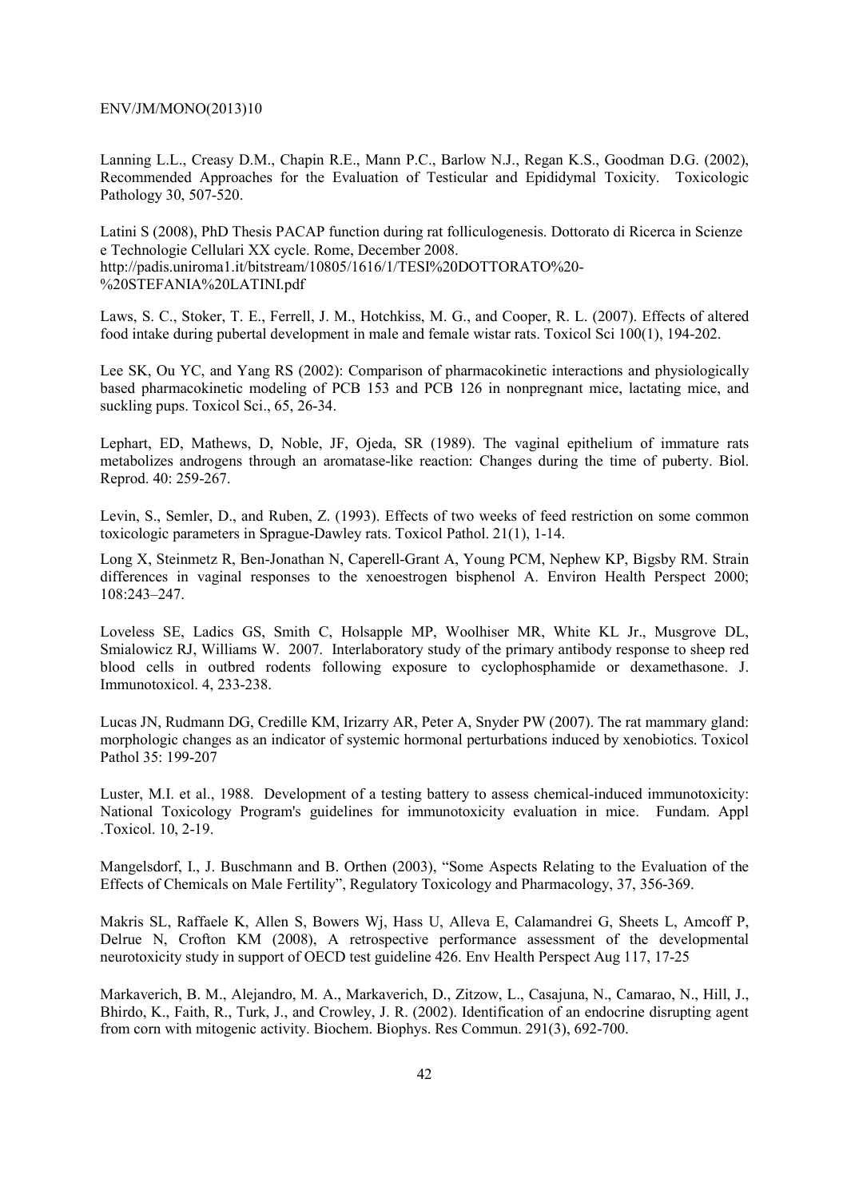Lanning L.L., Creasy D.M., Chapin R.E., Mann P.C., Barlow N.J., Regan K.S., Goodman D.G. (2002), Recommended Approaches for the Evaluation of Testicular and Epididymal Toxicity. Toxicologic Pathology 30, 507-520.

Latini S (2008), PhD Thesis PACAP function during rat folliculogenesis. Dottorato di Ricerca in Scienze e Technologie Cellulari XX cycle. Rome, December 2008. http://padis.uniroma1.it/bitstream/10805/1616/1/TESI%20DOTTORATO%20- %20STEFANIA%20LATINI.pdf

Laws, S. C., Stoker, T. E., Ferrell, J. M., Hotchkiss, M. G., and Cooper, R. L. (2007). Effects of altered food intake during pubertal development in male and female wistar rats. Toxicol Sci 100(1), 194-202.

Lee SK, Ou YC, and Yang RS (2002): Comparison of pharmacokinetic interactions and physiologically based pharmacokinetic modeling of PCB 153 and PCB 126 in nonpregnant mice, lactating mice, and suckling pups. Toxicol Sci., 65, 26-34.

Lephart, ED, Mathews, D, Noble, JF, Ojeda, SR (1989). The vaginal epithelium of immature rats metabolizes androgens through an aromatase-like reaction: Changes during the time of puberty. Biol. Reprod. 40: 259-267.

Levin, S., Semler, D., and Ruben, Z. (1993). Effects of two weeks of feed restriction on some common toxicologic parameters in Sprague-Dawley rats. Toxicol Pathol. 21(1), 1-14.

Long X, Steinmetz R, Ben-Jonathan N, Caperell-Grant A, Young PCM, Nephew KP, Bigsby RM. Strain differences in vaginal responses to the xenoestrogen bisphenol A. Environ Health Perspect 2000; 108:243–247.

Loveless SE, Ladics GS, Smith C, Holsapple MP, Woolhiser MR, White KL Jr., Musgrove DL, Smialowicz RJ, Williams W. 2007. Interlaboratory study of the primary antibody response to sheep red blood cells in outbred rodents following exposure to cyclophosphamide or dexamethasone. J. Immunotoxicol. 4, 233-238.

Lucas JN, Rudmann DG, Credille KM, Irizarry AR, Peter A, Snyder PW (2007). The rat mammary gland: morphologic changes as an indicator of systemic hormonal perturbations induced by xenobiotics. Toxicol Pathol 35: 199-207

Luster, M.I. et al., 1988. Development of a testing battery to assess chemical-induced immunotoxicity: National Toxicology Program's guidelines for immunotoxicity evaluation in mice. Fundam. Appl .Toxicol. 10, 2-19.

Mangelsdorf, I., J. Buschmann and B. Orthen (2003), "Some Aspects Relating to the Evaluation of the Effects of Chemicals on Male Fertility", Regulatory Toxicology and Pharmacology, 37, 356-369.

Makris SL, Raffaele K, Allen S, Bowers Wj, Hass U, Alleva E, Calamandrei G, Sheets L, Amcoff P, Delrue N, Crofton KM (2008), A retrospective performance assessment of the developmental neurotoxicity study in support of OECD test guideline 426. Env Health Perspect Aug 117, 17-25

Markaverich, B. M., Alejandro, M. A., Markaverich, D., Zitzow, L., Casajuna, N., Camarao, N., Hill, J., Bhirdo, K., Faith, R., Turk, J., and Crowley, J. R. (2002). Identification of an endocrine disrupting agent from corn with mitogenic activity. Biochem. Biophys. Res Commun. 291(3), 692-700.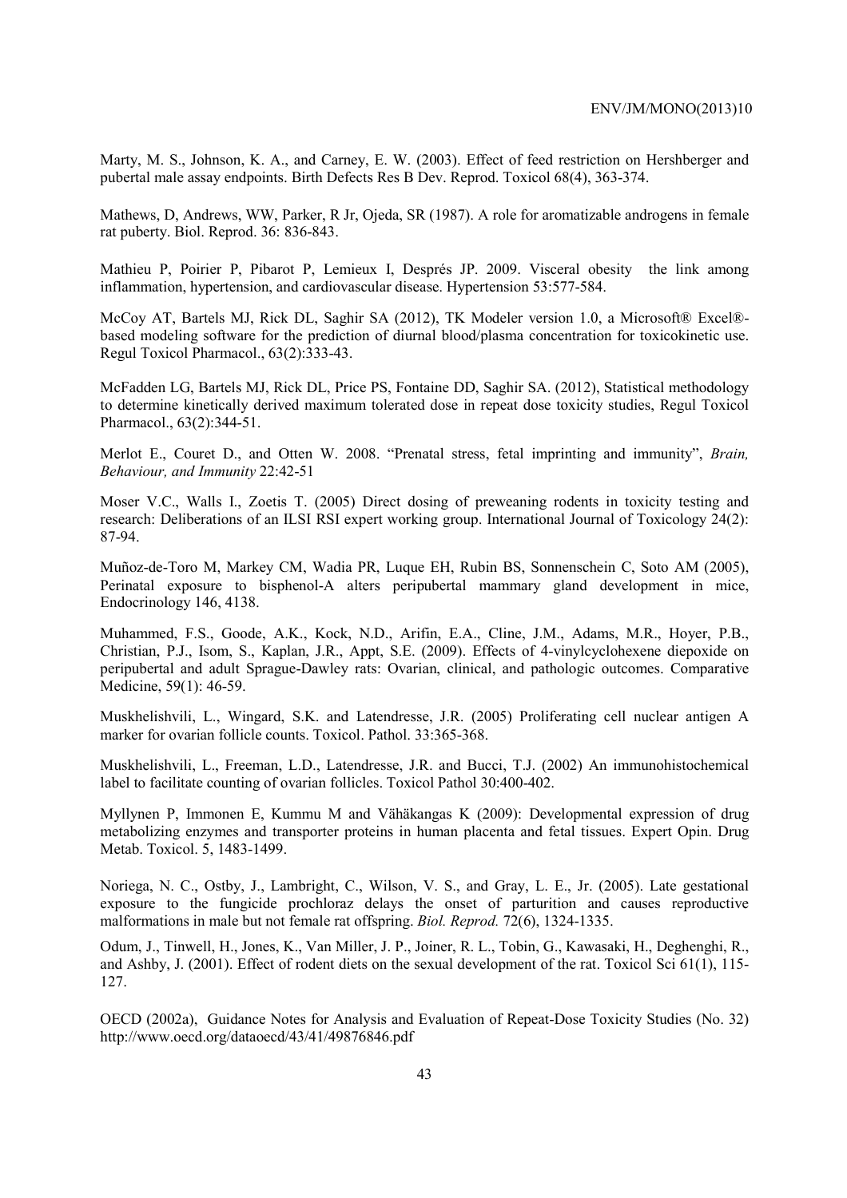Marty, M. S., Johnson, K. A., and Carney, E. W. (2003). Effect of feed restriction on Hershberger and pubertal male assay endpoints. Birth Defects Res B Dev. Reprod. Toxicol 68(4), 363-374.

Mathews, D, Andrews, WW, Parker, R Jr, Ojeda, SR (1987). A role for aromatizable androgens in female rat puberty. Biol. Reprod. 36: 836-843.

Mathieu P, Poirier P, Pibarot P, Lemieux I, Després JP. 2009. Visceral obesity the link among inflammation, hypertension, and cardiovascular disease. Hypertension 53:577-584.

McCoy AT, Bartels MJ, Rick DL, Saghir SA (2012), TK Modeler version 1.0, a Microsoft® Excel® based modeling software for the prediction of diurnal blood/plasma concentration for toxicokinetic use. Regul Toxicol Pharmacol., 63(2):333-43.

McFadden LG, Bartels MJ, Rick DL, Price PS, Fontaine DD, Saghir SA. (2012), Statistical methodology to determine kinetically derived maximum tolerated dose in repeat dose toxicity studies, Regul Toxicol Pharmacol., 63(2):344-51.

Merlot E., Couret D., and Otten W. 2008. "Prenatal stress, fetal imprinting and immunity", *Brain, Behaviour, and Immunity* 22:42-51

Moser V.C., Walls I., Zoetis T. (2005) Direct dosing of preweaning rodents in toxicity testing and research: Deliberations of an ILSI RSI expert working group. International Journal of Toxicology 24(2): 87-94.

Muñoz-de-Toro M, Markey CM, Wadia PR, Luque EH, Rubin BS, Sonnenschein C, Soto AM (2005), Perinatal exposure to bisphenol-A alters peripubertal mammary gland development in mice, Endocrinology 146, 4138.

Muhammed, F.S., Goode, A.K., Kock, N.D., Arifin, E.A., Cline, J.M., Adams, M.R., Hoyer, P.B., Christian, P.J., Isom, S., Kaplan, J.R., Appt, S.E. (2009). Effects of 4-vinylcyclohexene diepoxide on peripubertal and adult Sprague-Dawley rats: Ovarian, clinical, and pathologic outcomes. Comparative Medicine, 59(1): 46-59.

Muskhelishvili, L., Wingard, S.K. and Latendresse, J.R. (2005) Proliferating cell nuclear antigen A marker for ovarian follicle counts. Toxicol. Pathol. 33:365-368.

Muskhelishvili, L., Freeman, L.D., Latendresse, J.R. and Bucci, T.J. (2002) An immunohistochemical label to facilitate counting of ovarian follicles. Toxicol Pathol 30:400-402.

Myllynen P, Immonen E, Kummu M and Vähäkangas K (2009): Developmental expression of drug metabolizing enzymes and transporter proteins in human placenta and fetal tissues. Expert Opin. Drug Metab. Toxicol. 5, 1483-1499.

Noriega, N. C., Ostby, J., Lambright, C., Wilson, V. S., and Gray, L. E., Jr. (2005). Late gestational exposure to the fungicide prochloraz delays the onset of parturition and causes reproductive malformations in male but not female rat offspring. *Biol. Reprod.* 72(6), 1324-1335.

Odum, J., Tinwell, H., Jones, K., Van Miller, J. P., Joiner, R. L., Tobin, G., Kawasaki, H., Deghenghi, R., and Ashby, J. (2001). Effect of rodent diets on the sexual development of the rat. Toxicol Sci 61(1), 115- 127.

OECD (2002a), Guidance Notes for Analysis and Evaluation of Repeat-Dose Toxicity Studies (No. 32) http://www.oecd.org/dataoecd/43/41/49876846.pdf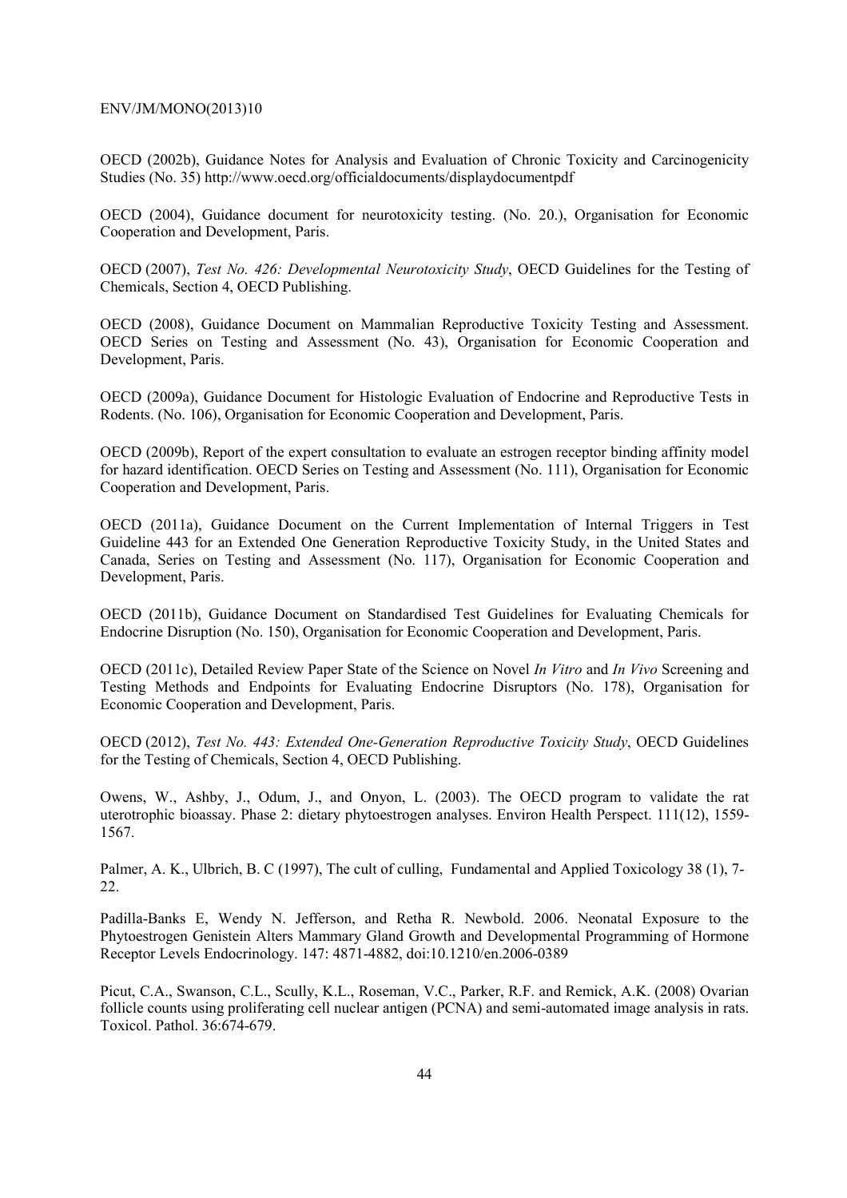OECD (2002b), Guidance Notes for Analysis and Evaluation of Chronic Toxicity and Carcinogenicity Studies (No. 35) http://www.oecd.org/officialdocuments/displaydocumentpdf

OECD (2004), Guidance document for neurotoxicity testing. (No. 20.), Organisation for Economic Cooperation and Development, Paris.

OECD (2007), *Test No. 426: Developmental Neurotoxicity Study*, OECD Guidelines for the Testing of Chemicals, Section 4, OECD Publishing.

OECD (2008), Guidance Document on Mammalian Reproductive Toxicity Testing and Assessment. OECD Series on Testing and Assessment (No. 43), Organisation for Economic Cooperation and Development, Paris.

OECD (2009a), Guidance Document for Histologic Evaluation of Endocrine and Reproductive Tests in Rodents. (No. 106), Organisation for Economic Cooperation and Development, Paris.

OECD (2009b), Report of the expert consultation to evaluate an estrogen receptor binding affinity model for hazard identification. OECD Series on Testing and Assessment (No. 111), Organisation for Economic Cooperation and Development, Paris.

OECD (2011a), Guidance Document on the Current Implementation of Internal Triggers in Test Guideline 443 for an Extended One Generation Reproductive Toxicity Study, in the United States and Canada, Series on Testing and Assessment (No. 117), Organisation for Economic Cooperation and Development, Paris.

OECD (2011b), Guidance Document on Standardised Test Guidelines for Evaluating Chemicals for Endocrine Disruption (No. 150), Organisation for Economic Cooperation and Development, Paris.

OECD (2011c), Detailed Review Paper State of the Science on Novel *In Vitro* and *In Vivo* Screening and Testing Methods and Endpoints for Evaluating Endocrine Disruptors (No. 178), Organisation for Economic Cooperation and Development, Paris.

OECD (2012), *Test No. 443: Extended One-Generation Reproductive Toxicity Study*, OECD Guidelines for the Testing of Chemicals, Section 4, OECD Publishing.

Owens, W., Ashby, J., Odum, J., and Onyon, L. (2003). The OECD program to validate the rat uterotrophic bioassay. Phase 2: dietary phytoestrogen analyses. Environ Health Perspect. 111(12), 1559- 1567.

Palmer, A. K., Ulbrich, B. C (1997), The cult of culling, Fundamental and Applied Toxicology 38 (1), 7- 22.

Padilla-Banks E, Wendy N. Jefferson, and Retha R. Newbold. 2006. Neonatal Exposure to the Phytoestrogen Genistein Alters Mammary Gland Growth and Developmental Programming of Hormone Receptor Levels Endocrinology. 147: 4871-4882, doi:10.1210/en.2006-0389

Picut, C.A., Swanson, C.L., Scully, K.L., Roseman, V.C., Parker, R.F. and Remick, A.K. (2008) Ovarian follicle counts using proliferating cell nuclear antigen (PCNA) and semi-automated image analysis in rats. Toxicol. Pathol. 36:674-679.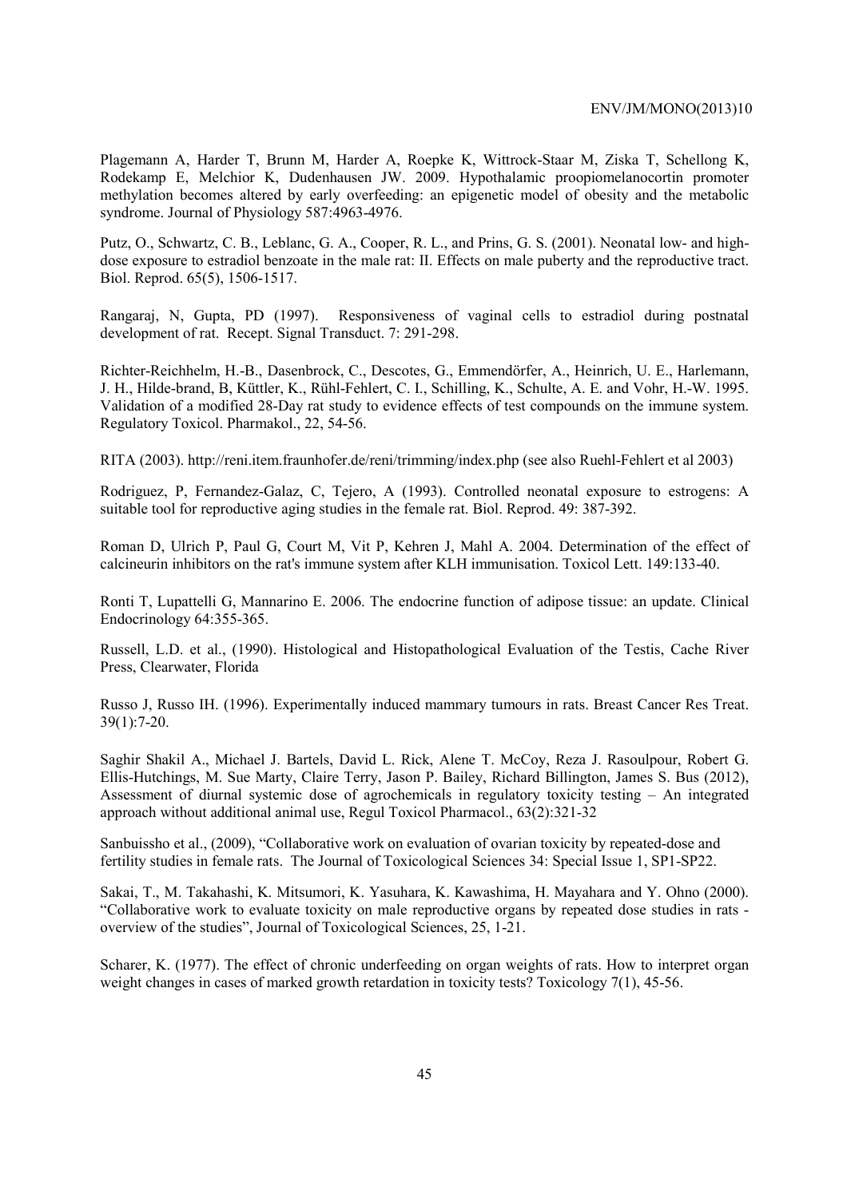Plagemann A, Harder T, Brunn M, Harder A, Roepke K, Wittrock-Staar M, Ziska T, Schellong K, Rodekamp E, Melchior K, Dudenhausen JW. 2009. Hypothalamic proopiomelanocortin promoter methylation becomes altered by early overfeeding: an epigenetic model of obesity and the metabolic syndrome. Journal of Physiology 587:4963-4976.

Putz, O., Schwartz, C. B., Leblanc, G. A., Cooper, R. L., and Prins, G. S. (2001). Neonatal low- and highdose exposure to estradiol benzoate in the male rat: II. Effects on male puberty and the reproductive tract. Biol. Reprod. 65(5), 1506-1517.

Rangaraj, N, Gupta, PD (1997). Responsiveness of vaginal cells to estradiol during postnatal development of rat. Recept. Signal Transduct. 7: 291-298.

Richter-Reichhelm, H.-B., Dasenbrock, C., Descotes, G., Emmendörfer, A., Heinrich, U. E., Harlemann, J. H., Hilde-brand, B, Küttler, K., Rühl-Fehlert, C. I., Schilling, K., Schulte, A. E. and Vohr, H.-W. 1995. Validation of a modified 28-Day rat study to evidence effects of test compounds on the immune system. Regulatory Toxicol. Pharmakol., 22, 54-56.

RITA (2003). http://reni.item.fraunhofer.de/reni/trimming/index.php (see also Ruehl-Fehlert et al 2003)

Rodriguez, P, Fernandez-Galaz, C, Tejero, A (1993). Controlled neonatal exposure to estrogens: A suitable tool for reproductive aging studies in the female rat. Biol. Reprod. 49: 387-392.

Roman D, Ulrich P, Paul G, Court M, Vit P, Kehren J, Mahl A. 2004. Determination of the effect of calcineurin inhibitors on the rat's immune system after KLH immunisation. Toxicol Lett. 149:133-40.

Ronti T, Lupattelli G, Mannarino E. 2006. The endocrine function of adipose tissue: an update. Clinical Endocrinology 64:355-365.

Russell, L.D. et al., (1990). Histological and Histopathological Evaluation of the Testis, Cache River Press, Clearwater, Florida

Russo J, Russo IH. (1996). Experimentally induced mammary tumours in rats. Breast Cancer Res Treat. 39(1):7-20.

Saghir Shakil A., Michael J. Bartels, David L. Rick, Alene T. McCoy, Reza J. Rasoulpour, Robert G. Ellis-Hutchings, M. Sue Marty, Claire Terry, Jason P. Bailey, Richard Billington, James S. Bus (2012), Assessment of diurnal systemic dose of agrochemicals in regulatory toxicity testing – An integrated approach without additional animal use, Regul Toxicol Pharmacol., 63(2):321-32

Sanbuissho et al., (2009), "Collaborative work on evaluation of ovarian toxicity by repeated-dose and fertility studies in female rats. The Journal of Toxicological Sciences 34: Special Issue 1, SP1-SP22.

Sakai, T., M. Takahashi, K. Mitsumori, K. Yasuhara, K. Kawashima, H. Mayahara and Y. Ohno (2000). "Collaborative work to evaluate toxicity on male reproductive organs by repeated dose studies in rats overview of the studies", Journal of Toxicological Sciences, 25, 1-21.

Scharer, K. (1977). The effect of chronic underfeeding on organ weights of rats. How to interpret organ weight changes in cases of marked growth retardation in toxicity tests? Toxicology 7(1), 45-56.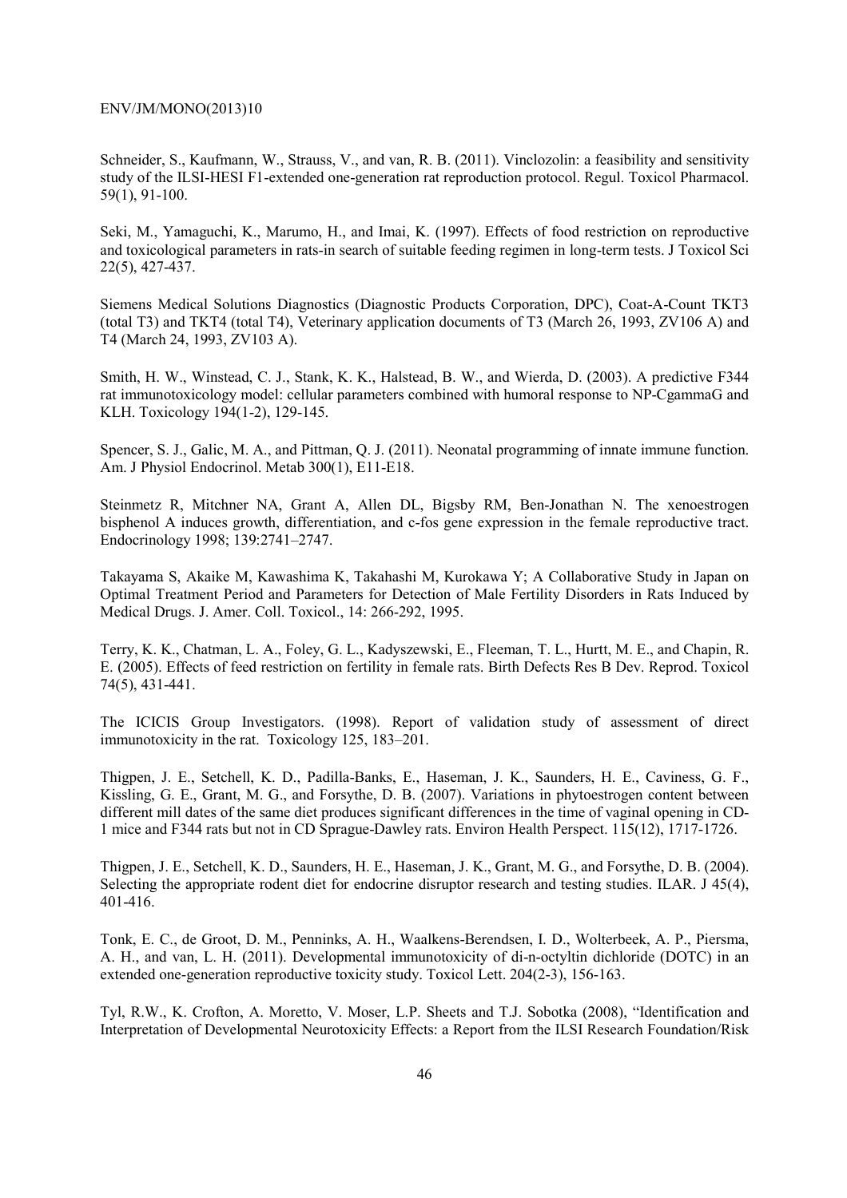Schneider, S., Kaufmann, W., Strauss, V., and van, R. B. (2011). Vinclozolin: a feasibility and sensitivity study of the ILSI-HESI F1-extended one-generation rat reproduction protocol. Regul. Toxicol Pharmacol. 59(1), 91-100.

Seki, M., Yamaguchi, K., Marumo, H., and Imai, K. (1997). Effects of food restriction on reproductive and toxicological parameters in rats-in search of suitable feeding regimen in long-term tests. J Toxicol Sci 22(5), 427-437.

Siemens Medical Solutions Diagnostics (Diagnostic Products Corporation, DPC), Coat-A-Count TKT3 (total T3) and TKT4 (total T4), Veterinary application documents of T3 (March 26, 1993, ZV106 A) and T4 (March 24, 1993, ZV103 A).

Smith, H. W., Winstead, C. J., Stank, K. K., Halstead, B. W., and Wierda, D. (2003). A predictive F344 rat immunotoxicology model: cellular parameters combined with humoral response to NP-CgammaG and KLH. Toxicology 194(1-2), 129-145.

Spencer, S. J., Galic, M. A., and Pittman, Q. J. (2011). Neonatal programming of innate immune function. Am. J Physiol Endocrinol. Metab 300(1), E11-E18.

Steinmetz R, Mitchner NA, Grant A, Allen DL, Bigsby RM, Ben-Jonathan N. The xenoestrogen bisphenol A induces growth, differentiation, and c-fos gene expression in the female reproductive tract. Endocrinology 1998; 139:2741–2747.

Takayama S, Akaike M, Kawashima K, Takahashi M, Kurokawa Y; A Collaborative Study in Japan on Optimal Treatment Period and Parameters for Detection of Male Fertility Disorders in Rats Induced by Medical Drugs. J. Amer. Coll. Toxicol., 14: 266-292, 1995.

Terry, K. K., Chatman, L. A., Foley, G. L., Kadyszewski, E., Fleeman, T. L., Hurtt, M. E., and Chapin, R. E. (2005). Effects of feed restriction on fertility in female rats. Birth Defects Res B Dev. Reprod. Toxicol 74(5), 431-441.

The ICICIS Group Investigators. (1998). Report of validation study of assessment of direct immunotoxicity in the rat. Toxicology 125, 183–201.

Thigpen, J. E., Setchell, K. D., Padilla-Banks, E., Haseman, J. K., Saunders, H. E., Caviness, G. F., Kissling, G. E., Grant, M. G., and Forsythe, D. B. (2007). Variations in phytoestrogen content between different mill dates of the same diet produces significant differences in the time of vaginal opening in CD-1 mice and F344 rats but not in CD Sprague-Dawley rats. Environ Health Perspect. 115(12), 1717-1726.

Thigpen, J. E., Setchell, K. D., Saunders, H. E., Haseman, J. K., Grant, M. G., and Forsythe, D. B. (2004). Selecting the appropriate rodent diet for endocrine disruptor research and testing studies. ILAR. J 45(4), 401-416.

Tonk, E. C., de Groot, D. M., Penninks, A. H., Waalkens-Berendsen, I. D., Wolterbeek, A. P., Piersma, A. H., and van, L. H. (2011). Developmental immunotoxicity of di-n-octyltin dichloride (DOTC) in an extended one-generation reproductive toxicity study. Toxicol Lett. 204(2-3), 156-163.

Tyl, R.W., K. Crofton, A. Moretto, V. Moser, L.P. Sheets and T.J. Sobotka (2008), "Identification and Interpretation of Developmental Neurotoxicity Effects: a Report from the ILSI Research Foundation/Risk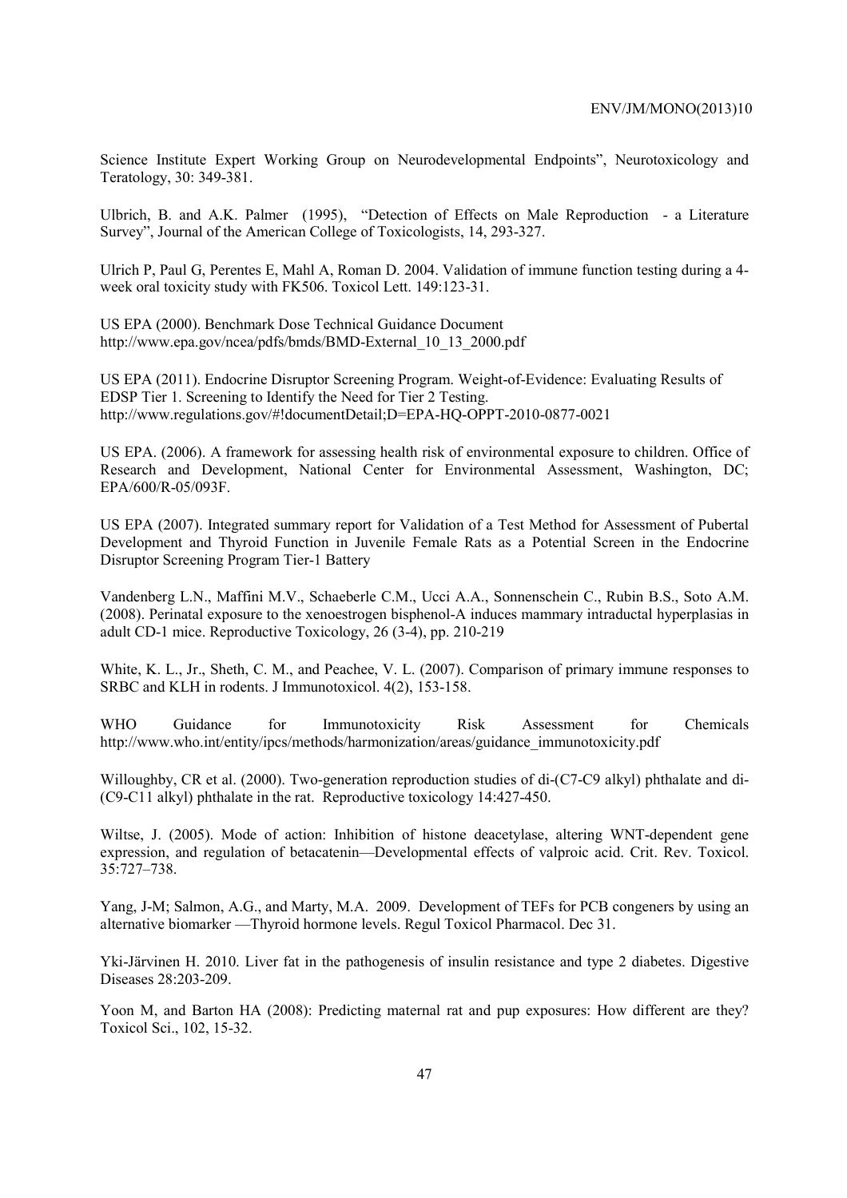Science Institute Expert Working Group on Neurodevelopmental Endpoints", Neurotoxicology and Teratology, 30: 349-381.

Ulbrich, B. and A.K. Palmer (1995), "Detection of Effects on Male Reproduction - a Literature Survey", Journal of the American College of Toxicologists, 14, 293-327.

Ulrich P, Paul G, Perentes E, Mahl A, Roman D. 2004. Validation of immune function testing during a 4 week oral toxicity study with FK506. Toxicol Lett. 149:123-31.

US EPA (2000). Benchmark Dose Technical Guidance Document http://www.epa.gov/ncea/pdfs/bmds/BMD-External\_10\_13\_2000.pdf

US EPA (2011). Endocrine Disruptor Screening Program. Weight-of-Evidence: Evaluating Results of EDSP Tier 1. Screening to Identify the Need for Tier 2 Testing. http://www.regulations.gov/#!documentDetail;D=EPA-HQ-OPPT-2010-0877-0021

US EPA. (2006). A framework for assessing health risk of environmental exposure to children. Office of Research and Development, National Center for Environmental Assessment, Washington, DC; EPA/600/R-05/093F.

US EPA (2007). Integrated summary report for Validation of a Test Method for Assessment of Pubertal Development and Thyroid Function in Juvenile Female Rats as a Potential Screen in the Endocrine Disruptor Screening Program Tier-1 Battery

Vandenberg L.N., Maffini M.V., Schaeberle C.M., Ucci A.A., Sonnenschein C., Rubin B.S., Soto A.M. (2008). Perinatal exposure to the xenoestrogen bisphenol-A induces mammary intraductal hyperplasias in adult CD-1 mice. Reproductive Toxicology, 26 (3-4), pp. 210-219

White, K. L., Jr., Sheth, C. M., and Peachee, V. L. (2007). Comparison of primary immune responses to SRBC and KLH in rodents. J Immunotoxicol. 4(2), 153-158.

WHO Guidance for Immunotoxicity Risk Assessment for Chemicals http://www.who.int/entity/ipcs/methods/harmonization/areas/guidance\_immunotoxicity.pdf

Willoughby, CR et al. (2000). Two-generation reproduction studies of di-(C7-C9 alkyl) phthalate and di- (C9-C11 alkyl) phthalate in the rat. Reproductive toxicology 14:427-450.

Wiltse, J. (2005). Mode of action: Inhibition of histone deacetylase, altering WNT-dependent gene expression, and regulation of betacatenin—Developmental effects of valproic acid. Crit. Rev. Toxicol.  $35:727-738$ .

Yang, J-M; Salmon, A.G., and Marty, M.A. 2009. Development of TEFs for PCB congeners by using an alternative biomarker —Thyroid hormone levels. Regul Toxicol Pharmacol. Dec 31.

Yki-Järvinen H. 2010. Liver fat in the pathogenesis of insulin resistance and type 2 diabetes. Digestive Diseases 28:203-209.

Yoon M, and Barton HA (2008): Predicting maternal rat and pup exposures: How different are they? Toxicol Sci., 102, 15-32.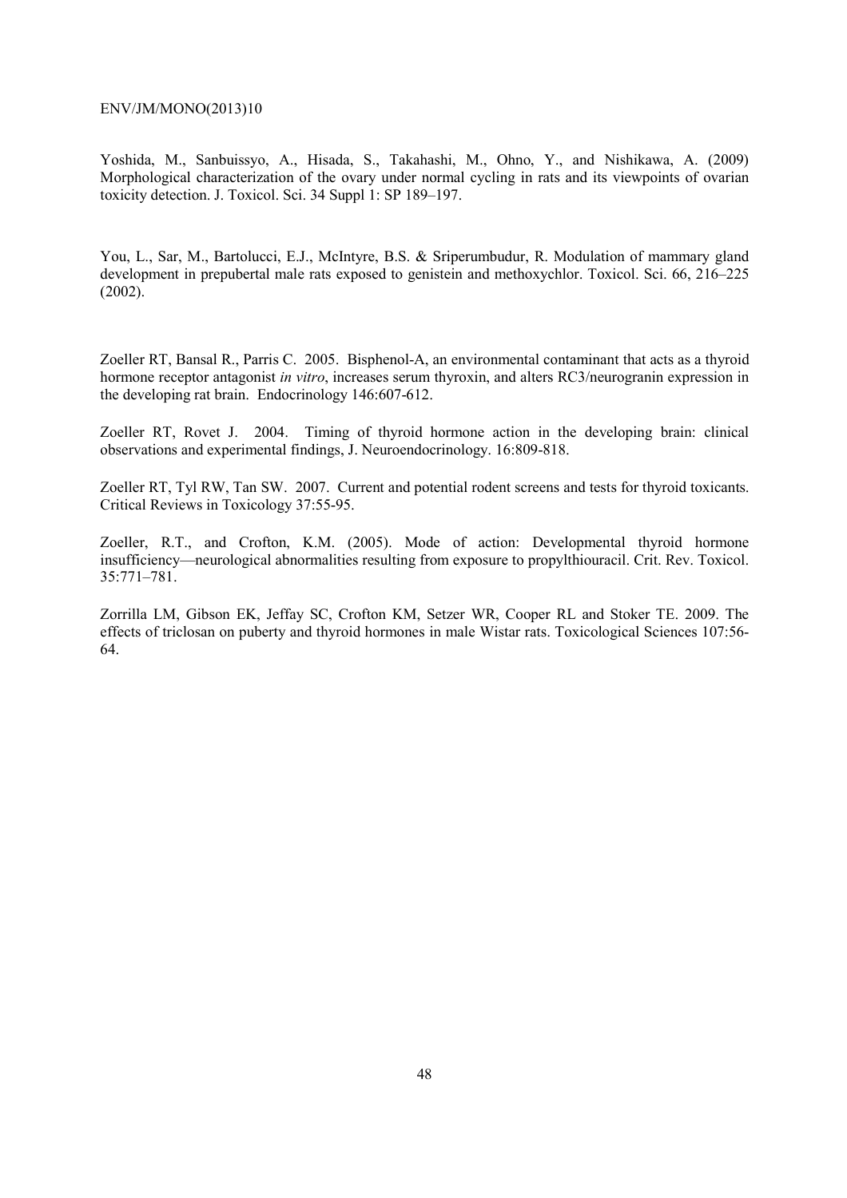Yoshida, M., Sanbuissyo, A., Hisada, S., Takahashi, M., Ohno, Y., and Nishikawa, A. (2009) Morphological characterization of the ovary under normal cycling in rats and its viewpoints of ovarian toxicity detection. J. Toxicol. Sci. 34 Suppl 1: SP 189–197.

You, L., Sar, M., Bartolucci, E.J., McIntyre, B.S. & Sriperumbudur, R. Modulation of mammary gland development in prepubertal male rats exposed to genistein and methoxychlor. Toxicol. Sci. 66, 216–225 (2002).

Zoeller RT, Bansal R., Parris C. 2005. Bisphenol-A, an environmental contaminant that acts as a thyroid hormone receptor antagonist *in vitro*, increases serum thyroxin, and alters RC3/neurogranin expression in the developing rat brain. Endocrinology 146:607-612.

Zoeller RT, Rovet J. 2004. Timing of thyroid hormone action in the developing brain: clinical observations and experimental findings, J. Neuroendocrinology. 16:809-818.

Zoeller RT, Tyl RW, Tan SW. 2007. Current and potential rodent screens and tests for thyroid toxicants. Critical Reviews in Toxicology 37:55-95.

Zoeller, R.T., and Crofton, K.M. (2005). Mode of action: Developmental thyroid hormone insufficiency—neurological abnormalities resulting from exposure to propylthiouracil. Crit. Rev. Toxicol. 35:771–781.

Zorrilla LM, Gibson EK, Jeffay SC, Crofton KM, Setzer WR, Cooper RL and Stoker TE. 2009. The effects of triclosan on puberty and thyroid hormones in male Wistar rats. Toxicological Sciences 107:56- 64.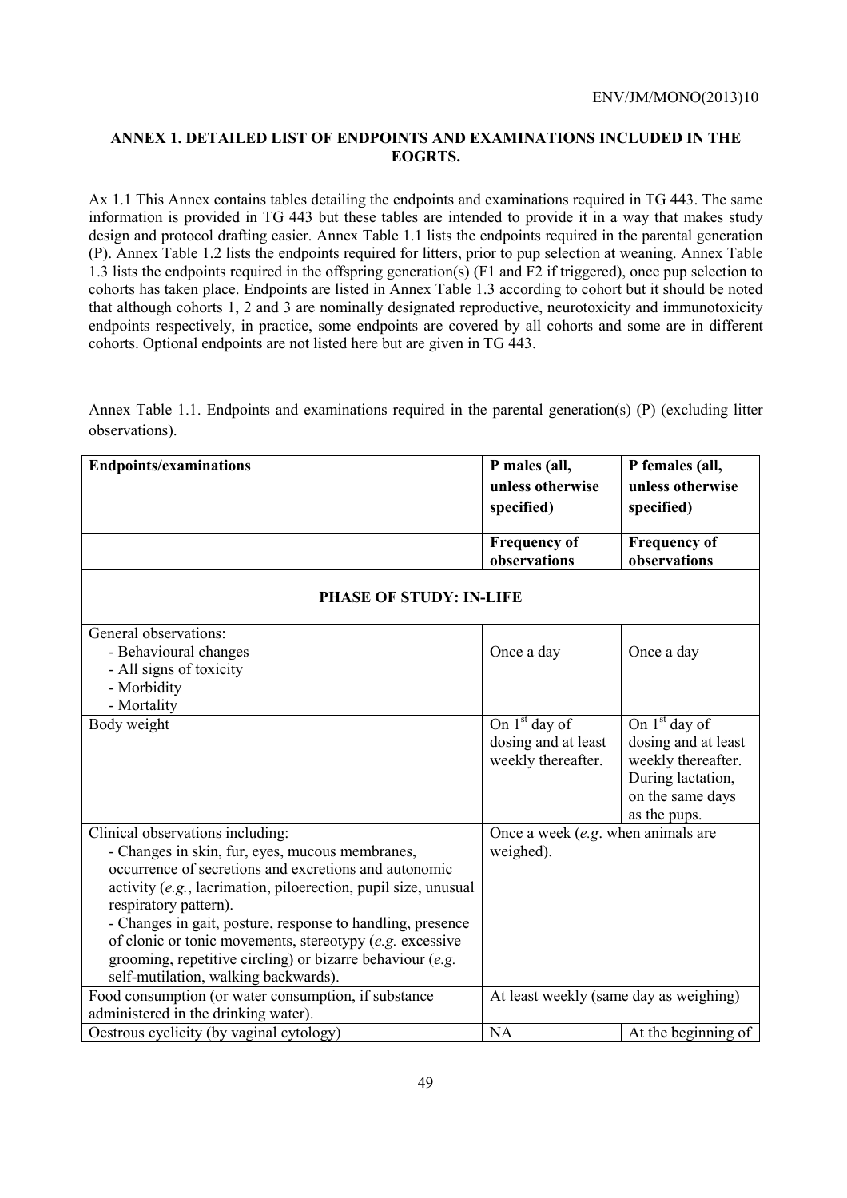# **ANNEX 1. DETAILED LIST OF ENDPOINTS AND EXAMINATIONS INCLUDED IN THE EOGRTS.**

Ax 1.1 This Annex contains tables detailing the endpoints and examinations required in TG 443. The same information is provided in TG 443 but these tables are intended to provide it in a way that makes study design and protocol drafting easier. Annex Table 1.1 lists the endpoints required in the parental generation (P). Annex Table 1.2 lists the endpoints required for litters, prior to pup selection at weaning. Annex Table 1.3 lists the endpoints required in the offspring generation(s) (F1 and F2 if triggered), once pup selection to cohorts has taken place. Endpoints are listed in Annex Table 1.3 according to cohort but it should be noted that although cohorts 1, 2 and 3 are nominally designated reproductive, neurotoxicity and immunotoxicity endpoints respectively, in practice, some endpoints are covered by all cohorts and some are in different cohorts. Optional endpoints are not listed here but are given in TG 443.

Annex Table 1.1. Endpoints and examinations required in the parental generation(s) (P) (excluding litter observations).

| <b>Endpoints/examinations</b>                                                                                                                                                                                                                                                                                                                                                                                                                                          | P males (all,<br>unless otherwise<br>specified)              | P females (all,<br>unless otherwise<br>specified)                                                                     |
|------------------------------------------------------------------------------------------------------------------------------------------------------------------------------------------------------------------------------------------------------------------------------------------------------------------------------------------------------------------------------------------------------------------------------------------------------------------------|--------------------------------------------------------------|-----------------------------------------------------------------------------------------------------------------------|
|                                                                                                                                                                                                                                                                                                                                                                                                                                                                        | <b>Frequency of</b><br>observations                          | <b>Frequency of</b><br>observations                                                                                   |
| <b>PHASE OF STUDY: IN-LIFE</b>                                                                                                                                                                                                                                                                                                                                                                                                                                         |                                                              |                                                                                                                       |
| General observations:<br>- Behavioural changes<br>- All signs of toxicity<br>- Morbidity<br>- Mortality                                                                                                                                                                                                                                                                                                                                                                | Once a day                                                   | Once a day                                                                                                            |
| Body weight                                                                                                                                                                                                                                                                                                                                                                                                                                                            | On $1st$ day of<br>dosing and at least<br>weekly thereafter. | On $1st$ day of<br>dosing and at least<br>weekly thereafter.<br>During lactation,<br>on the same days<br>as the pups. |
| Clinical observations including:<br>- Changes in skin, fur, eyes, mucous membranes,<br>occurrence of secretions and excretions and autonomic<br>activity (e.g., lacrimation, piloerection, pupil size, unusual<br>respiratory pattern).<br>- Changes in gait, posture, response to handling, presence<br>of clonic or tonic movements, stereotypy (e.g. excessive<br>grooming, repetitive circling) or bizarre behaviour (e.g.<br>self-mutilation, walking backwards). | Once a week $(e.g.$ when animals are<br>weighed).            |                                                                                                                       |
| Food consumption (or water consumption, if substance<br>administered in the drinking water).                                                                                                                                                                                                                                                                                                                                                                           | At least weekly (same day as weighing)                       |                                                                                                                       |
| Oestrous cyclicity (by vaginal cytology)                                                                                                                                                                                                                                                                                                                                                                                                                               | <b>NA</b>                                                    | At the beginning of                                                                                                   |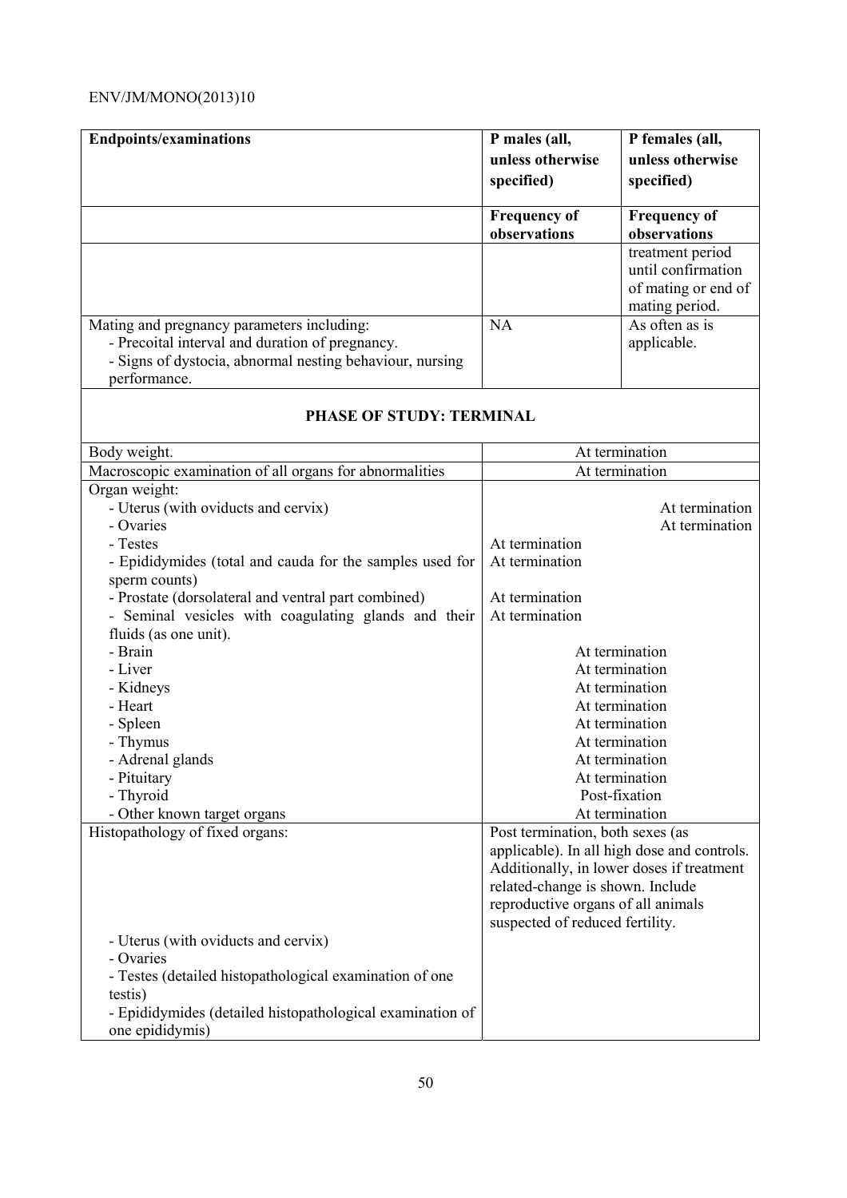| <b>Endpoints/examinations</b>                                                                                                                                             | P males (all,<br>unless otherwise<br>specified)                                                                                               | P females (all,<br>unless otherwise<br>specified)                                        |
|---------------------------------------------------------------------------------------------------------------------------------------------------------------------------|-----------------------------------------------------------------------------------------------------------------------------------------------|------------------------------------------------------------------------------------------|
|                                                                                                                                                                           | <b>Frequency of</b><br>observations                                                                                                           | <b>Frequency of</b><br>observations                                                      |
|                                                                                                                                                                           |                                                                                                                                               | treatment period<br>until confirmation<br>of mating or end of<br>mating period.          |
| Mating and pregnancy parameters including:<br>- Precoital interval and duration of pregnancy.<br>- Signs of dystocia, abnormal nesting behaviour, nursing<br>performance. | <b>NA</b>                                                                                                                                     | As often as is<br>applicable.                                                            |
| PHASE OF STUDY: TERMINAL                                                                                                                                                  |                                                                                                                                               |                                                                                          |
| Body weight.                                                                                                                                                              |                                                                                                                                               | At termination                                                                           |
| Macroscopic examination of all organs for abnormalities                                                                                                                   |                                                                                                                                               | At termination                                                                           |
| Organ weight:<br>- Uterus (with oviducts and cervix)<br>- Ovaries                                                                                                         |                                                                                                                                               | At termination<br>At termination                                                         |
| - Testes                                                                                                                                                                  | At termination                                                                                                                                |                                                                                          |
| - Epididymides (total and cauda for the samples used for<br>sperm counts)                                                                                                 | At termination                                                                                                                                |                                                                                          |
| - Prostate (dorsolateral and ventral part combined)<br>- Seminal vesicles with coagulating glands and their<br>fluids (as one unit).                                      | At termination<br>At termination                                                                                                              |                                                                                          |
| - Brain                                                                                                                                                                   |                                                                                                                                               | At termination                                                                           |
| - Liver                                                                                                                                                                   |                                                                                                                                               | At termination                                                                           |
| - Kidneys                                                                                                                                                                 |                                                                                                                                               | At termination                                                                           |
| - Heart                                                                                                                                                                   |                                                                                                                                               | At termination                                                                           |
| - Spleen                                                                                                                                                                  |                                                                                                                                               | At termination                                                                           |
| - Thymus                                                                                                                                                                  |                                                                                                                                               | At termination                                                                           |
| - Adrenal glands                                                                                                                                                          |                                                                                                                                               | At termination                                                                           |
| - Pituitary                                                                                                                                                               |                                                                                                                                               | At termination                                                                           |
| - Thyroid                                                                                                                                                                 |                                                                                                                                               | Post-fixation                                                                            |
| - Other known target organs                                                                                                                                               |                                                                                                                                               | At termination                                                                           |
| Histopathology of fixed organs:                                                                                                                                           | Post termination, both sexes (as<br>related-change is shown. Include<br>reproductive organs of all animals<br>suspected of reduced fertility. | applicable). In all high dose and controls.<br>Additionally, in lower doses if treatment |
| - Uterus (with oviducts and cervix)<br>- Ovaries<br>- Testes (detailed histopathological examination of one                                                               |                                                                                                                                               |                                                                                          |
| testis)<br>- Epididymides (detailed histopathological examination of<br>one epididymis)                                                                                   |                                                                                                                                               |                                                                                          |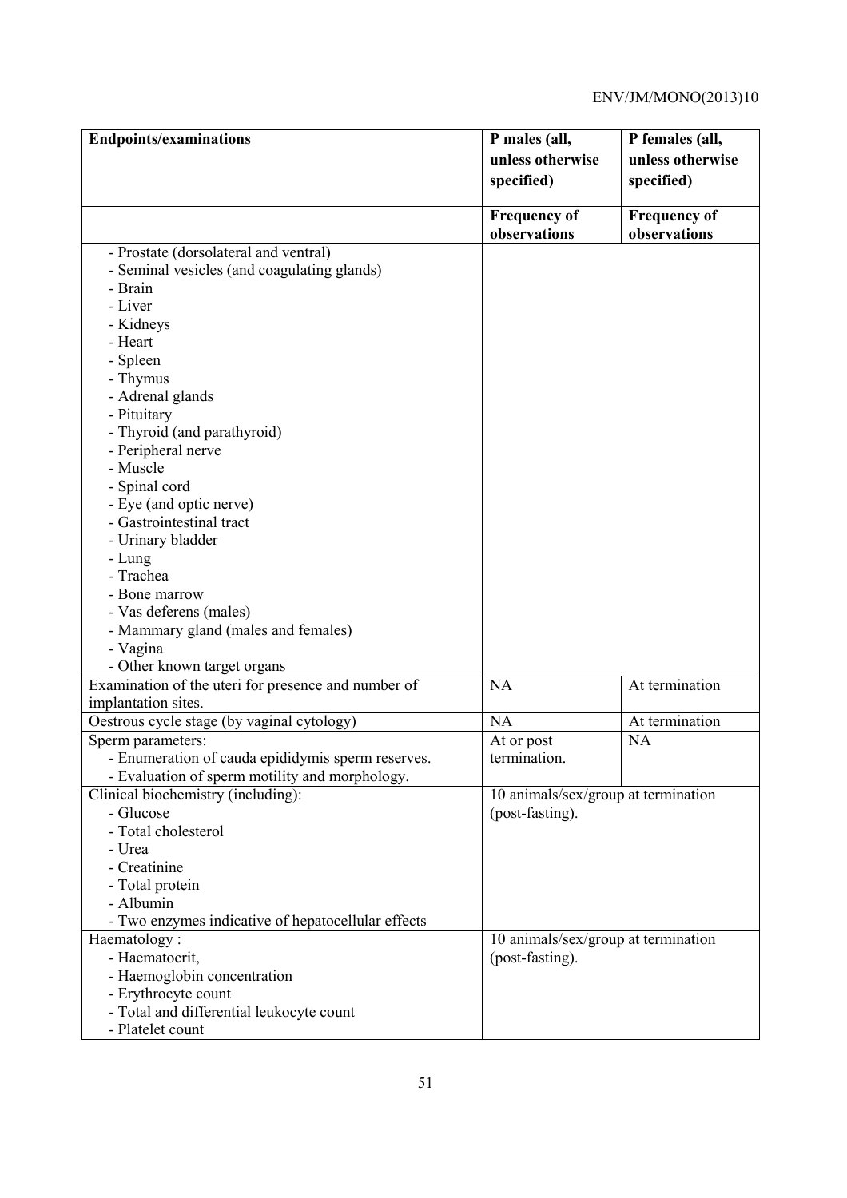| <b>Endpoints/examinations</b>                       | P males (all,                       | P females (all,     |
|-----------------------------------------------------|-------------------------------------|---------------------|
|                                                     | unless otherwise                    | unless otherwise    |
|                                                     | specified)                          | specified)          |
|                                                     | <b>Frequency of</b>                 | <b>Frequency of</b> |
|                                                     | observations                        | observations        |
| - Prostate (dorsolateral and ventral)               |                                     |                     |
| - Seminal vesicles (and coagulating glands)         |                                     |                     |
| - Brain                                             |                                     |                     |
| - Liver                                             |                                     |                     |
| - Kidneys                                           |                                     |                     |
| - Heart                                             |                                     |                     |
| - Spleen                                            |                                     |                     |
| - Thymus                                            |                                     |                     |
| - Adrenal glands                                    |                                     |                     |
| - Pituitary                                         |                                     |                     |
| - Thyroid (and parathyroid)                         |                                     |                     |
| - Peripheral nerve                                  |                                     |                     |
| - Muscle                                            |                                     |                     |
| - Spinal cord                                       |                                     |                     |
| - Eye (and optic nerve)                             |                                     |                     |
| - Gastrointestinal tract                            |                                     |                     |
| - Urinary bladder                                   |                                     |                     |
| - Lung                                              |                                     |                     |
| - Trachea                                           |                                     |                     |
| - Bone marrow                                       |                                     |                     |
| - Vas deferens (males)                              |                                     |                     |
| - Mammary gland (males and females)                 |                                     |                     |
| - Vagina                                            |                                     |                     |
| - Other known target organs                         |                                     |                     |
| Examination of the uteri for presence and number of | <b>NA</b>                           | At termination      |
| implantation sites.                                 |                                     |                     |
| Oestrous cycle stage (by vaginal cytology)          | NA                                  | At termination      |
| Sperm parameters:                                   | At or post                          | <b>NA</b>           |
| - Enumeration of cauda epididymis sperm reserves.   | termination.                        |                     |
| - Evaluation of sperm motility and morphology.      |                                     |                     |
| Clinical biochemistry (including):                  | 10 animals/sex/group at termination |                     |
| - Glucose                                           | (post-fasting).                     |                     |
| - Total cholesterol                                 |                                     |                     |
| - Urea                                              |                                     |                     |
| - Creatinine                                        |                                     |                     |
| - Total protein                                     |                                     |                     |
| - Albumin                                           |                                     |                     |
| - Two enzymes indicative of hepatocellular effects  |                                     |                     |
| Haematology:                                        | 10 animals/sex/group at termination |                     |
| - Haematocrit,                                      | (post-fasting).                     |                     |
| - Haemoglobin concentration                         |                                     |                     |
| - Erythrocyte count                                 |                                     |                     |
| - Total and differential leukocyte count            |                                     |                     |
| - Platelet count                                    |                                     |                     |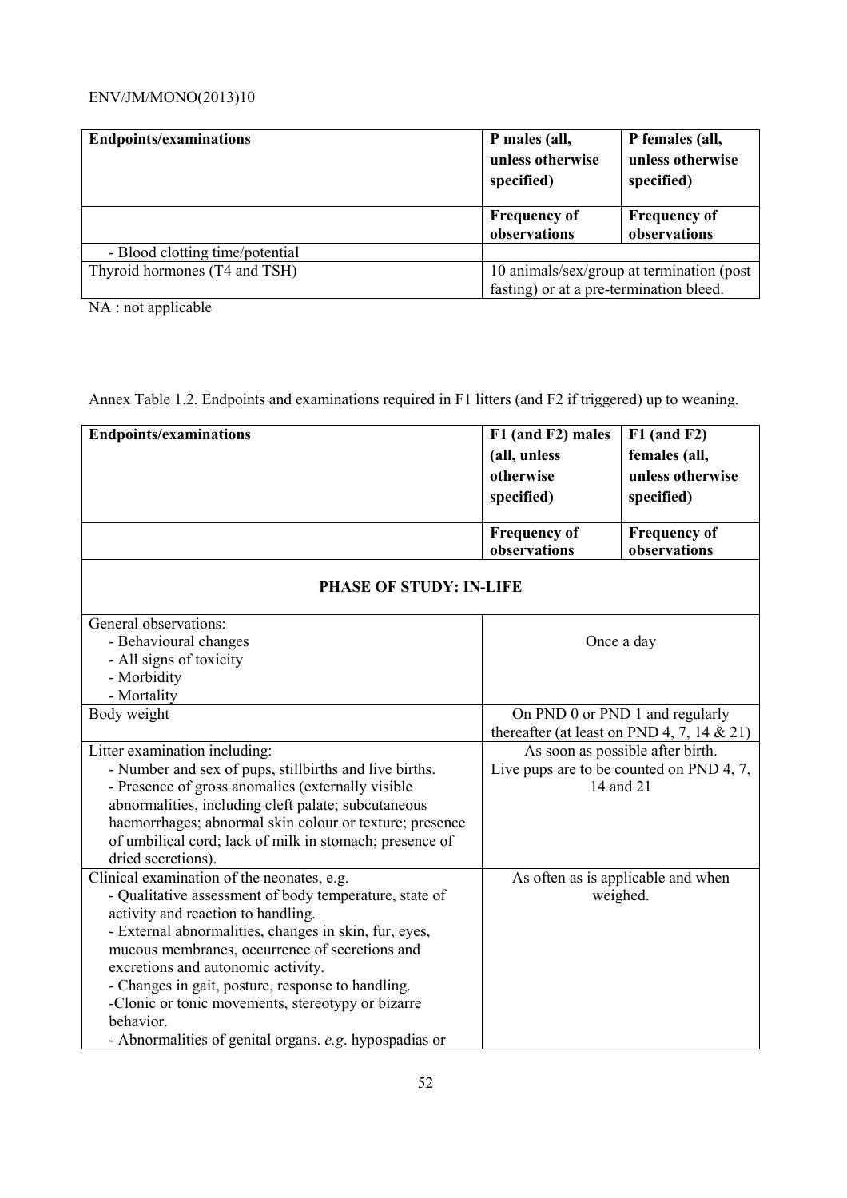| <b>Endpoints/examinations</b>   | P males (all,<br>unless otherwise<br>specified)                                      | P females (all,<br>unless otherwise<br>specified) |  |
|---------------------------------|--------------------------------------------------------------------------------------|---------------------------------------------------|--|
|                                 | <b>Frequency of</b><br>observations                                                  | <b>Frequency of</b><br>observations               |  |
| - Blood clotting time/potential |                                                                                      |                                                   |  |
| Thyroid hormones (T4 and TSH)   | 10 animals/sex/group at termination (post<br>fasting) or at a pre-termination bleed. |                                                   |  |

NA : not applicable

Annex Table 1.2. Endpoints and examinations required in F1 litters (and F2 if triggered) up to weaning.

| <b>Endpoints/examinations</b>                           | F1 (and F2) males                             | $F1$ (and $F2$ )                    |  |  |
|---------------------------------------------------------|-----------------------------------------------|-------------------------------------|--|--|
|                                                         | (all, unless                                  | females (all,                       |  |  |
|                                                         | otherwise                                     | unless otherwise                    |  |  |
|                                                         | specified)                                    | specified)                          |  |  |
|                                                         |                                               |                                     |  |  |
|                                                         | <b>Frequency of</b><br>observations           | <b>Frequency of</b><br>observations |  |  |
| <b>PHASE OF STUDY: IN-LIFE</b>                          |                                               |                                     |  |  |
| General observations:                                   |                                               |                                     |  |  |
| - Behavioural changes                                   |                                               | Once a day                          |  |  |
| - All signs of toxicity                                 |                                               |                                     |  |  |
| - Morbidity                                             |                                               |                                     |  |  |
| - Mortality                                             |                                               |                                     |  |  |
| Body weight                                             | On PND 0 or PND 1 and regularly               |                                     |  |  |
|                                                         | thereafter (at least on PND 4, 7, 14 $\&$ 21) |                                     |  |  |
| Litter examination including:                           | As soon as possible after birth.              |                                     |  |  |
| - Number and sex of pups, stillbirths and live births.  | Live pups are to be counted on PND 4, 7,      |                                     |  |  |
| - Presence of gross anomalies (externally visible       |                                               | 14 and 21                           |  |  |
| abnormalities, including cleft palate; subcutaneous     |                                               |                                     |  |  |
| haemorrhages; abnormal skin colour or texture; presence |                                               |                                     |  |  |
| of umbilical cord; lack of milk in stomach; presence of |                                               |                                     |  |  |
| dried secretions).                                      |                                               |                                     |  |  |
| Clinical examination of the neonates, e.g.              |                                               | As often as is applicable and when  |  |  |
| - Qualitative assessment of body temperature, state of  |                                               | weighed.                            |  |  |
| activity and reaction to handling.                      |                                               |                                     |  |  |
| - External abnormalities, changes in skin, fur, eyes,   |                                               |                                     |  |  |
| mucous membranes, occurrence of secretions and          |                                               |                                     |  |  |
| excretions and autonomic activity.                      |                                               |                                     |  |  |
| - Changes in gait, posture, response to handling.       |                                               |                                     |  |  |
| -Clonic or tonic movements, stereotypy or bizarre       |                                               |                                     |  |  |
| behavior.                                               |                                               |                                     |  |  |
| - Abnormalities of genital organs. e.g. hypospadias or  |                                               |                                     |  |  |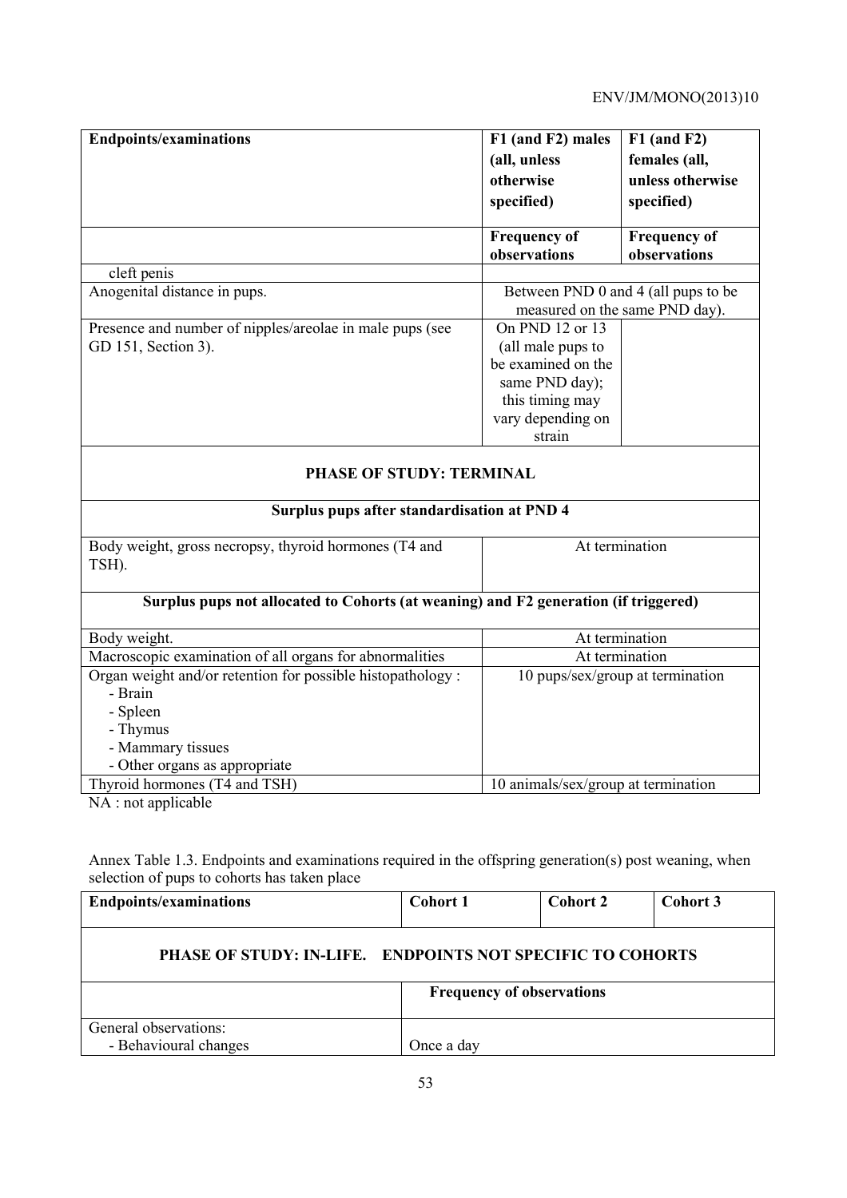| <b>Endpoints/examinations</b>                                                       | F1 (and F2) males                   | $F1$ (and $F2$ )                    |  |  |
|-------------------------------------------------------------------------------------|-------------------------------------|-------------------------------------|--|--|
|                                                                                     | (all, unless                        | females (all,                       |  |  |
|                                                                                     | otherwise                           | unless otherwise                    |  |  |
|                                                                                     | specified)                          | specified)                          |  |  |
|                                                                                     |                                     |                                     |  |  |
|                                                                                     | <b>Frequency of</b>                 | <b>Frequency of</b>                 |  |  |
|                                                                                     | observations                        | observations                        |  |  |
| cleft penis                                                                         |                                     |                                     |  |  |
| Anogenital distance in pups.                                                        |                                     | Between PND 0 and 4 (all pups to be |  |  |
|                                                                                     | measured on the same PND day).      |                                     |  |  |
| Presence and number of nipples/areolae in male pups (see                            | On PND 12 or 13                     |                                     |  |  |
| GD 151, Section 3).                                                                 | (all male pups to                   |                                     |  |  |
|                                                                                     | be examined on the                  |                                     |  |  |
|                                                                                     | same PND day);                      |                                     |  |  |
|                                                                                     | this timing may                     |                                     |  |  |
|                                                                                     | vary depending on<br>strain         |                                     |  |  |
|                                                                                     |                                     |                                     |  |  |
| <b>PHASE OF STUDY: TERMINAL</b>                                                     |                                     |                                     |  |  |
| Surplus pups after standardisation at PND 4                                         |                                     |                                     |  |  |
| Body weight, gross necropsy, thyroid hormones (T4 and                               | At termination                      |                                     |  |  |
| TSH).                                                                               |                                     |                                     |  |  |
|                                                                                     |                                     |                                     |  |  |
| Surplus pups not allocated to Cohorts (at weaning) and F2 generation (if triggered) |                                     |                                     |  |  |
| Body weight.                                                                        | At termination                      |                                     |  |  |
| Macroscopic examination of all organs for abnormalities                             |                                     | At termination                      |  |  |
| Organ weight and/or retention for possible histopathology:                          |                                     | 10 pups/sex/group at termination    |  |  |
| - Brain                                                                             |                                     |                                     |  |  |
| - Spleen                                                                            |                                     |                                     |  |  |
| - Thymus                                                                            |                                     |                                     |  |  |
| - Mammary tissues                                                                   |                                     |                                     |  |  |
| - Other organs as appropriate                                                       |                                     |                                     |  |  |
| Thyroid hormones (T4 and TSH)                                                       | 10 animals/sex/group at termination |                                     |  |  |
| NA: not applicable                                                                  |                                     |                                     |  |  |

Annex Table 1.3. Endpoints and examinations required in the offspring generation(s) post weaning, when

| selection of pups to cohorts has taken place               |                 |                                  |          |  |  |  |  |  |
|------------------------------------------------------------|-----------------|----------------------------------|----------|--|--|--|--|--|
| <b>Endpoints/examinations</b>                              | <b>Cohort 1</b> | Cohort 2                         | Cohort 3 |  |  |  |  |  |
| PHASE OF STUDY: IN-LIFE. ENDPOINTS NOT SPECIFIC TO COHORTS |                 |                                  |          |  |  |  |  |  |
|                                                            |                 | <b>Frequency of observations</b> |          |  |  |  |  |  |
| General observations:                                      |                 |                                  |          |  |  |  |  |  |
| - Behavioural changes                                      | Once a day      |                                  |          |  |  |  |  |  |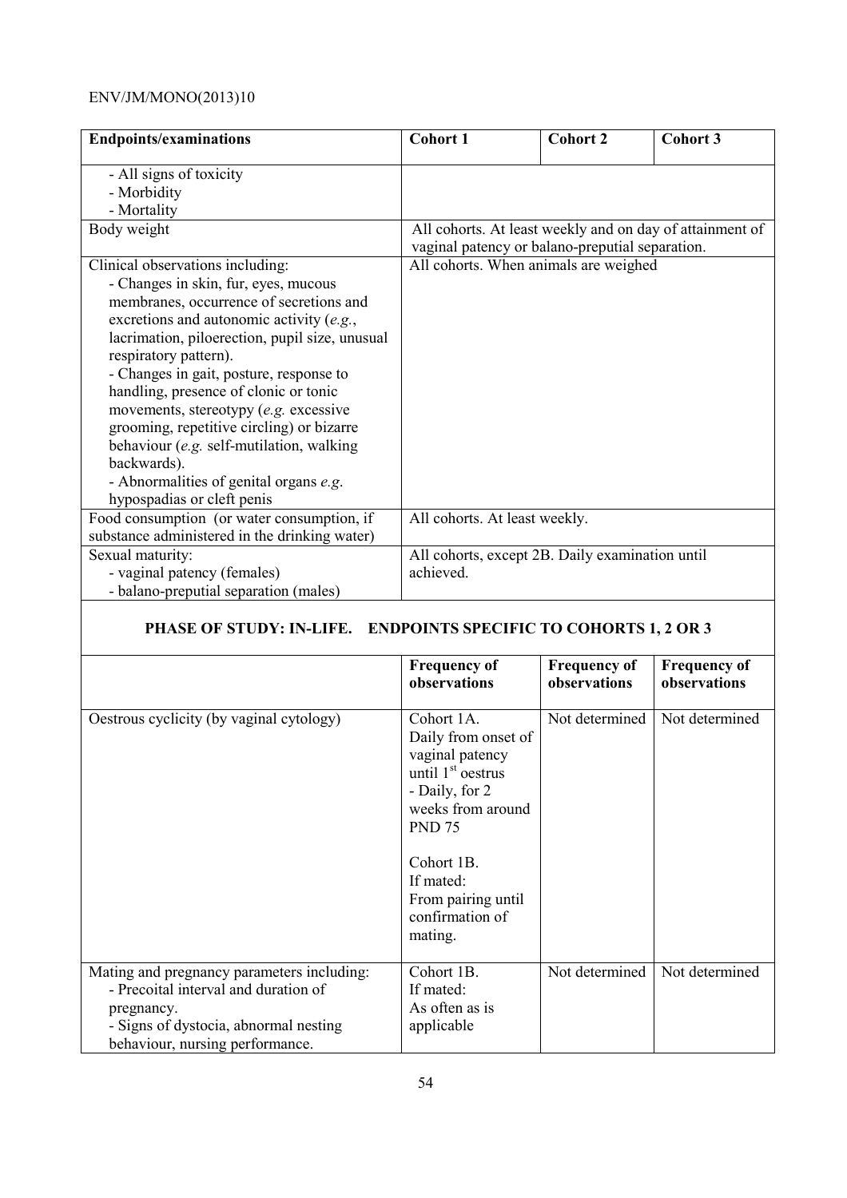| <b>Endpoints/examinations</b>                  | <b>Cohort 1</b>                                 | <b>Cohort 2</b> | <b>Cohort 3</b>                                          |
|------------------------------------------------|-------------------------------------------------|-----------------|----------------------------------------------------------|
| - All signs of toxicity                        |                                                 |                 |                                                          |
| - Morbidity                                    |                                                 |                 |                                                          |
| - Mortality                                    |                                                 |                 |                                                          |
| Body weight                                    |                                                 |                 | All cohorts. At least weekly and on day of attainment of |
|                                                | vaginal patency or balano-preputial separation. |                 |                                                          |
| Clinical observations including:               | All cohorts. When animals are weighed           |                 |                                                          |
| - Changes in skin, fur, eyes, mucous           |                                                 |                 |                                                          |
| membranes, occurrence of secretions and        |                                                 |                 |                                                          |
| excretions and autonomic activity $(e.g.,)$    |                                                 |                 |                                                          |
| lacrimation, piloerection, pupil size, unusual |                                                 |                 |                                                          |
| respiratory pattern).                          |                                                 |                 |                                                          |
| - Changes in gait, posture, response to        |                                                 |                 |                                                          |
| handling, presence of clonic or tonic          |                                                 |                 |                                                          |
| movements, stereotypy (e.g. excessive          |                                                 |                 |                                                          |
| grooming, repetitive circling) or bizarre      |                                                 |                 |                                                          |
| behaviour (e.g. self-mutilation, walking       |                                                 |                 |                                                          |
| backwards).                                    |                                                 |                 |                                                          |
| - Abnormalities of genital organs e.g.         |                                                 |                 |                                                          |
| hypospadias or cleft penis                     |                                                 |                 |                                                          |
| Food consumption (or water consumption, if     | All cohorts. At least weekly.                   |                 |                                                          |
| substance administered in the drinking water)  |                                                 |                 |                                                          |
| Sexual maturity:                               | All cohorts, except 2B. Daily examination until |                 |                                                          |
| - vaginal patency (females)                    | achieved.                                       |                 |                                                          |
| - balano-preputial separation (males)          |                                                 |                 |                                                          |

# **PHASE OF STUDY: IN-LIFE. ENDPOINTS SPECIFIC TO COHORTS 1, 2 OR 3**

|                                                                                                                                                                              | <b>Frequency of</b><br>observations                                                                                                                                                                                | <b>Frequency of</b><br>observations | <b>Frequency of</b><br>observations |
|------------------------------------------------------------------------------------------------------------------------------------------------------------------------------|--------------------------------------------------------------------------------------------------------------------------------------------------------------------------------------------------------------------|-------------------------------------|-------------------------------------|
| Oestrous cyclicity (by vaginal cytology)                                                                                                                                     | Cohort 1A.<br>Daily from onset of<br>vaginal patency<br>until $1st$ oestrus<br>- Daily, for 2<br>weeks from around<br><b>PND 75</b><br>Cohort 1B.<br>If mated:<br>From pairing until<br>confirmation of<br>mating. | Not determined                      | Not determined                      |
| Mating and pregnancy parameters including:<br>- Precoital interval and duration of<br>pregnancy.<br>- Signs of dystocia, abnormal nesting<br>behaviour, nursing performance. | Cohort 1B.<br>If mated:<br>As often as is<br>applicable                                                                                                                                                            | Not determined                      | Not determined                      |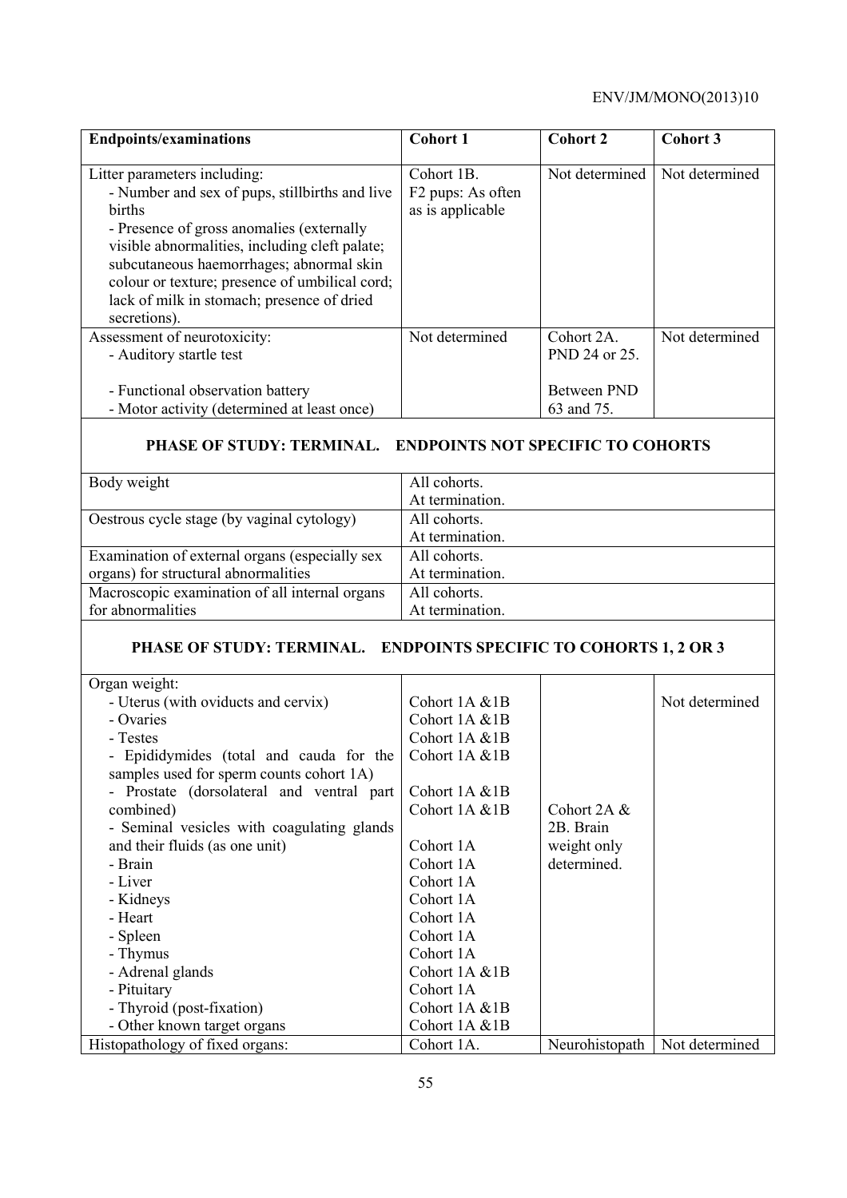| <b>Endpoints/examinations</b>                                                                                                                                                                                                                                                                                                                              | <b>Cohort 1</b>                                                 | <b>Cohort 2</b>                                          | <b>Cohort 3</b> |
|------------------------------------------------------------------------------------------------------------------------------------------------------------------------------------------------------------------------------------------------------------------------------------------------------------------------------------------------------------|-----------------------------------------------------------------|----------------------------------------------------------|-----------------|
| Litter parameters including:<br>- Number and sex of pups, stillbirths and live<br><b>births</b><br>- Presence of gross anomalies (externally<br>visible abnormalities, including cleft palate;<br>subcutaneous haemorrhages; abnormal skin<br>colour or texture; presence of umbilical cord;<br>lack of milk in stomach; presence of dried<br>secretions). | Cohort 1B.<br>F <sub>2</sub> pups: As often<br>as is applicable | Not determined                                           | Not determined  |
| Assessment of neurotoxicity:<br>- Auditory startle test<br>- Functional observation battery<br>- Motor activity (determined at least once)                                                                                                                                                                                                                 | Not determined                                                  | Cohort 2A.<br>PND 24 or 25.<br>Between PND<br>63 and 75. | Not determined  |

# **PHASE OF STUDY: TERMINAL. ENDPOINTS NOT SPECIFIC TO COHORTS**

| Body weight                                    | All cohorts.    |
|------------------------------------------------|-----------------|
|                                                | At termination. |
| Oestrous cycle stage (by vaginal cytology)     | All cohorts.    |
|                                                | At termination. |
| Examination of external organs (especially sex | All cohorts.    |
| organs) for structural abnormalities           | At termination. |
| Macroscopic examination of all internal organs | All cohorts.    |
| for abnormalities                              | At termination. |
|                                                |                 |

# **PHASE OF STUDY: TERMINAL. ENDPOINTS SPECIFIC TO COHORTS 1, 2 OR 3**

| Organ weight:                              |                |                |                |
|--------------------------------------------|----------------|----------------|----------------|
| - Uterus (with oviducts and cervix)        | Cohort 1A & 1B |                | Not determined |
| - Ovaries                                  | Cohort 1A &1B  |                |                |
| - Testes                                   | Cohort 1A &1B  |                |                |
| - Epididymides (total and cauda for the    | Cohort 1A &1B  |                |                |
| samples used for sperm counts cohort 1A)   |                |                |                |
| - Prostate (dorsolateral and ventral part  | Cohort 1A &1B  |                |                |
| combined)                                  | Cohort 1A &1B  | Cohort 2A &    |                |
| - Seminal vesicles with coagulating glands |                | 2B. Brain      |                |
| and their fluids (as one unit)             | Cohort 1A      | weight only    |                |
| - Brain                                    | Cohort 1A      | determined.    |                |
| - Liver                                    | Cohort 1A      |                |                |
| - Kidneys                                  | Cohort 1A      |                |                |
| - Heart                                    | Cohort 1A      |                |                |
| - Spleen                                   | Cohort 1A      |                |                |
| - Thymus                                   | Cohort 1A      |                |                |
| - Adrenal glands                           | Cohort 1A &1B  |                |                |
| - Pituitary                                | Cohort 1A      |                |                |
| - Thyroid (post-fixation)                  | Cohort 1A &1B  |                |                |
| - Other known target organs                | Cohort 1A &1B  |                |                |
| Histopathology of fixed organs:            | Cohort 1A.     | Neurohistopath | Not determined |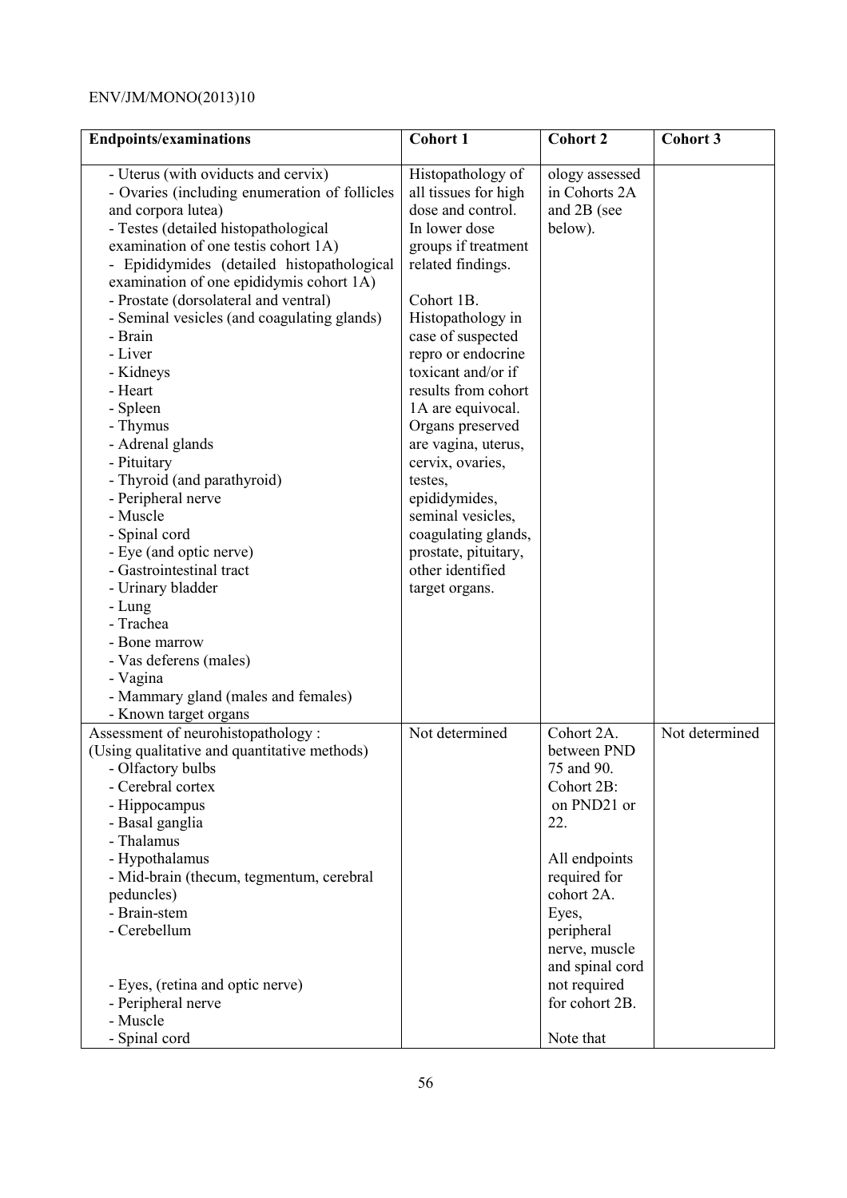| <b>Endpoints/examinations</b>                                                                                                                                                                                                                                                                                                                                                                                                                                                                                                                                                                                                                                                                                                                                          | <b>Cohort 1</b>                                                                                                                                                                                                                                                                                                                                                                                                                                                                  | <b>Cohort 2</b>                                                                                                                                                                       | <b>Cohort 3</b> |
|------------------------------------------------------------------------------------------------------------------------------------------------------------------------------------------------------------------------------------------------------------------------------------------------------------------------------------------------------------------------------------------------------------------------------------------------------------------------------------------------------------------------------------------------------------------------------------------------------------------------------------------------------------------------------------------------------------------------------------------------------------------------|----------------------------------------------------------------------------------------------------------------------------------------------------------------------------------------------------------------------------------------------------------------------------------------------------------------------------------------------------------------------------------------------------------------------------------------------------------------------------------|---------------------------------------------------------------------------------------------------------------------------------------------------------------------------------------|-----------------|
|                                                                                                                                                                                                                                                                                                                                                                                                                                                                                                                                                                                                                                                                                                                                                                        |                                                                                                                                                                                                                                                                                                                                                                                                                                                                                  |                                                                                                                                                                                       |                 |
| - Uterus (with oviducts and cervix)<br>- Ovaries (including enumeration of follicles<br>and corpora lutea)<br>- Testes (detailed histopathological<br>examination of one test s cohort 1A)<br>Epididymides (detailed histopathological<br>examination of one epididymis cohort 1A)<br>- Prostate (dorsolateral and ventral)<br>- Seminal vesicles (and coagulating glands)<br>- Brain<br>- Liver<br>- Kidneys<br>- Heart<br>- Spleen<br>- Thymus<br>- Adrenal glands<br>- Pituitary<br>- Thyroid (and parathyroid)<br>- Peripheral nerve<br>- Muscle<br>- Spinal cord<br>- Eye (and optic nerve)<br>- Gastrointestinal tract<br>- Urinary bladder<br>- Lung<br>- Trachea<br>- Bone marrow<br>- Vas deferens (males)<br>- Vagina<br>- Mammary gland (males and females) | Histopathology of<br>all tissues for high<br>dose and control.<br>In lower dose<br>groups if treatment<br>related findings.<br>Cohort 1B.<br>Histopathology in<br>case of suspected<br>repro or endocrine<br>toxicant and/or if<br>results from cohort<br>1A are equivocal.<br>Organs preserved<br>are vagina, uterus,<br>cervix, ovaries,<br>testes,<br>epididymides,<br>seminal vesicles,<br>coagulating glands,<br>prostate, pituitary,<br>other identified<br>target organs. | ology assessed<br>in Cohorts 2A<br>and 2B (see<br>below).                                                                                                                             |                 |
| - Known target organs<br>Assessment of neurohistopathology:<br>(Using qualitative and quantitative methods)<br>- Olfactory bulbs<br>- Cerebral cortex<br>- Hippocampus<br>- Basal ganglia<br>- Thalamus<br>- Hypothalamus<br>- Mid-brain (thecum, tegmentum, cerebral<br>peduncles)<br>- Brain-stem<br>- Cerebellum                                                                                                                                                                                                                                                                                                                                                                                                                                                    | Not determined                                                                                                                                                                                                                                                                                                                                                                                                                                                                   | Cohort 2A.<br>between PND<br>75 and 90.<br>Cohort 2B:<br>on PND21 or<br>22.<br>All endpoints<br>required for<br>cohort 2A.<br>Eyes,<br>peripheral<br>nerve, muscle<br>and spinal cord | Not determined  |
| - Eyes, (retina and optic nerve)<br>- Peripheral nerve<br>- Muscle<br>- Spinal cord                                                                                                                                                                                                                                                                                                                                                                                                                                                                                                                                                                                                                                                                                    |                                                                                                                                                                                                                                                                                                                                                                                                                                                                                  | not required<br>for cohort 2B.<br>Note that                                                                                                                                           |                 |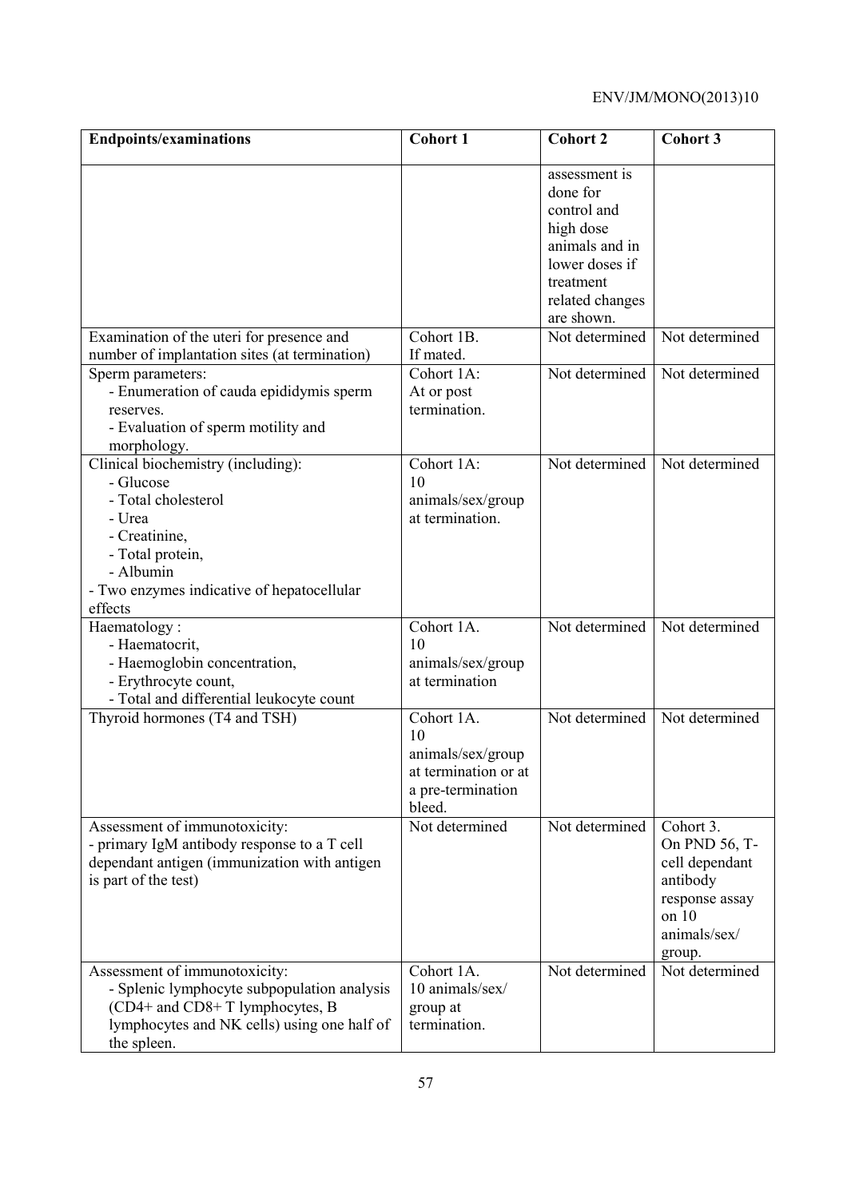| <b>Endpoints/examinations</b>                                                                                                                                                               | <b>Cohort 1</b>                                                                                            | <b>Cohort 2</b>                                                                                        | <b>Cohort 3</b>                                                                                               |
|---------------------------------------------------------------------------------------------------------------------------------------------------------------------------------------------|------------------------------------------------------------------------------------------------------------|--------------------------------------------------------------------------------------------------------|---------------------------------------------------------------------------------------------------------------|
|                                                                                                                                                                                             |                                                                                                            |                                                                                                        |                                                                                                               |
|                                                                                                                                                                                             |                                                                                                            | assessment is<br>done for<br>control and<br>high dose<br>animals and in<br>lower doses if<br>treatment |                                                                                                               |
|                                                                                                                                                                                             |                                                                                                            | related changes<br>are shown.                                                                          |                                                                                                               |
| Examination of the uteri for presence and<br>number of implantation sites (at termination)                                                                                                  | Cohort 1B.<br>If mated.                                                                                    | Not determined                                                                                         | Not determined                                                                                                |
| Sperm parameters:<br>- Enumeration of cauda epididymis sperm<br>reserves.<br>- Evaluation of sperm motility and<br>morphology.                                                              | Cohort 1A:<br>At or post<br>termination.                                                                   | Not determined                                                                                         | Not determined                                                                                                |
| Clinical biochemistry (including):<br>- Glucose<br>- Total cholesterol<br>- Urea<br>- Creatinine,<br>- Total protein,<br>- Albumin<br>- Two enzymes indicative of hepatocellular<br>effects | Cohort 1A:<br>10<br>animals/sex/group<br>at termination.                                                   | Not determined                                                                                         | Not determined                                                                                                |
| Haematology:<br>- Haematocrit,<br>- Haemoglobin concentration,<br>- Erythrocyte count,<br>- Total and differential leukocyte count                                                          | Cohort 1A.<br>10<br>animals/sex/group<br>at termination                                                    | Not determined                                                                                         | Not determined                                                                                                |
| Thyroid hormones (T4 and TSH)                                                                                                                                                               | Cohort $1\overline{A}$ .<br>10<br>animals/sex/group<br>at termination or at<br>a pre-termination<br>bleed. | Not determined                                                                                         | Not determined                                                                                                |
| Assessment of immunotoxicity:<br>- primary IgM antibody response to a T cell<br>dependant antigen (immunization with antigen<br>is part of the test)                                        | Not determined                                                                                             | Not determined                                                                                         | Cohort 3.<br>On PND 56, T-<br>cell dependant<br>antibody<br>response assay<br>on 10<br>animals/sex/<br>group. |
| Assessment of immunotoxicity:<br>- Splenic lymphocyte subpopulation analysis<br>(CD4+ and CD8+ T lymphocytes, B<br>lymphocytes and NK cells) using one half of<br>the spleen.               | Cohort 1A.<br>10 animals/sex/<br>group at<br>termination.                                                  | Not determined                                                                                         | Not determined                                                                                                |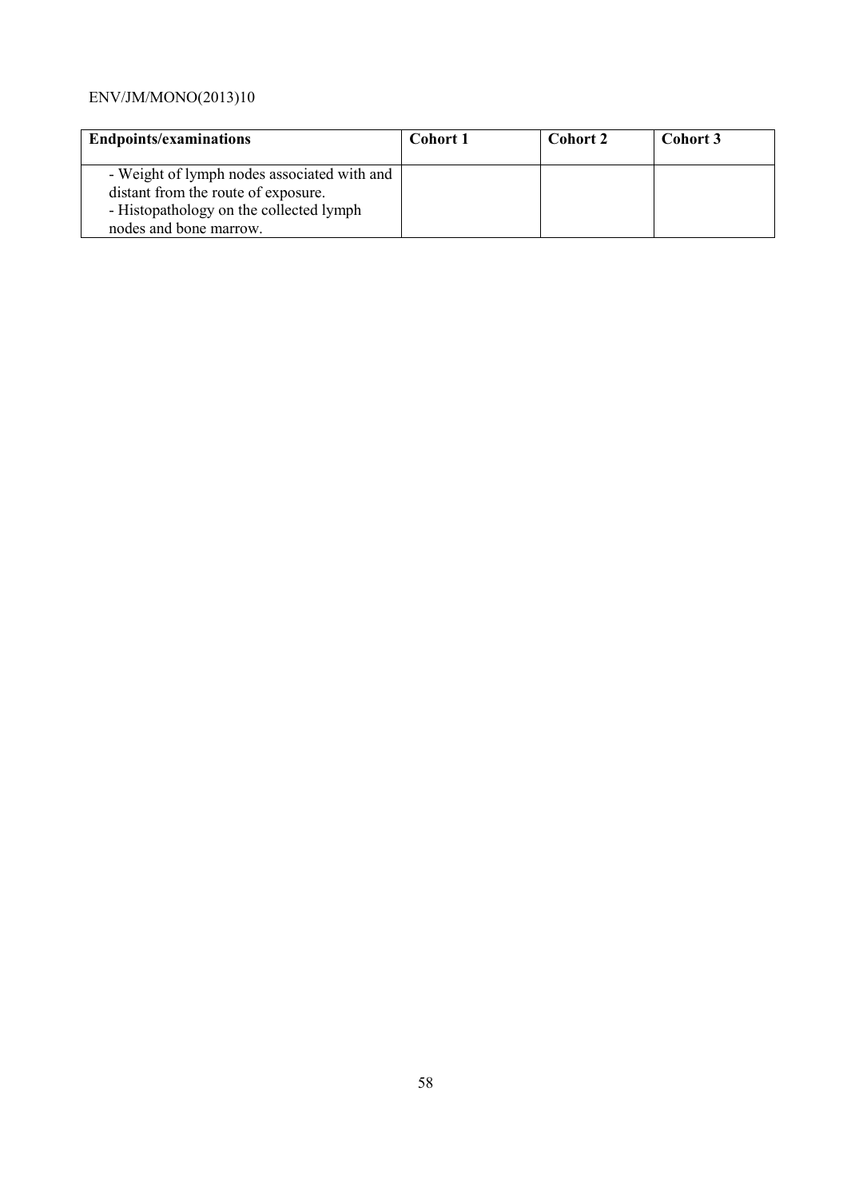| <b>Endpoints/examinations</b>                                                      | Cohort 1 | Cohort 2 | Cohort 3 |
|------------------------------------------------------------------------------------|----------|----------|----------|
| - Weight of lymph nodes associated with and<br>distant from the route of exposure. |          |          |          |
| - Histopathology on the collected lymph<br>nodes and bone marrow.                  |          |          |          |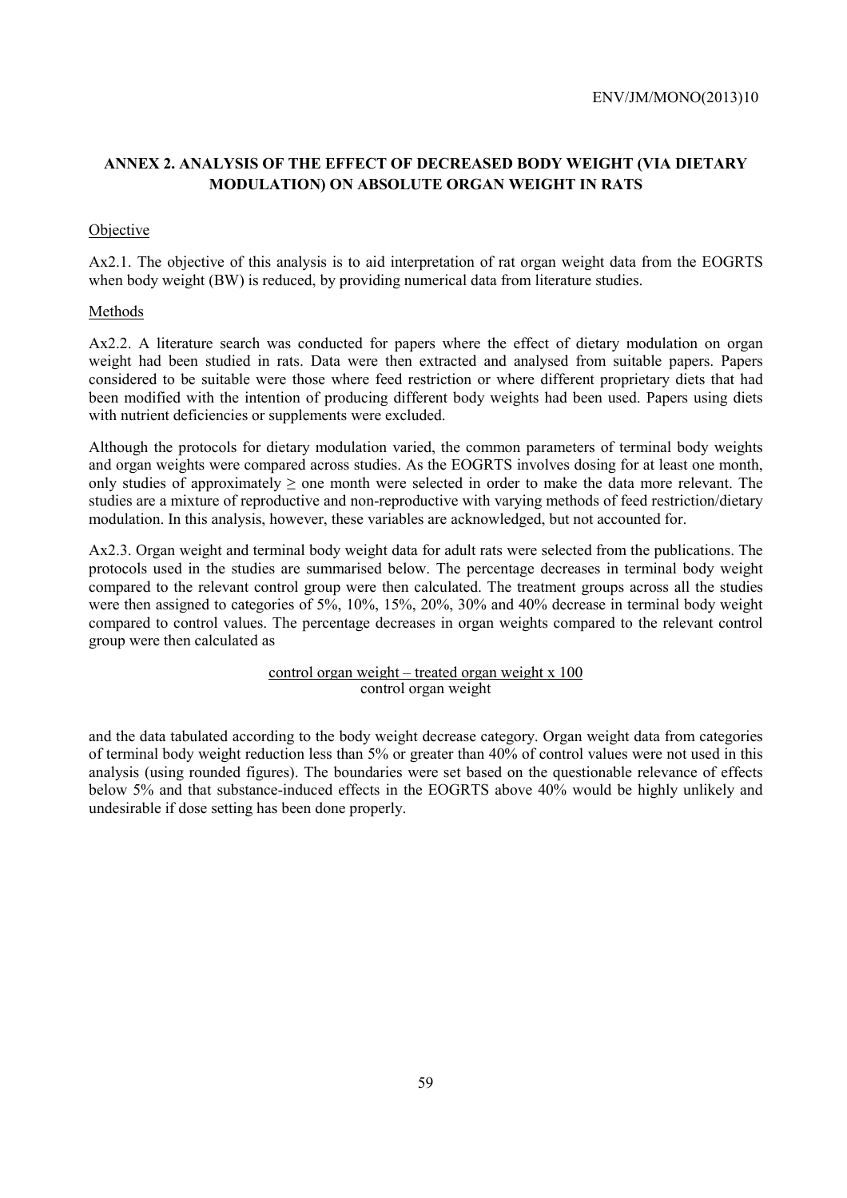# **ANNEX 2. ANALYSIS OF THE EFFECT OF DECREASED BODY WEIGHT (VIA DIETARY MODULATION) ON ABSOLUTE ORGAN WEIGHT IN RATS**

# Objective

Ax2.1. The objective of this analysis is to aid interpretation of rat organ weight data from the EOGRTS when body weight (BW) is reduced, by providing numerical data from literature studies.

### Methods

Ax2.2. A literature search was conducted for papers where the effect of dietary modulation on organ weight had been studied in rats. Data were then extracted and analysed from suitable papers. Papers considered to be suitable were those where feed restriction or where different proprietary diets that had been modified with the intention of producing different body weights had been used. Papers using diets with nutrient deficiencies or supplements were excluded.

Although the protocols for dietary modulation varied, the common parameters of terminal body weights and organ weights were compared across studies. As the EOGRTS involves dosing for at least one month, only studies of approximately  $\geq$  one month were selected in order to make the data more relevant. The studies are a mixture of reproductive and non-reproductive with varying methods of feed restriction/dietary modulation. In this analysis, however, these variables are acknowledged, but not accounted for.

Ax2.3. Organ weight and terminal body weight data for adult rats were selected from the publications. The protocols used in the studies are summarised below. The percentage decreases in terminal body weight compared to the relevant control group were then calculated. The treatment groups across all the studies were then assigned to categories of 5%, 10%, 15%, 20%, 30% and 40% decrease in terminal body weight compared to control values. The percentage decreases in organ weights compared to the relevant control group were then calculated as

> control organ weight – treated organ weight x 100 control organ weight

and the data tabulated according to the body weight decrease category. Organ weight data from categories of terminal body weight reduction less than 5% or greater than 40% of control values were not used in this analysis (using rounded figures). The boundaries were set based on the questionable relevance of effects below 5% and that substance-induced effects in the EOGRTS above 40% would be highly unlikely and undesirable if dose setting has been done properly.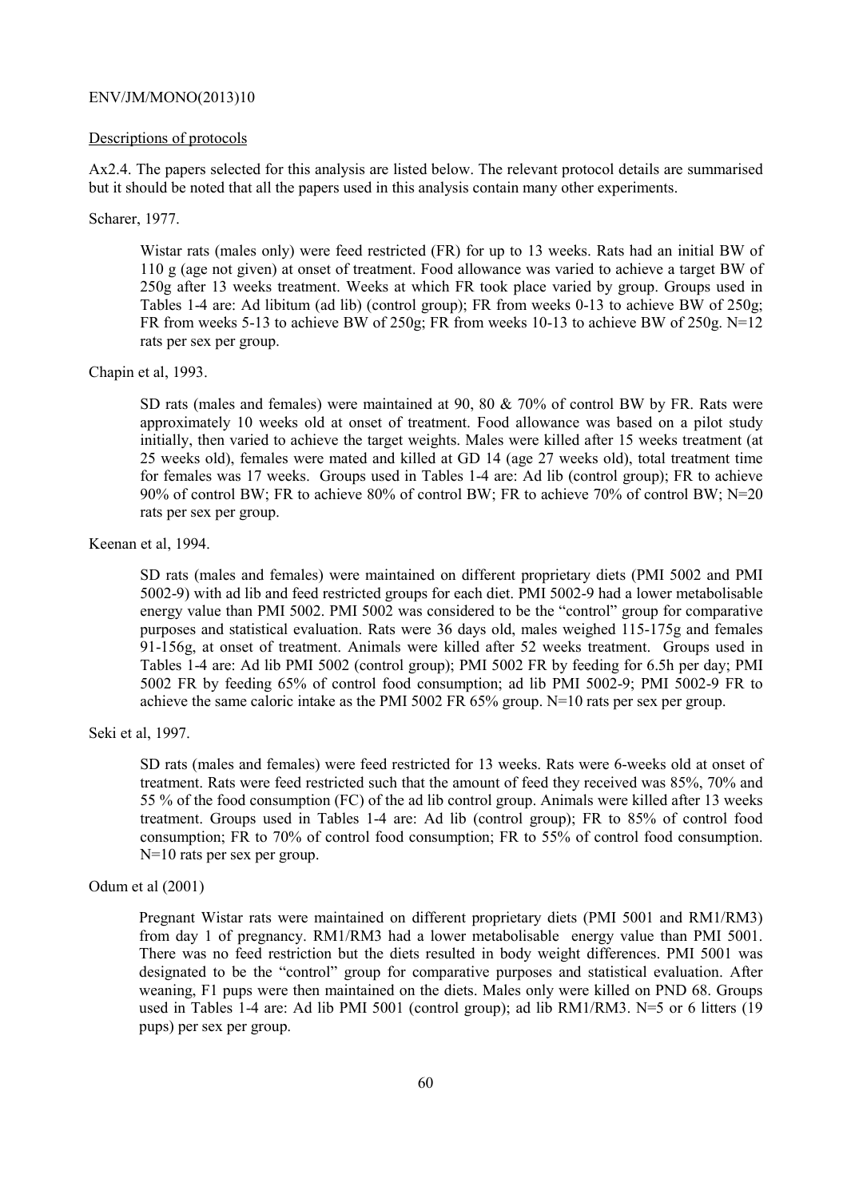# Descriptions of protocols

Ax2.4. The papers selected for this analysis are listed below. The relevant protocol details are summarised but it should be noted that all the papers used in this analysis contain many other experiments.

Scharer, 1977.

Wistar rats (males only) were feed restricted (FR) for up to 13 weeks. Rats had an initial BW of 110 g (age not given) at onset of treatment. Food allowance was varied to achieve a target BW of 250g after 13 weeks treatment. Weeks at which FR took place varied by group. Groups used in Tables 1-4 are: Ad libitum (ad lib) (control group); FR from weeks 0-13 to achieve BW of 250g; FR from weeks 5-13 to achieve BW of 250g; FR from weeks 10-13 to achieve BW of 250g,  $N=12$ rats per sex per group.

# Chapin et al, 1993.

SD rats (males and females) were maintained at 90, 80 & 70% of control BW by FR. Rats were approximately 10 weeks old at onset of treatment. Food allowance was based on a pilot study initially, then varied to achieve the target weights. Males were killed after 15 weeks treatment (at 25 weeks old), females were mated and killed at GD 14 (age 27 weeks old), total treatment time for females was 17 weeks. Groups used in Tables 1-4 are: Ad lib (control group); FR to achieve 90% of control BW; FR to achieve 80% of control BW; FR to achieve 70% of control BW; N=20 rats per sex per group.

## Keenan et al, 1994.

SD rats (males and females) were maintained on different proprietary diets (PMI 5002 and PMI 5002-9) with ad lib and feed restricted groups for each diet. PMI 5002-9 had a lower metabolisable energy value than PMI 5002. PMI 5002 was considered to be the "control" group for comparative purposes and statistical evaluation. Rats were 36 days old, males weighed 115-175g and females 91-156g, at onset of treatment. Animals were killed after 52 weeks treatment. Groups used in Tables 1-4 are: Ad lib PMI 5002 (control group); PMI 5002 FR by feeding for 6.5h per day; PMI 5002 FR by feeding 65% of control food consumption; ad lib PMI 5002-9; PMI 5002-9 FR to achieve the same caloric intake as the PMI 5002 FR 65% group. N=10 rats per sex per group.

Seki et al, 1997.

SD rats (males and females) were feed restricted for 13 weeks. Rats were 6-weeks old at onset of treatment. Rats were feed restricted such that the amount of feed they received was 85%, 70% and 55 % of the food consumption (FC) of the ad lib control group. Animals were killed after 13 weeks treatment. Groups used in Tables 1-4 are: Ad lib (control group); FR to 85% of control food consumption; FR to 70% of control food consumption; FR to 55% of control food consumption. N=10 rats per sex per group.

### Odum et al (2001)

Pregnant Wistar rats were maintained on different proprietary diets (PMI 5001 and RM1/RM3) from day 1 of pregnancy. RM1/RM3 had a lower metabolisable energy value than PMI 5001. There was no feed restriction but the diets resulted in body weight differences. PMI 5001 was designated to be the "control" group for comparative purposes and statistical evaluation. After weaning, F1 pups were then maintained on the diets. Males only were killed on PND 68. Groups used in Tables 1-4 are: Ad lib PMI 5001 (control group); ad lib RM1/RM3. N=5 or 6 litters (19 pups) per sex per group.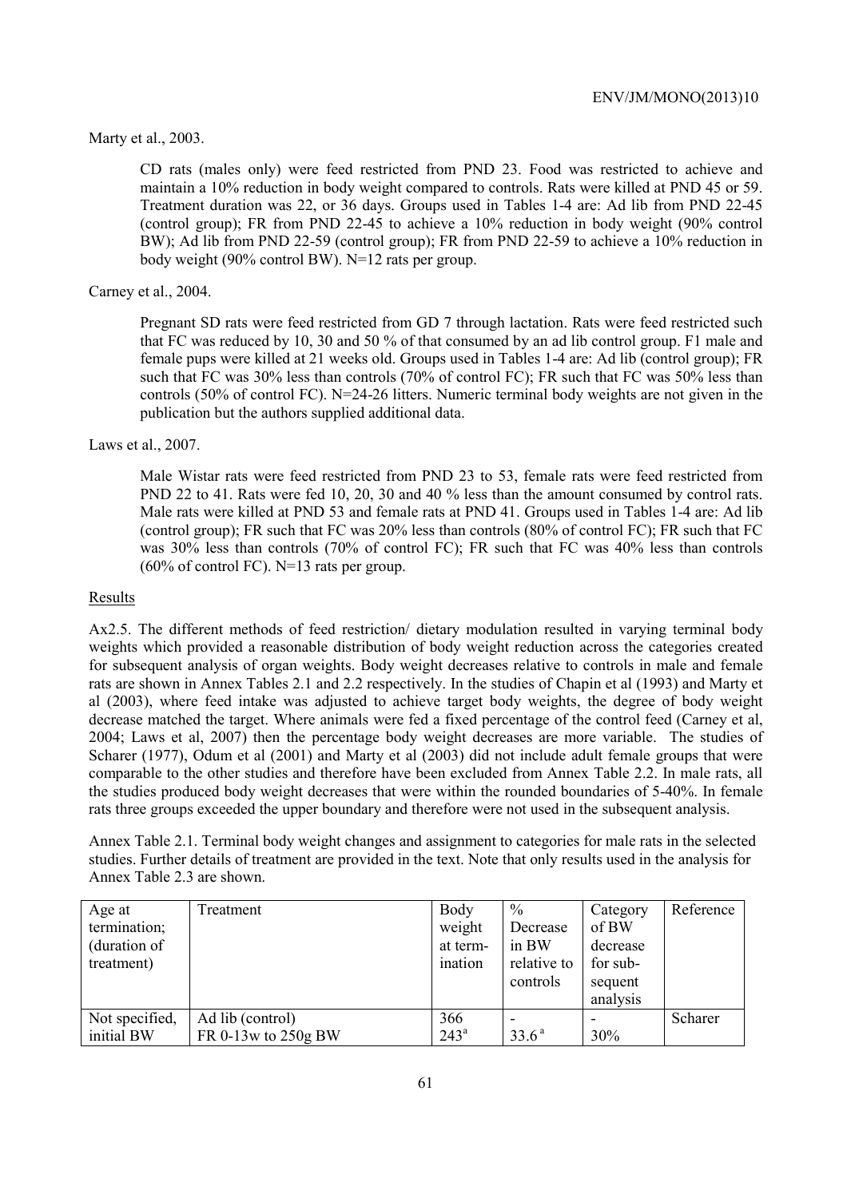# Marty et al., 2003.

CD rats (males only) were feed restricted from PND 23. Food was restricted to achieve and maintain a 10% reduction in body weight compared to controls. Rats were killed at PND 45 or 59. Treatment duration was 22, or 36 days. Groups used in Tables 1-4 are: Ad lib from PND 22-45 (control group); FR from PND 22-45 to achieve a 10% reduction in body weight (90% control BW); Ad lib from PND 22-59 (control group); FR from PND 22-59 to achieve a 10% reduction in body weight (90% control BW). N=12 rats per group.

#### Carney et al., 2004.

Pregnant SD rats were feed restricted from GD 7 through lactation. Rats were feed restricted such that FC was reduced by 10, 30 and 50 % of that consumed by an ad lib control group. F1 male and female pups were killed at 21 weeks old. Groups used in Tables 1-4 are: Ad lib (control group); FR such that FC was 30% less than controls (70% of control FC); FR such that FC was 50% less than controls (50% of control FC). N=24-26 litters. Numeric terminal body weights are not given in the publication but the authors supplied additional data.

# Laws et al., 2007.

Male Wistar rats were feed restricted from PND 23 to 53, female rats were feed restricted from PND 22 to 41. Rats were fed 10, 20, 30 and 40 % less than the amount consumed by control rats. Male rats were killed at PND 53 and female rats at PND 41. Groups used in Tables 1-4 are: Ad lib (control group); FR such that FC was 20% less than controls (80% of control FC); FR such that FC was 30% less than controls (70% of control FC); FR such that FC was 40% less than controls (60% of control FC). N=13 rats per group.

## Results

Ax2.5. The different methods of feed restriction/ dietary modulation resulted in varying terminal body weights which provided a reasonable distribution of body weight reduction across the categories created for subsequent analysis of organ weights. Body weight decreases relative to controls in male and female rats are shown in Annex Tables 2.1 and 2.2 respectively. In the studies of Chapin et al (1993) and Marty et al (2003), where feed intake was adjusted to achieve target body weights, the degree of body weight decrease matched the target. Where animals were fed a fixed percentage of the control feed (Carney et al, 2004; Laws et al, 2007) then the percentage body weight decreases are more variable. The studies of Scharer (1977), Odum et al (2001) and Marty et al (2003) did not include adult female groups that were comparable to the other studies and therefore have been excluded from Annex Table 2.2. In male rats, all the studies produced body weight decreases that were within the rounded boundaries of 5-40%. In female rats three groups exceeded the upper boundary and therefore were not used in the subsequent analysis.

Annex Table 2.1. Terminal body weight changes and assignment to categories for male rats in the selected studies. Further details of treatment are provided in the text. Note that only results used in the analysis for Annex Table 2.3 are shown.

| Age at         | Treatment           | Body          | $\%$                     | Category | Reference |
|----------------|---------------------|---------------|--------------------------|----------|-----------|
| termination;   |                     | weight        | Decrease                 | of BW    |           |
| (duration of   |                     | at term-      | in BW                    | decrease |           |
| treatment)     |                     | ination       | relative to              | for sub- |           |
|                |                     |               | controls                 | sequent  |           |
|                |                     |               |                          | analysis |           |
| Not specified, | Ad lib (control)    | 366           | $\overline{\phantom{0}}$ |          | Scharer   |
| initial BW     | FR 0-13w to 250g BW | $243^{\circ}$ | 33.6 <sup>a</sup>        | 30%      |           |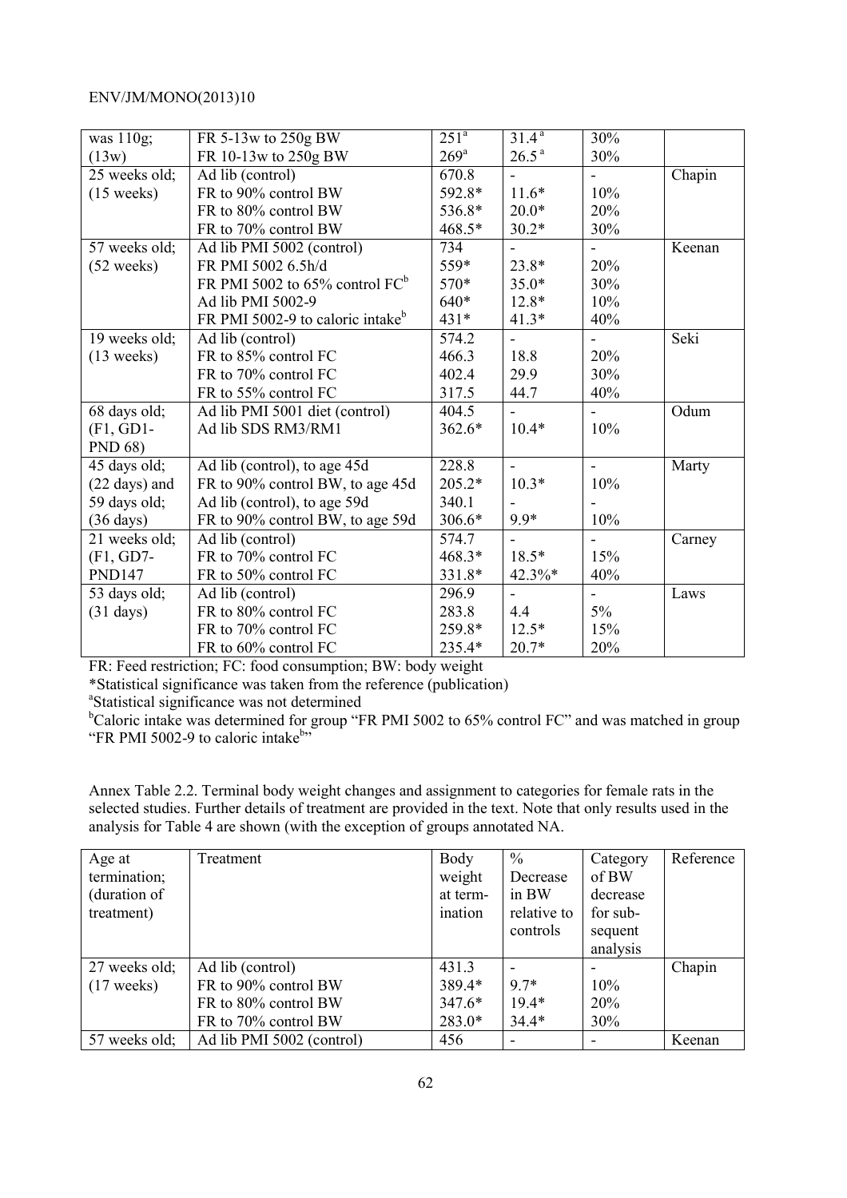| was 110g;               | FR 5-13w to 250g BW                          | 251 <sup>a</sup> | 31.4 <sup>a</sup>        | 30%   |        |
|-------------------------|----------------------------------------------|------------------|--------------------------|-------|--------|
| (13w)                   | FR 10-13w to 250g BW                         | $269^{\circ}$    | $26.5^{\text{a}}$        | 30%   |        |
| 25 weeks old;           | Ad lib (control)                             | 670.8            |                          |       | Chapin |
| $(15 \text{ weeks})$    | FR to 90% control BW                         | 592.8*           | $11.6*$                  | 10%   |        |
|                         | FR to 80% control BW                         | 536.8*           | $20.0*$                  | 20%   |        |
|                         | FR to 70% control BW                         | 468.5*           | $30.2*$                  | 30%   |        |
| 57 weeks old;           | Ad lib PMI 5002 (control)                    | 734              |                          |       | Keenan |
| $(52 \text{ weeks})$    | FR PMI 5002 6.5h/d                           | 559*             | $23.8*$                  | 20%   |        |
|                         | FR PMI 5002 to 65% control $FC^b$            | 570*             | $35.0*$                  | 30%   |        |
|                         | Ad lib PMI 5002-9                            | $640*$           | $12.8*$                  | 10%   |        |
|                         | FR PMI 5002-9 to caloric intake <sup>b</sup> | $431*$           | $41.3*$                  | 40%   |        |
| 19 weeks old;           | Ad lib (control)                             | 574.2            | $\overline{\phantom{0}}$ |       | Seki   |
| $(13 \text{ weeks})$    | FR to 85% control FC                         | 466.3            | 18.8                     | 20%   |        |
|                         | FR to 70% control FC                         | 402.4            | 29.9                     | 30%   |        |
|                         | FR to 55% control FC                         | 317.5            | 44.7                     | 40%   |        |
| 68 days old;            | Ad lib PMI 5001 diet (control)               | 404.5            |                          |       | Odum   |
| $(F1, GD1-$             | Ad lib SDS RM3/RM1                           | 362.6*           | $10.4*$                  | 10%   |        |
| <b>PND 68)</b>          |                                              |                  |                          |       |        |
| 45 days old;            | Ad lib (control), to age 45d                 | 228.8            |                          |       | Marty  |
| $(22 \text{ days})$ and | FR to 90% control BW, to age 45d             | $205.2*$         | $10.3*$                  | 10%   |        |
| 59 days old;            | Ad lib (control), to age 59d                 | 340.1            |                          |       |        |
| $(36 \text{ days})$     | FR to 90% control BW, to age 59d             | 306.6*           | 9.9*                     | 10%   |        |
| 21 weeks old;           | Ad lib (control)                             | 574.7            |                          |       | Carney |
| $(F1, GD7-$             | FR to 70% control FC                         | 468.3*           | 18.5*                    | 15%   |        |
| <b>PND147</b>           | FR to 50% control FC                         | 331.8*           | 42.3%*                   | 40%   |        |
| 53 days old;            | Ad lib (control)                             | 296.9            | $\overline{\phantom{0}}$ |       | Laws   |
| $(31 \text{ days})$     | FR to 80% control FC                         | 283.8            | 4.4                      | $5\%$ |        |
|                         | FR to 70% control FC                         | 259.8*           | $12.5*$                  | 15%   |        |
|                         | FR to 60% control FC                         | 235.4*           | $20.7*$                  | 20%   |        |

FR: Feed restriction; FC: food consumption; BW: body weight

\*Statistical significance was taken from the reference (publication)

<sup>a</sup>Statistical significance was not determined<br><sup>b</sup>Caloric intake was determined for group "FR PMI 5002 to 65% control FC" and was matched in group "FR PMI 5002-9 to caloric intake $b$ "

Annex Table 2.2. Terminal body weight changes and assignment to categories for female rats in the selected studies. Further details of treatment are provided in the text. Note that only results used in the analysis for Table 4 are shown (with the exception of groups annotated NA.

| Age at               | Treatment                 | Body     | $\frac{0}{0}$            | Category | Reference |
|----------------------|---------------------------|----------|--------------------------|----------|-----------|
| termination;         |                           | weight   | Decrease                 | of BW    |           |
| (duration of         |                           | at term- | in BW                    | decrease |           |
| treatment)           |                           | ination  | relative to              | for sub- |           |
|                      |                           |          | controls                 | sequent  |           |
|                      |                           |          |                          | analysis |           |
| 27 weeks old;        | Ad lib (control)          | 431.3    |                          |          | Chapin    |
| $(17 \text{ weeks})$ | FR to 90% control BW      | 389.4*   | $9.7*$                   | 10%      |           |
|                      | FR to 80% control BW      | $347.6*$ | $19.4*$                  | 20%      |           |
|                      | FR to 70% control BW      | 283.0*   | $34.4*$                  | 30%      |           |
| 57 weeks old;        | Ad lib PMI 5002 (control) | 456      | $\overline{\phantom{0}}$ |          | Keenan    |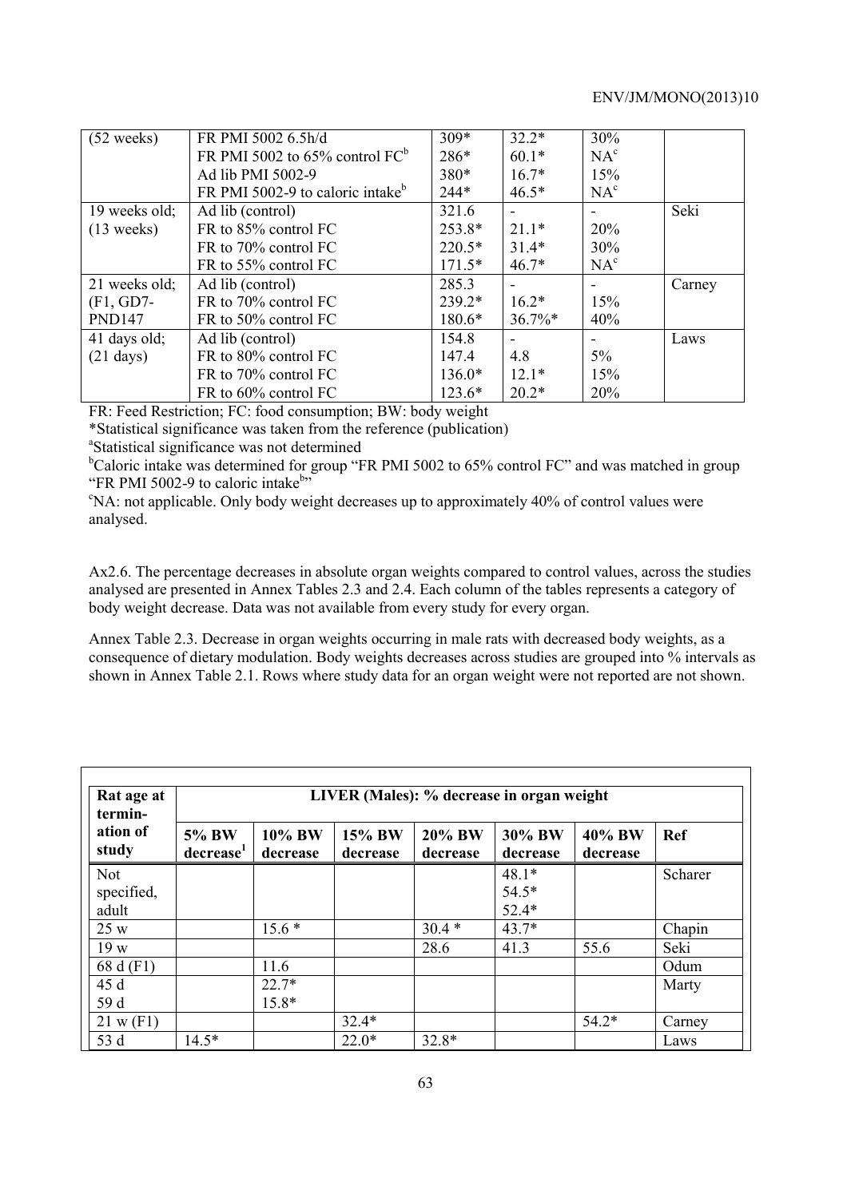| $(52 \text{ weeks})$ | FR PMI 5002 6.5h/d                           | $309*$   | $32.2*$   | 30%             |        |
|----------------------|----------------------------------------------|----------|-----------|-----------------|--------|
|                      | FR PMI 5002 to 65% control $FC^b$            | 286*     | $60.1*$   | NA <sup>c</sup> |        |
|                      | Ad lib PMI 5002-9                            | $380*$   | $16.7*$   | 15%             |        |
|                      | FR PMI 5002-9 to caloric intake <sup>b</sup> | $244*$   | $46.5*$   | NA <sup>c</sup> |        |
| 19 weeks old;        | Ad lib (control)                             | 321.6    |           |                 | Seki   |
| $(13 \text{ weeks})$ | FR to 85% control FC                         | 253.8*   | $21.1*$   | 20%             |        |
|                      | FR to 70% control FC                         | $220.5*$ | $31.4*$   | 30%             |        |
|                      | FR to 55% control FC                         | $171.5*$ | $46.7*$   | NA <sup>c</sup> |        |
| 21 weeks old;        | Ad lib (control)                             | 285.3    |           |                 | Carney |
| $(F1, GD7-$          | FR to 70% control FC                         | 239.2*   | $16.2*$   | 15%             |        |
| <b>PND147</b>        | FR to 50% control FC                         | $180.6*$ | $36.7\%*$ | 40%             |        |
| 41 days old;         | Ad lib (control)                             | 154.8    |           |                 | Laws   |
| $(21 \text{ days})$  | FR to 80% control FC                         | 147.4    | 4.8       | $5\%$           |        |
|                      | FR to 70% control FC                         | $136.0*$ | $12.1*$   | 15%             |        |
|                      | FR to 60% control FC                         | $123.6*$ | $20.2*$   | 20%             |        |

FR: Feed Restriction; FC: food consumption; BW: body weight

\*Statistical significance was taken from the reference (publication)

a Statistical significance was not determined

<sup>b</sup>Caloric intake was determined for group "FR PMI 5002 to 65% control FC" and was matched in group "FR PMI 5002-9 to caloric intake<sup>b</sup>"

NA: not applicable. Only body weight decreases up to approximately 40% of control values were analysed.

Ax2.6. The percentage decreases in absolute organ weights compared to control values, across the studies analysed are presented in Annex Tables 2.3 and 2.4. Each column of the tables represents a category of body weight decrease. Data was not available from every study for every organ.

Annex Table 2.3. Decrease in organ weights occurring in male rats with decreased body weights, as a consequence of dietary modulation. Body weights decreases across studies are grouped into % intervals as shown in Annex Table 2.1. Rows where study data for an organ weight were not reported are not shown.

| Rat age at<br>termin-<br>ation of<br>study | LIVER (Males): % decrease in organ weight |                    |                    |                    |                    |                    |         |  |  |
|--------------------------------------------|-------------------------------------------|--------------------|--------------------|--------------------|--------------------|--------------------|---------|--|--|
|                                            | 5% BW<br>decrease <sup>1</sup>            | 10% BW<br>decrease | 15% BW<br>decrease | 20% BW<br>decrease | 30% BW<br>decrease | 40% BW<br>decrease | Ref     |  |  |
| <b>Not</b>                                 |                                           |                    |                    |                    | $48.1*$            |                    | Scharer |  |  |
| specified,                                 |                                           |                    |                    |                    | $54.5*$            |                    |         |  |  |
| adult                                      |                                           |                    |                    |                    | $52.4*$            |                    |         |  |  |
| 25 w                                       |                                           | $15.6*$            |                    | $30.4*$            | $43.7*$            |                    | Chapin  |  |  |
| 19 <sub>w</sub>                            |                                           |                    |                    | 28.6               | 41.3               | 55.6               | Seki    |  |  |
| 68 d (F1)                                  |                                           | 11.6               |                    |                    |                    |                    | Odum    |  |  |
| 45 d                                       |                                           | $22.7*$            |                    |                    |                    |                    | Marty   |  |  |
| 59 d                                       |                                           | 15.8*              |                    |                    |                    |                    |         |  |  |
| 21 w (F1)                                  |                                           |                    | $32.4*$            |                    |                    | $54.2*$            | Carney  |  |  |
| 53 d                                       | $14.5*$                                   |                    | $22.0*$            | $32.8*$            |                    |                    | Laws    |  |  |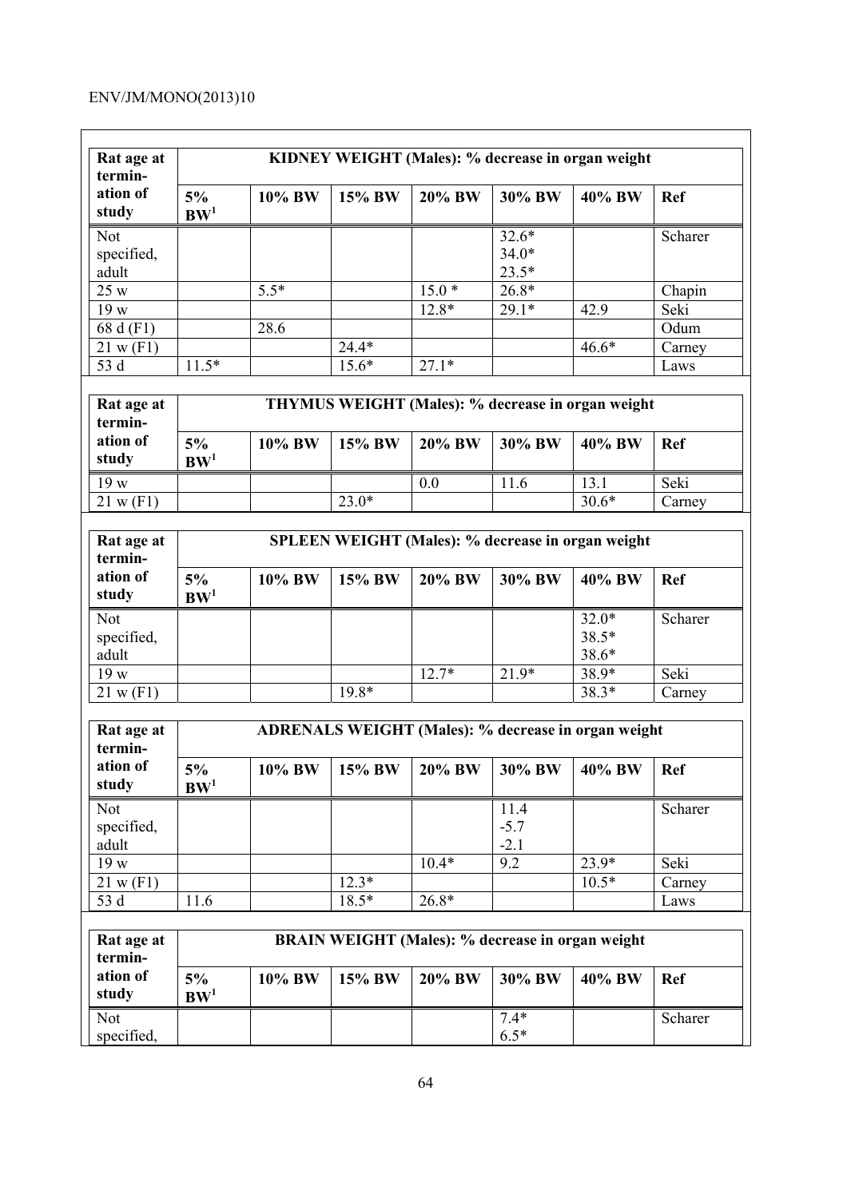| Rat age at<br>termin-                 | KIDNEY WEIGHT (Males): % decrease in organ weight |        |         |         |                                                            |         |            |  |  |  |
|---------------------------------------|---------------------------------------------------|--------|---------|---------|------------------------------------------------------------|---------|------------|--|--|--|
| ation of<br>study                     | 5%<br>BW <sup>1</sup>                             | 10% BW | 15% BW  | 20% BW  | 30% BW                                                     | 40% BW  | <b>Ref</b> |  |  |  |
| Not                                   |                                                   |        |         |         | $32.6*$                                                    |         | Scharer    |  |  |  |
| specified,                            |                                                   |        |         |         | $34.0*$                                                    |         |            |  |  |  |
| adult                                 |                                                   |        |         |         | $23.5*$                                                    |         |            |  |  |  |
| 25 w                                  |                                                   | $5.5*$ |         | $15.0*$ | $26.8*$                                                    |         | Chapin     |  |  |  |
| $\overline{19}$ w                     |                                                   |        |         | $12.8*$ | $29.1*$                                                    | 42.9    | Seki       |  |  |  |
| 68 d (F1)                             |                                                   | 28.6   |         |         |                                                            |         | Odum       |  |  |  |
| $\frac{21}{\text{W}}\sqrt{\text{F1}}$ |                                                   |        | $24.4*$ |         |                                                            | $46.6*$ | Carney     |  |  |  |
| 53d                                   | $11.5*$                                           |        | $15.6*$ | $27.1*$ |                                                            |         | Laws       |  |  |  |
| Rat age at                            |                                                   |        |         |         | THYMUS WEIGHT (Males): % decrease in organ weight          |         |            |  |  |  |
| termin-                               |                                                   |        |         |         |                                                            |         |            |  |  |  |
| ation of<br>study                     | 5%<br>BW <sup>1</sup>                             | 10% BW | 15% BW  | 20% BW  | 30% BW                                                     | 40% BW  | Ref        |  |  |  |
| 19 <sub>w</sub>                       |                                                   |        |         | 0.0     | 11.6                                                       | 13.1    | Seki       |  |  |  |
| 21 w (F1)                             |                                                   |        | $23.0*$ |         |                                                            | $30.6*$ | Carney     |  |  |  |
|                                       |                                                   |        |         |         |                                                            |         |            |  |  |  |
| Rat age at<br>termin-                 |                                                   |        |         |         | SPLEEN WEIGHT (Males): % decrease in organ weight          |         |            |  |  |  |
| ation of<br>study                     | 5%<br>BW <sup>1</sup>                             | 10% BW | 15% BW  | 20% BW  | 30% BW                                                     | 40% BW  | <b>Ref</b> |  |  |  |
| Not                                   |                                                   |        |         |         |                                                            | $32.0*$ | Scharer    |  |  |  |
| specified,                            |                                                   |        |         |         |                                                            | 38.5*   |            |  |  |  |
| adult                                 |                                                   |        |         |         |                                                            | 38.6*   |            |  |  |  |
| 19 <sub>w</sub>                       |                                                   |        |         | $12.7*$ | 21.9*                                                      | 38.9*   | Seki       |  |  |  |
| 21 w (F1)                             |                                                   |        | 19.8*   |         |                                                            | 38.3*   | Carney     |  |  |  |
|                                       |                                                   |        |         |         |                                                            |         |            |  |  |  |
| Rat age at<br>termin-                 |                                                   |        |         |         | <b>ADRENALS WEIGHT (Males): % decrease in organ weight</b> |         |            |  |  |  |
| ation of<br>study                     | $5\%$<br>BW <sup>1</sup>                          | 10% BW | 15% BW  | 20% BW  | 30% BW                                                     | 40% BW  | Ref        |  |  |  |
| <b>Not</b>                            |                                                   |        |         |         | 11.4                                                       |         | Scharer    |  |  |  |
| specified,                            |                                                   |        |         |         | $-5.7$                                                     |         |            |  |  |  |
| adult                                 |                                                   |        |         |         | $-2.1$                                                     |         |            |  |  |  |
| 19 <sub>w</sub>                       |                                                   |        |         | $10.4*$ | 9.2                                                        | $23.9*$ | Seki       |  |  |  |
| 21 w (F1)                             |                                                   |        | $12.3*$ |         |                                                            | $10.5*$ | Carney     |  |  |  |
| $\overline{53}$ d                     | 11.6                                              |        | 18.5*   | $26.8*$ |                                                            |         | Laws       |  |  |  |
|                                       |                                                   |        |         |         |                                                            |         |            |  |  |  |
| Rat age at<br>termin-                 |                                                   |        |         |         | <b>BRAIN WEIGHT (Males): % decrease in organ weight</b>    |         |            |  |  |  |
| ation of<br>study                     | 5%<br>BW <sup>1</sup>                             | 10% BW | 15% BW  | 20% BW  | 30% BW                                                     | 40% BW  | Ref        |  |  |  |
| <b>Not</b>                            |                                                   |        |         |         | $7.4*$                                                     |         | Scharer    |  |  |  |
| specified,                            |                                                   |        |         |         | $6.5*$                                                     |         |            |  |  |  |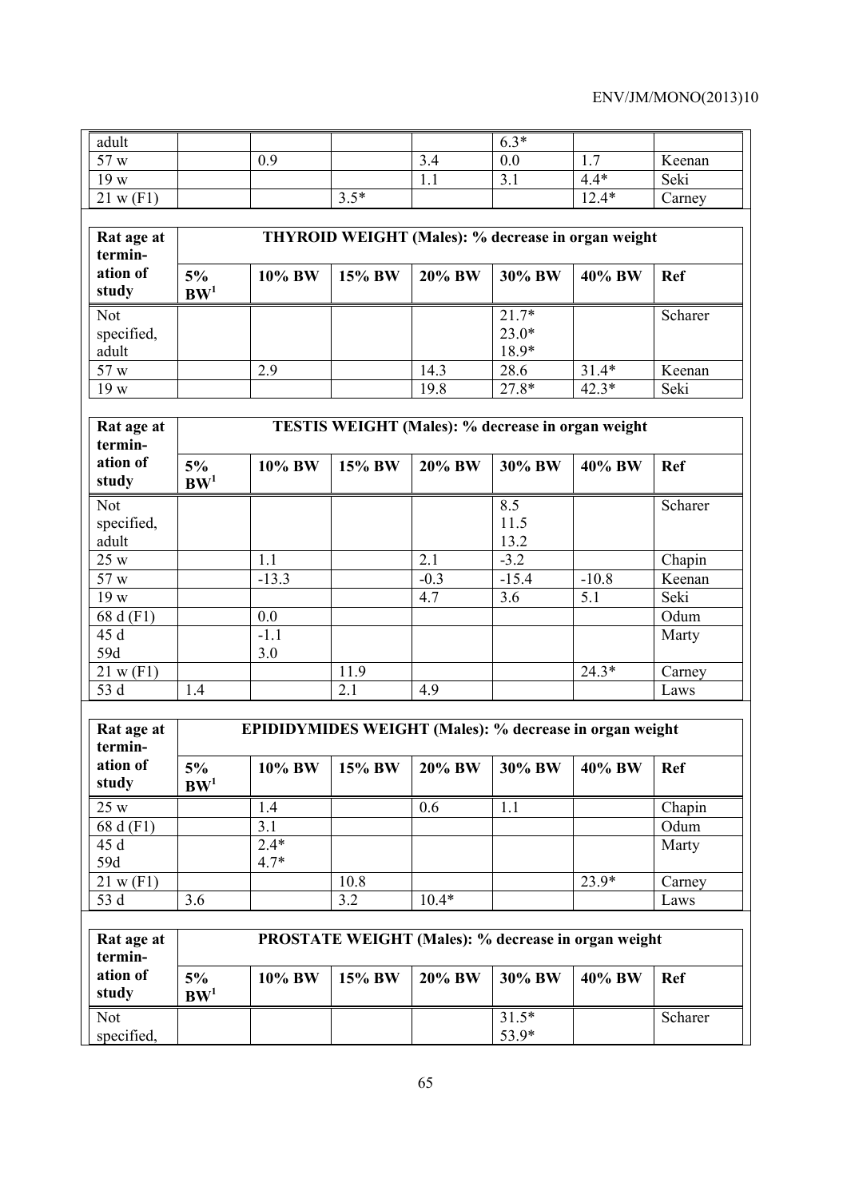| adult                    |                          |                                                         |                                                            |         | $6.3*$                                                   |                    |            |
|--------------------------|--------------------------|---------------------------------------------------------|------------------------------------------------------------|---------|----------------------------------------------------------|--------------------|------------|
| 57 w                     |                          | 0.9                                                     |                                                            | 3.4     | 0.0                                                      | 1.7                | Keenan     |
| 19 <sub>W</sub>          |                          |                                                         |                                                            | 1.1     | 3.1                                                      | $4.4*$             | Seki       |
| 21 w (F1)                |                          |                                                         | $3.5*$                                                     |         |                                                          | $12.4*$            | Carney     |
|                          |                          |                                                         |                                                            |         |                                                          |                    |            |
| Rat age at               |                          |                                                         |                                                            |         | THYROID WEIGHT (Males): % decrease in organ weight       |                    |            |
| termin-                  |                          |                                                         |                                                            |         |                                                          |                    |            |
| ation of                 | 5%                       | 10% BW                                                  | 15% BW                                                     | 20% BW  | 30% BW                                                   | 40% BW             | <b>Ref</b> |
| study                    | BW <sup>1</sup>          |                                                         |                                                            |         |                                                          |                    |            |
| <b>Not</b>               |                          |                                                         |                                                            |         | $21.7*$                                                  |                    | Scharer    |
| specified,               |                          |                                                         |                                                            |         | $23.0*$                                                  |                    |            |
| adult                    |                          |                                                         |                                                            |         | 18.9*                                                    |                    |            |
| 57 w                     |                          | 2.9                                                     |                                                            | 14.3    | 28.6                                                     | $31.\overline{4*}$ | Keenan     |
| 19 w                     |                          |                                                         |                                                            | 19.8    | $27.8*$                                                  | $42.3*$            | Seki       |
|                          |                          |                                                         |                                                            |         |                                                          |                    |            |
| Rat age at<br>termin-    |                          |                                                         |                                                            |         | <b>TESTIS WEIGHT (Males): % decrease in organ weight</b> |                    |            |
| ation of                 |                          |                                                         |                                                            |         |                                                          |                    |            |
| study                    | 5%<br>BW <sup>1</sup>    | 10% BW                                                  | 15% BW                                                     | 20% BW  | 30% BW                                                   | 40% BW             | <b>Ref</b> |
|                          |                          |                                                         |                                                            |         |                                                          |                    |            |
| Not<br>specified,        |                          |                                                         |                                                            |         | 8.5<br>11.5                                              |                    | Scharer    |
| adult                    |                          |                                                         |                                                            |         | 13.2                                                     |                    |            |
| 25 w                     |                          | 1.1                                                     |                                                            | 2.1     | $-3.2$                                                   |                    | Chapin     |
| 57 w                     |                          | $-13.3$                                                 |                                                            | $-0.3$  | $-15.4$                                                  | $-10.8$            | Keenan     |
| 19 w                     |                          |                                                         |                                                            | 4.7     | 3.6                                                      | 5.1                | Seki       |
| 68d(F1)                  |                          | 0.0                                                     |                                                            |         |                                                          |                    | Odum       |
| 45 d                     |                          | $-1.1$                                                  |                                                            |         |                                                          |                    | Marty      |
| 59d                      |                          | 3.0                                                     |                                                            |         |                                                          |                    |            |
| 21 w (F1)                |                          |                                                         | 11.9                                                       |         |                                                          | $24.3*$            | Carney     |
| 53 d                     | 1.4                      |                                                         | 2.1                                                        | 4.9     |                                                          |                    | Laws       |
|                          |                          |                                                         |                                                            |         |                                                          |                    |            |
| Rat age at               |                          | EPIDIDYMIDES WEIGHT (Males): % decrease in organ weight |                                                            |         |                                                          |                    |            |
| termin-                  |                          |                                                         |                                                            |         |                                                          |                    |            |
| ation of<br>study        | $5\%$<br>BW <sup>1</sup> | 10% BW                                                  | 15% BW                                                     | 20% BW  | 30% BW                                                   | 40% BW             | Ref        |
| 25 w                     |                          | 1.4                                                     |                                                            | 0.6     | 1.1                                                      |                    | Chapin     |
| 68 d (F1)                |                          | 3.1                                                     |                                                            |         |                                                          |                    | Odum       |
| 45 d                     |                          | $2.4*$                                                  |                                                            |         |                                                          |                    | Marty      |
| 59d                      |                          | $4.7*$                                                  |                                                            |         |                                                          |                    |            |
| 21 w (F1)                |                          |                                                         | 10.8                                                       |         |                                                          | $23.9*$            | Carney     |
| 53 d                     | 3.6                      |                                                         | 3.2                                                        | $10.4*$ |                                                          |                    | Laws       |
|                          |                          |                                                         |                                                            |         |                                                          |                    |            |
|                          |                          |                                                         |                                                            |         |                                                          |                    |            |
| Rat age at               |                          |                                                         | <b>PROSTATE WEIGHT (Males): % decrease in organ weight</b> |         |                                                          |                    |            |
| termin-                  |                          |                                                         |                                                            |         |                                                          |                    |            |
| ation of                 | 5%                       | 10% BW                                                  | 15% BW                                                     | 20% BW  | 30% BW                                                   | 40% BW             | <b>Ref</b> |
| study                    | BW <sup>1</sup>          |                                                         |                                                            |         |                                                          |                    |            |
| <b>Not</b><br>specified, |                          |                                                         |                                                            |         | $31.5*$<br>53.9*                                         |                    | Scharer    |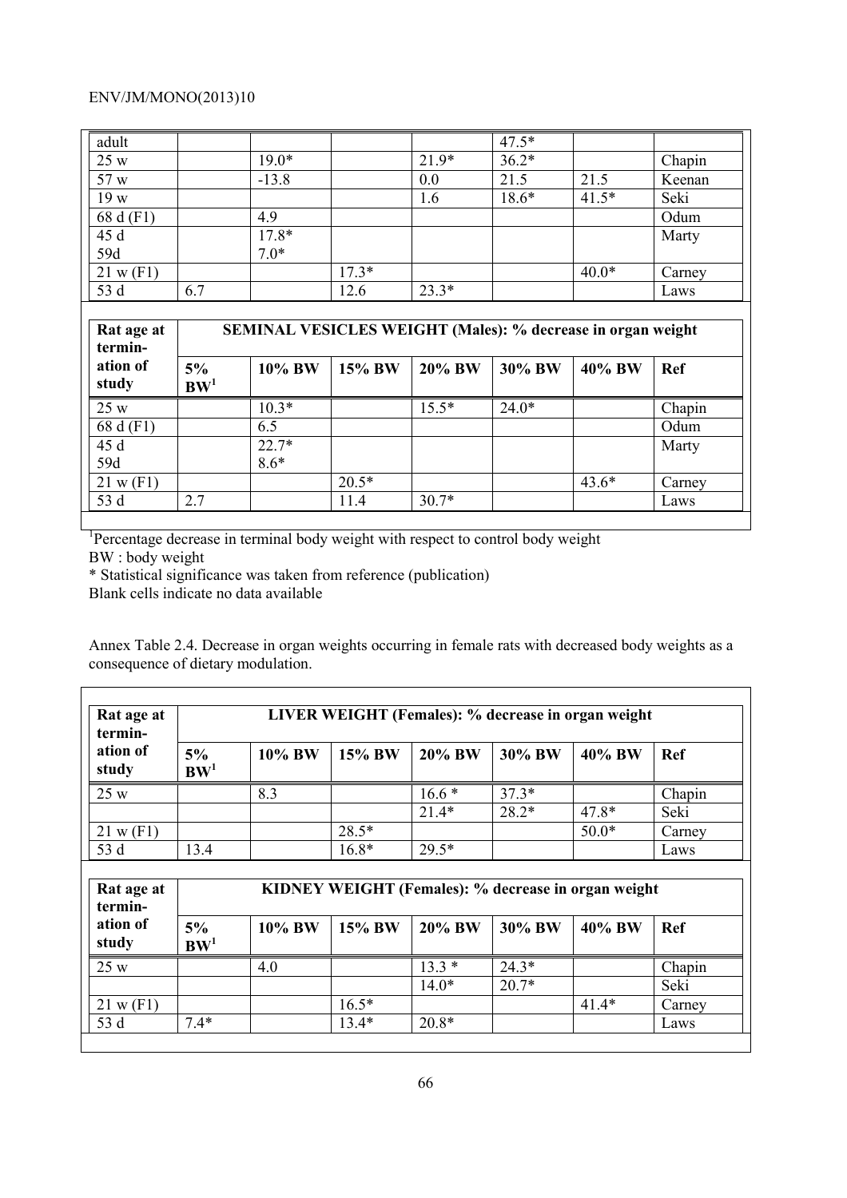| adult     |     |         |         |         | $47.5*$ |         |        |
|-----------|-----|---------|---------|---------|---------|---------|--------|
| 25 w      |     | $19.0*$ |         | $21.9*$ | $36.2*$ |         | Chapin |
| 57 w      |     | $-13.8$ |         | 0.0     | 21.5    | 21.5    | Keenan |
| 19 w      |     |         |         | 1.6     | $18.6*$ | $41.5*$ | Seki   |
| 68 d (F1) |     | 4.9     |         |         |         |         | Odum   |
| 45 d      |     | 17.8*   |         |         |         |         | Marty  |
| 59d       |     | $7.0*$  |         |         |         |         |        |
| 21 w (F1) |     |         | $17.3*$ |         |         | $40.0*$ | Carney |
| 53 d      | 6.7 |         | 12.6    | $23.3*$ |         |         | Laws   |

| Rat age at<br>termin-<br>ation of<br>study | <b>SEMINAL VESICLES WEIGHT (Males): % decrease in organ weight</b> |         |         |         |         |         |        |  |  |
|--------------------------------------------|--------------------------------------------------------------------|---------|---------|---------|---------|---------|--------|--|--|
|                                            | 5%<br>BW <sup>1</sup>                                              | 10% BW  | 15% BW  | 20% BW  | 30% BW  | 40% BW  | Ref    |  |  |
| 25 w                                       |                                                                    | $10.3*$ |         | $15.5*$ | $24.0*$ |         | Chapin |  |  |
| 68 d (F1)                                  |                                                                    | 6.5     |         |         |         |         | Odum   |  |  |
| 45 d                                       |                                                                    | $22.7*$ |         |         |         |         | Marty  |  |  |
| 59d                                        |                                                                    | $8.6*$  |         |         |         |         |        |  |  |
| $21 \text{ w} (F1)$                        |                                                                    |         | $20.5*$ |         |         | $43.6*$ | Carney |  |  |
| 53 d                                       | 2.7                                                                |         | 11.4    | $30.7*$ |         |         | Laws   |  |  |

<sup>1</sup>Percentage decrease in terminal body weight with respect to control body weight

BW : body weight

 $\mathbf{r}$ 

\* Statistical significance was taken from reference (publication)

Blank cells indicate no data available

Annex Table 2.4. Decrease in organ weights occurring in female rats with decreased body weights as a consequence of dietary modulation.

| Rat age at<br>termin-<br>ation of<br>study | LIVER WEIGHT (Females): % decrease in organ weight |        |         |                                                     |         |         |        |  |  |  |
|--------------------------------------------|----------------------------------------------------|--------|---------|-----------------------------------------------------|---------|---------|--------|--|--|--|
|                                            | 5%<br>BW <sup>1</sup>                              | 10% BW | 15% BW  | 20% BW                                              | 30% BW  | 40% BW  | Ref    |  |  |  |
| 25 w                                       |                                                    | 8.3    |         | $16.6*$                                             | $37.3*$ |         | Chapin |  |  |  |
|                                            |                                                    |        |         | $21.4*$                                             | $28.2*$ | $47.8*$ | Seki   |  |  |  |
| 21 w (F1)                                  |                                                    |        | $28.5*$ |                                                     |         | $50.0*$ | Carney |  |  |  |
| 53 d                                       |                                                    |        | $16.8*$ | $29.5*$                                             |         |         |        |  |  |  |
|                                            | 13.4                                               |        |         |                                                     |         |         | Laws   |  |  |  |
|                                            |                                                    |        |         | KIDNEY WEIGHT (Females): % decrease in organ weight |         |         |        |  |  |  |
| Rat age at<br>termin-<br>ation of<br>study | 5%<br>BW <sup>1</sup>                              | 10% BW | 15% BW  | 20% BW                                              | 30% BW  | 40% BW  | Ref    |  |  |  |
|                                            |                                                    | 4.0    |         | $13.3*$                                             | $24.3*$ |         | Chapin |  |  |  |
|                                            |                                                    |        |         | $14.0*$                                             | $20.7*$ |         | Seki   |  |  |  |
| 25 w<br>21 w (F1)                          |                                                    |        | $16.5*$ |                                                     |         | $41.4*$ | Carney |  |  |  |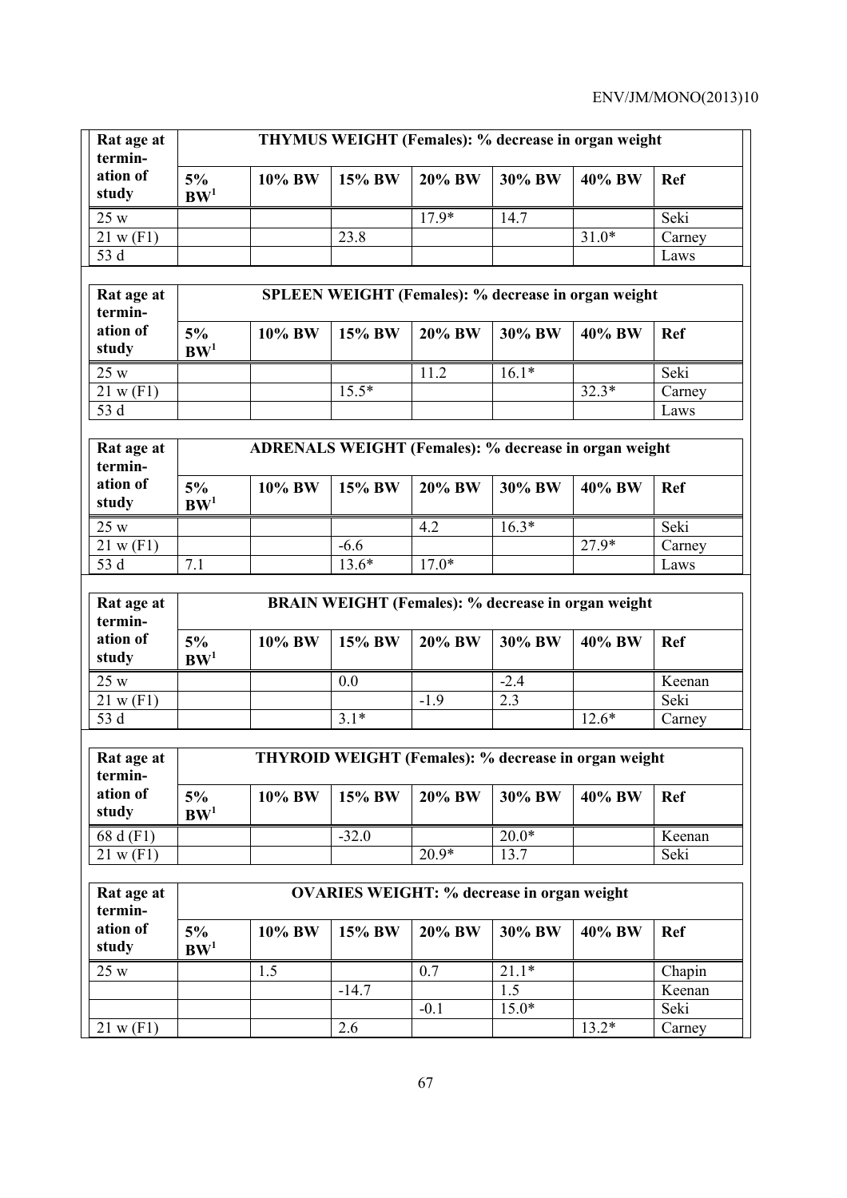| Rat age at<br>termin- |                       | THYMUS WEIGHT (Females): % decrease in organ weight          |         |                                                   |         |                                                           |                |  |  |
|-----------------------|-----------------------|--------------------------------------------------------------|---------|---------------------------------------------------|---------|-----------------------------------------------------------|----------------|--|--|
| ation of<br>study     | 5%<br>BW <sup>1</sup> | 10% BW                                                       | 15% BW  | 20% BW                                            | 30% BW  | 40% BW                                                    | <b>Ref</b>     |  |  |
| 25 w                  |                       |                                                              |         | $17.9*$                                           | 14.7    |                                                           | Seki           |  |  |
| $21 \overline{w(F1)}$ |                       |                                                              | 23.8    |                                                   |         | $31.0*$                                                   | Carney         |  |  |
| 53d                   |                       |                                                              |         |                                                   |         |                                                           | Laws           |  |  |
|                       |                       |                                                              |         |                                                   |         |                                                           |                |  |  |
| Rat age at<br>termin- |                       |                                                              |         |                                                   |         | SPLEEN WEIGHT (Females): % decrease in organ weight       |                |  |  |
| ation of<br>study     | 5%<br>BW <sup>1</sup> | 10% BW                                                       | 15% BW  | 20% BW                                            | 30% BW  | 40% BW                                                    | <b>Ref</b>     |  |  |
| 25 w                  |                       |                                                              |         | 11.2                                              | $16.1*$ |                                                           | Seki           |  |  |
| 21 w (F1)             |                       |                                                              | $15.5*$ |                                                   |         | $32.3*$                                                   | Carney         |  |  |
| 53d                   |                       |                                                              |         |                                                   |         |                                                           | Laws           |  |  |
|                       |                       |                                                              |         |                                                   |         |                                                           |                |  |  |
| Rat age at<br>termin- |                       | <b>ADRENALS WEIGHT (Females): % decrease in organ weight</b> |         |                                                   |         |                                                           |                |  |  |
| ation of<br>study     | 5%<br>BW <sup>1</sup> | 10% BW                                                       | 15% BW  | 20% BW                                            | 30% BW  | 40% BW                                                    | <b>Ref</b>     |  |  |
| 25 w                  |                       |                                                              |         | 4.2                                               | $16.3*$ |                                                           | Seki           |  |  |
| 21 w (F1)             |                       |                                                              | $-6.6$  |                                                   |         | $27.9*$                                                   | Carney         |  |  |
| $\overline{53}$ d     | 7.1                   |                                                              | $13.6*$ | $17.0*$                                           |         |                                                           | Laws           |  |  |
|                       |                       |                                                              |         |                                                   |         |                                                           |                |  |  |
| Rat age at<br>termin- |                       |                                                              |         |                                                   |         | <b>BRAIN WEIGHT (Females): % decrease in organ weight</b> |                |  |  |
| ation of<br>study     | 5%<br>BW <sup>1</sup> | 10% BW                                                       | 15% BW  | 20% BW                                            | 30% BW  | 40% BW                                                    | <b>Ref</b>     |  |  |
| 25 w                  |                       |                                                              | 0.0     |                                                   | $-2.4$  |                                                           | Keenan         |  |  |
| 21 w (F1)             |                       |                                                              |         | $-1.9$                                            | 2.3     |                                                           | Seki           |  |  |
| 53 d                  |                       |                                                              | $3.1*$  |                                                   |         | $12.6*$                                                   | Carney         |  |  |
| Rat age at<br>termin- |                       |                                                              |         |                                                   |         | THYROID WEIGHT (Females): % decrease in organ weight      |                |  |  |
| ation of<br>study     | 5%<br>BW <sup>1</sup> | 10% BW                                                       | 15% BW  | 20% BW                                            | 30% BW  | 40% BW                                                    | <b>Ref</b>     |  |  |
| 68 d (F1)             |                       |                                                              | $-32.0$ |                                                   | $20.0*$ |                                                           | Keenan         |  |  |
| 21 w (F1)             |                       |                                                              |         | $20.9*$                                           | 13.7    |                                                           | Seki           |  |  |
|                       |                       |                                                              |         |                                                   |         |                                                           |                |  |  |
| Rat age at<br>termin- |                       |                                                              |         | <b>OVARIES WEIGHT: % decrease in organ weight</b> |         |                                                           |                |  |  |
| ation of<br>study     | 5%<br>BW <sup>1</sup> | 10% BW                                                       | 15% BW  | 20% BW                                            | 30% BW  | 40% BW                                                    | <b>Ref</b>     |  |  |
| 25 w                  |                       | 1.5                                                          |         | 0.7                                               | $21.1*$ |                                                           | Chapin         |  |  |
|                       |                       |                                                              | $-14.7$ |                                                   | 1.5     |                                                           | Keenan         |  |  |
| 21 w (F1)             |                       |                                                              | 2.6     | $-0.1$                                            | $15.0*$ | $13.2*$                                                   | Seki<br>Carney |  |  |